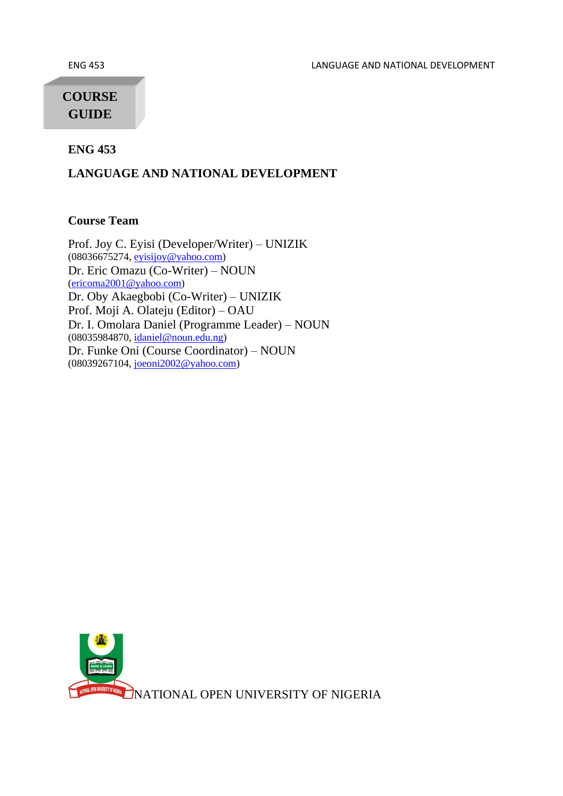ENG 453 LANGUAGE AND NATIONAL DEVELOPMENT

# **COURSE GUIDE**

**ENG 453** 

#### **LANGUAGE AND NATIONAL DEVELOPMENT**

#### **Course Team**

Prof. Joy C. Eyisi (Developer/Writer) – UNIZIK (08036675274[, eyisijoy@yahoo.com\)](mailto:eyisijoy@yahoo.com) Dr. Eric Omazu (Co-Writer) – NOUN [\(ericoma2001@yahoo.com\)](mailto:ericoma2001@yahoo.com) Dr. Oby Akaegbobi (Co-Writer) – UNIZIK Prof. Moji A. Olateju (Editor) – OAU Dr. I. Omolara Daniel (Programme Leader) – NOUN (08035984870[, idaniel@noun.edu.ng\)](mailto:idaniel@noun.edu.ng) Dr. Funke Oni (Course Coordinator) – NOUN (08039267104[, joeoni2002@yahoo.com\)](mailto:joeoni2002@yahoo.com)

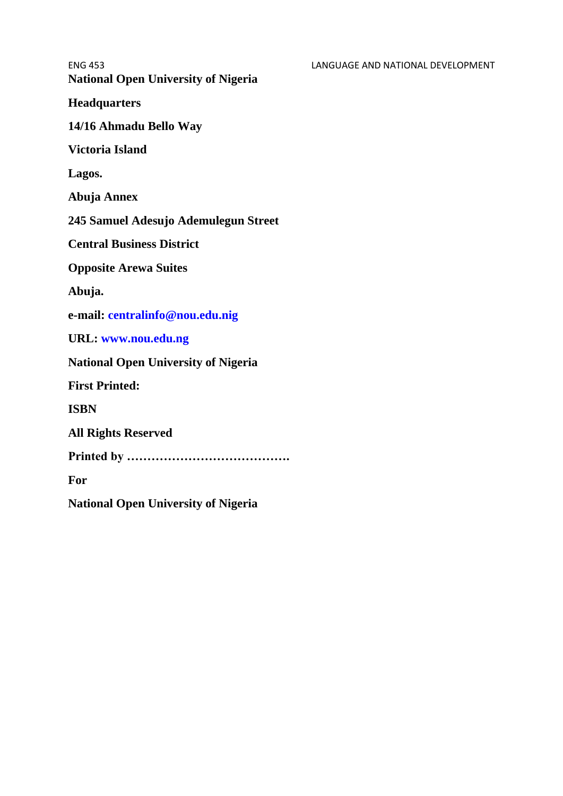ENG 453 LANGUAGE AND NATIONAL DEVELOPMENT **National Open University of Nigeria Headquarters 14/16 Ahmadu Bello Way Victoria Island Lagos. Abuja Annex 245 Samuel Adesujo Ademulegun Street Central Business District Opposite Arewa Suites Abuja. e-mail: centralinfo@nou.edu.nig URL: www.nou.edu.ng National Open University of Nigeria First Printed: ISBN All Rights Reserved Printed by …………………………………. For National Open University of Nigeria**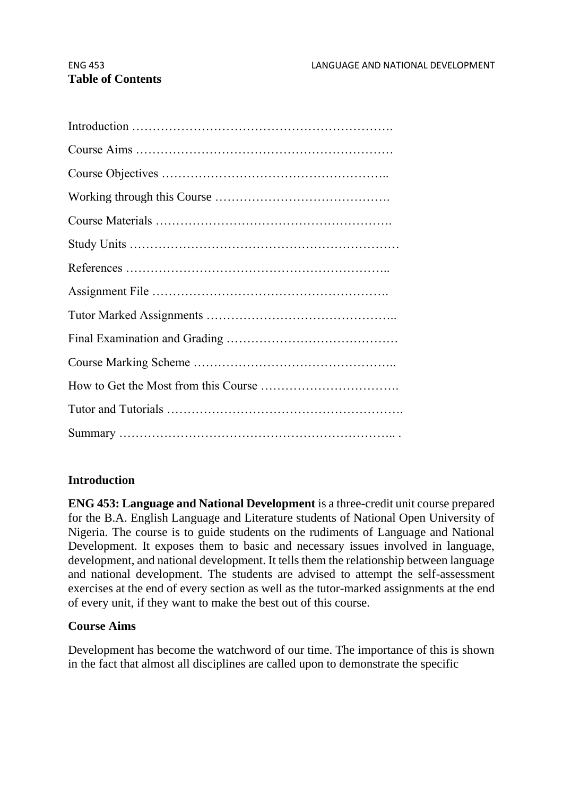# **Table of Contents**

# **Introduction**

**ENG 453: Language and National Development** is a three-credit unit course prepared for the B.A. English Language and Literature students of National Open University of Nigeria. The course is to guide students on the rudiments of Language and National Development. It exposes them to basic and necessary issues involved in language, development, and national development. It tells them the relationship between language and national development. The students are advised to attempt the self-assessment exercises at the end of every section as well as the tutor-marked assignments at the end of every unit, if they want to make the best out of this course.

#### **Course Aims**

Development has become the watchword of our time. The importance of this is shown in the fact that almost all disciplines are called upon to demonstrate the specific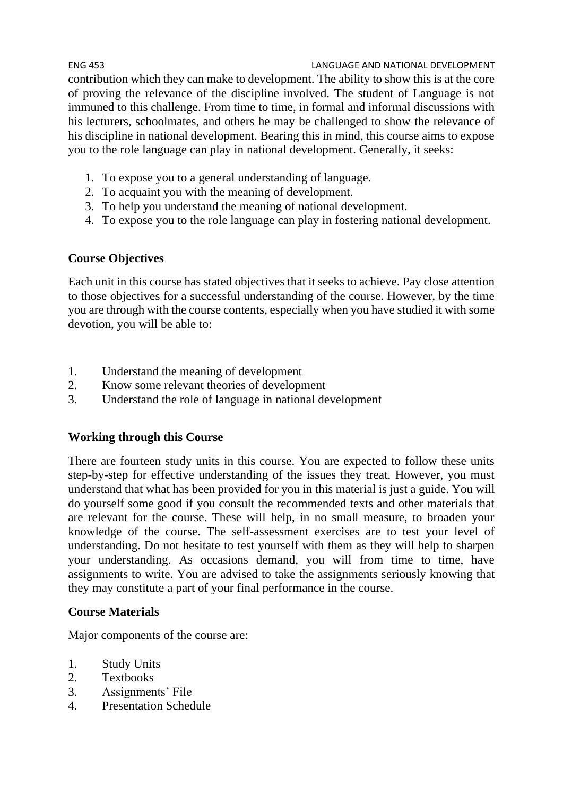ENG 453 LANGUAGE AND NATIONAL DEVELOPMENT contribution which they can make to development. The ability to show this is at the core of proving the relevance of the discipline involved. The student of Language is not immuned to this challenge. From time to time, in formal and informal discussions with his lecturers, schoolmates, and others he may be challenged to show the relevance of his discipline in national development. Bearing this in mind, this course aims to expose you to the role language can play in national development. Generally, it seeks:

- 1. To expose you to a general understanding of language.
- 2. To acquaint you with the meaning of development.
- 3. To help you understand the meaning of national development.
- 4. To expose you to the role language can play in fostering national development.

#### **Course Objectives**

Each unit in this course has stated objectives that it seeks to achieve. Pay close attention to those objectives for a successful understanding of the course. However, by the time you are through with the course contents, especially when you have studied it with some devotion, you will be able to:

- 1. Understand the meaning of development
- 2. Know some relevant theories of development
- 3. Understand the role of language in national development

#### **Working through this Course**

There are fourteen study units in this course. You are expected to follow these units step-by-step for effective understanding of the issues they treat. However, you must understand that what has been provided for you in this material is just a guide. You will do yourself some good if you consult the recommended texts and other materials that are relevant for the course. These will help, in no small measure, to broaden your knowledge of the course. The self-assessment exercises are to test your level of understanding. Do not hesitate to test yourself with them as they will help to sharpen your understanding. As occasions demand, you will from time to time, have assignments to write. You are advised to take the assignments seriously knowing that they may constitute a part of your final performance in the course.

#### **Course Materials**

Major components of the course are:

- 1. Study Units
- 2. Textbooks
- 3. Assignments' File
- 4. Presentation Schedule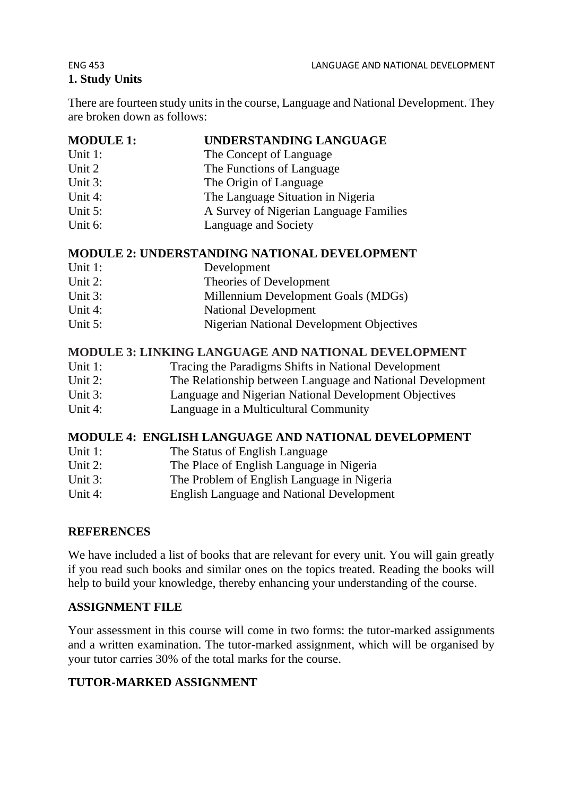# **1. Study Units**

There are fourteen study units in the course, Language and National Development. They are broken down as follows:

# **MODULE 1: UNDERSTANDING LANGUAGE**

- Unit 1: The Concept of Language
- Unit 2 The Functions of Language
- Unit 3: The Origin of Language
- Unit 4: The Language Situation in Nigeria
- Unit 5: A Survey of Nigerian Language Families
- Unit 6: Language and Society

### **MODULE 2: UNDERSTANDING NATIONAL DEVELOPMENT**

- Unit 1: Development
- Unit 2: Theories of Development
- Unit 3: Millennium Development Goals (MDGs)
- Unit 4: National Development
- Unit 5: Nigerian National Development Objectives

### **MODULE 3: LINKING LANGUAGE AND NATIONAL DEVELOPMENT**

- Unit 1: Tracing the Paradigms Shifts in National Development
- Unit 2: The Relationship between Language and National Development
- Unit 3: Language and Nigerian National Development Objectives
- Unit 4: Language in a Multicultural Community

# **MODULE 4: ENGLISH LANGUAGE AND NATIONAL DEVELOPMENT**

- Unit 1: The Status of English Language
- Unit 2: The Place of English Language in Nigeria
- Unit 3: The Problem of English Language in Nigeria
- Unit 4: English Language and National Development

# **REFERENCES**

We have included a list of books that are relevant for every unit. You will gain greatly if you read such books and similar ones on the topics treated. Reading the books will help to build your knowledge, thereby enhancing your understanding of the course.

# **ASSIGNMENT FILE**

Your assessment in this course will come in two forms: the tutor-marked assignments and a written examination. The tutor-marked assignment, which will be organised by your tutor carries 30% of the total marks for the course.

# **TUTOR-MARKED ASSIGNMENT**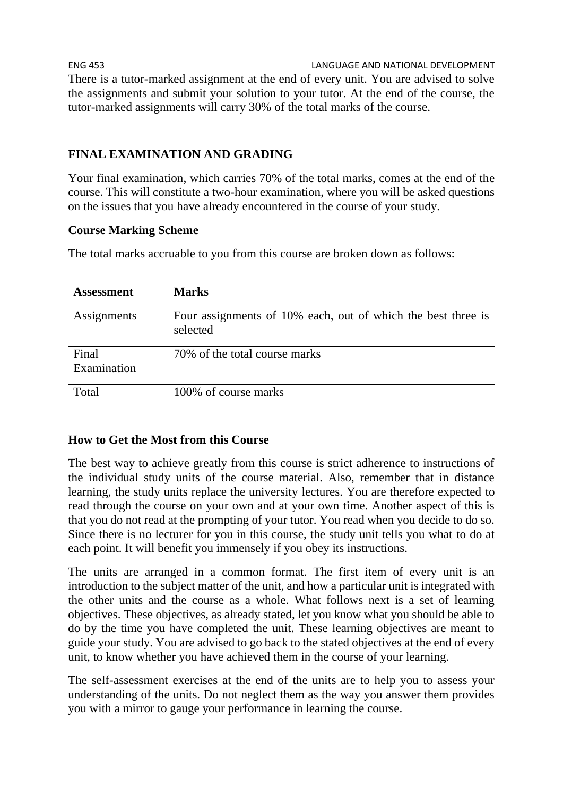ENG 453 LANGUAGE AND NATIONAL DEVELOPMENT There is a tutor-marked assignment at the end of every unit. You are advised to solve the assignments and submit your solution to your tutor. At the end of the course, the tutor-marked assignments will carry 30% of the total marks of the course.

# **FINAL EXAMINATION AND GRADING**

Your final examination, which carries 70% of the total marks, comes at the end of the course. This will constitute a two-hour examination, where you will be asked questions on the issues that you have already encountered in the course of your study.

### **Course Marking Scheme**

The total marks accruable to you from this course are broken down as follows:

| Assessment           | <b>Marks</b>                                                             |
|----------------------|--------------------------------------------------------------------------|
| Assignments          | Four assignments of 10% each, out of which the best three is<br>selected |
| Final<br>Examination | 70% of the total course marks                                            |
| Total                | 100% of course marks                                                     |

#### **How to Get the Most from this Course**

The best way to achieve greatly from this course is strict adherence to instructions of the individual study units of the course material. Also, remember that in distance learning, the study units replace the university lectures. You are therefore expected to read through the course on your own and at your own time. Another aspect of this is that you do not read at the prompting of your tutor. You read when you decide to do so. Since there is no lecturer for you in this course, the study unit tells you what to do at each point. It will benefit you immensely if you obey its instructions.

The units are arranged in a common format. The first item of every unit is an introduction to the subject matter of the unit, and how a particular unit is integrated with the other units and the course as a whole. What follows next is a set of learning objectives. These objectives, as already stated, let you know what you should be able to do by the time you have completed the unit. These learning objectives are meant to guide your study. You are advised to go back to the stated objectives at the end of every unit, to know whether you have achieved them in the course of your learning.

The self-assessment exercises at the end of the units are to help you to assess your understanding of the units. Do not neglect them as the way you answer them provides you with a mirror to gauge your performance in learning the course.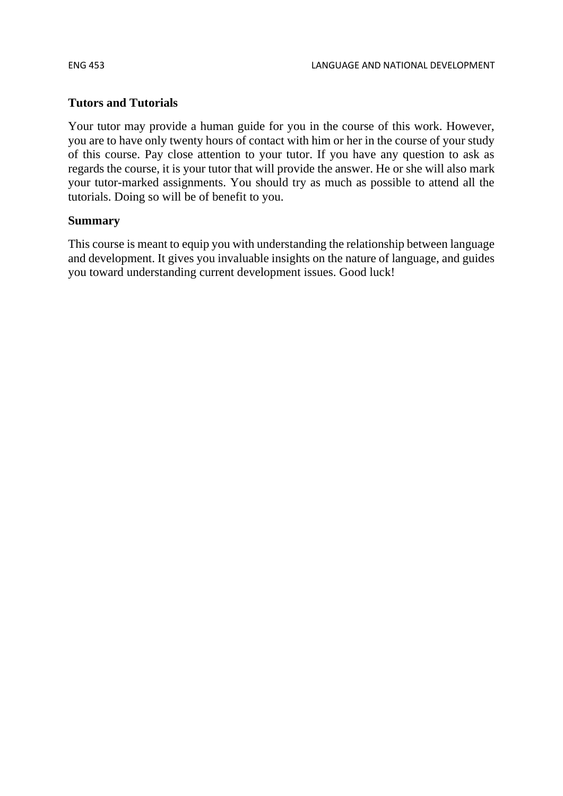#### **Tutors and Tutorials**

Your tutor may provide a human guide for you in the course of this work. However, you are to have only twenty hours of contact with him or her in the course of your study of this course. Pay close attention to your tutor. If you have any question to ask as regards the course, it is your tutor that will provide the answer. He or she will also mark your tutor-marked assignments. You should try as much as possible to attend all the tutorials. Doing so will be of benefit to you.

#### **Summary**

This course is meant to equip you with understanding the relationship between language and development. It gives you invaluable insights on the nature of language, and guides you toward understanding current development issues. Good luck!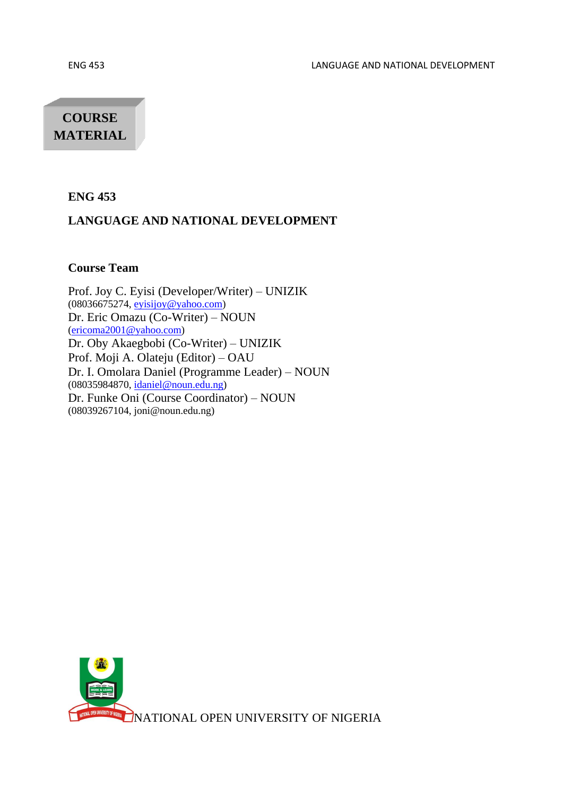# **COURSE MATERIAL**

#### **ENG 453**

#### **LANGUAGE AND NATIONAL DEVELOPMENT**

#### **Course Team**

Prof. Joy C. Eyisi (Developer/Writer) – UNIZIK (08036675274[, eyisijoy@yahoo.com\)](mailto:eyisijoy@yahoo.com) Dr. Eric Omazu (Co-Writer) – NOUN [\(ericoma2001@yahoo.com\)](mailto:ericoma2001@yahoo.com) Dr. Oby Akaegbobi (Co-Writer) – UNIZIK Prof. Moji A. Olateju (Editor) – OAU Dr. I. Omolara Daniel (Programme Leader) – NOUN (08035984870[, idaniel@noun.edu.ng\)](mailto:idaniel@noun.edu.ng) Dr. Funke Oni (Course Coordinator) – NOUN (08039267104, joni@noun.edu.ng)

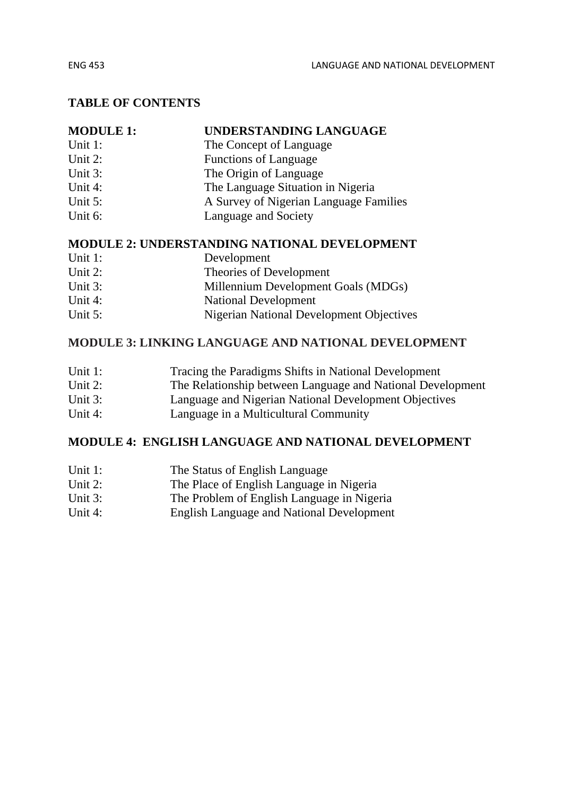#### **TABLE OF CONTENTS**

| <b>MODULE 1:</b> | UNDERSTANDING LANGUAGE                 |
|------------------|----------------------------------------|
| Unit 1:          | The Concept of Language                |
| Unit 2:          | <b>Functions of Language</b>           |
| Unit 3:          | The Origin of Language                 |
| Unit 4:          | The Language Situation in Nigeria      |
| Unit $5$ :       | A Survey of Nigerian Language Families |
| Unit 6:          | Language and Society                   |
|                  |                                        |

#### **MODULE 2: UNDERSTANDING NATIONAL DEVELOPMENT**

| Unit 1:    | Development                              |
|------------|------------------------------------------|
| Unit $2$ : | Theories of Development                  |
| Unit $3$ : | Millennium Development Goals (MDGs)      |
| Unit 4:    | National Development                     |
| Unit $5$ : | Nigerian National Development Objectives |

#### **MODULE 3: LINKING LANGUAGE AND NATIONAL DEVELOPMENT**

| Unit 1:    | Tracing the Paradigms Shifts in National Development       |
|------------|------------------------------------------------------------|
| Unit $2$ : | The Relationship between Language and National Development |
| Unit $3$ : | Language and Nigerian National Development Objectives      |
| Unit 4:    | Language in a Multicultural Community                      |

#### **MODULE 4: ENGLISH LANGUAGE AND NATIONAL DEVELOPMENT**

- Unit 1: The Status of English Language
- Unit 2: The Place of English Language in Nigeria
- Unit 3: The Problem of English Language in Nigeria
- Unit 4: English Language and National Development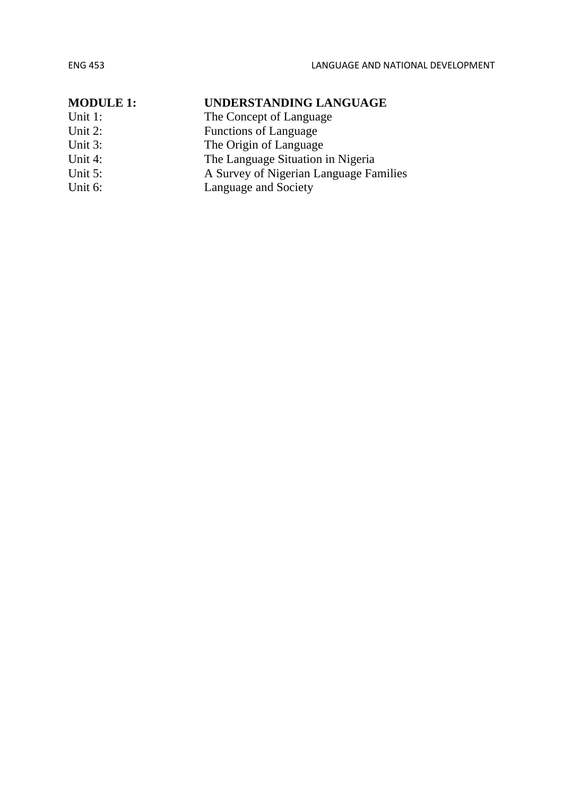| <b>MODULE 1:</b> | UNDERSTANDING LANGUAGE                 |
|------------------|----------------------------------------|
| Unit 1:          | The Concept of Language                |
| Unit 2:          | <b>Functions of Language</b>           |
| Unit 3:          | The Origin of Language                 |
| Unit 4:          | The Language Situation in Nigeria      |
| Unit $5$ :       | A Survey of Nigerian Language Families |
| Unit 6:          | Language and Society                   |
|                  |                                        |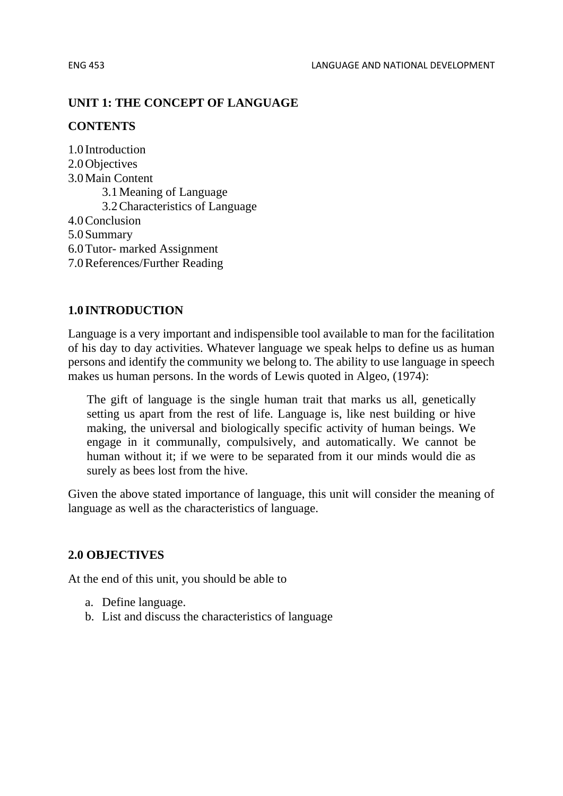#### **UNIT 1: THE CONCEPT OF LANGUAGE**

#### **CONTENTS**

1.0 Introduction 2.0 Objectives 3.0Main Content 3.1Meaning of Language 3.2Characteristics of Language 4.0Conclusion 5.0Summary 6.0Tutor- marked Assignment 7.0References/Further Reading

#### **1.0 INTRODUCTION**

Language is a very important and indispensible tool available to man for the facilitation of his day to day activities. Whatever language we speak helps to define us as human persons and identify the community we belong to. The ability to use language in speech makes us human persons. In the words of Lewis quoted in Algeo, (1974):

The gift of language is the single human trait that marks us all, genetically setting us apart from the rest of life. Language is, like nest building or hive making, the universal and biologically specific activity of human beings. We engage in it communally, compulsively, and automatically. We cannot be human without it; if we were to be separated from it our minds would die as surely as bees lost from the hive.

Given the above stated importance of language, this unit will consider the meaning of language as well as the characteristics of language.

#### **2.0 OBJECTIVES**

At the end of this unit, you should be able to

- a. Define language.
- b. List and discuss the characteristics of language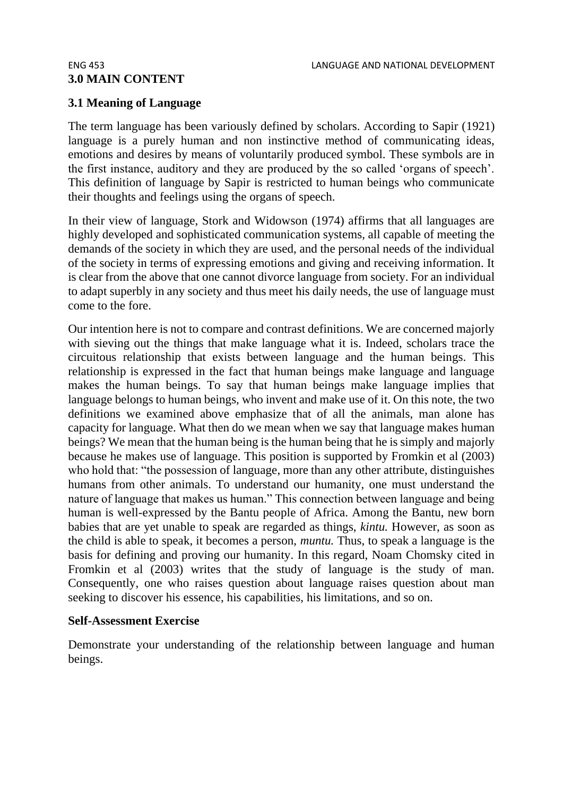# **3.0 MAIN CONTENT**

#### **3.1 Meaning of Language**

The term language has been variously defined by scholars. According to Sapir (1921) language is a purely human and non instinctive method of communicating ideas, emotions and desires by means of voluntarily produced symbol. These symbols are in the first instance, auditory and they are produced by the so called 'organs of speech'. This definition of language by Sapir is restricted to human beings who communicate their thoughts and feelings using the organs of speech.

In their view of language, Stork and Widowson (1974) affirms that all languages are highly developed and sophisticated communication systems, all capable of meeting the demands of the society in which they are used, and the personal needs of the individual of the society in terms of expressing emotions and giving and receiving information. It is clear from the above that one cannot divorce language from society. For an individual to adapt superbly in any society and thus meet his daily needs, the use of language must come to the fore.

Our intention here is not to compare and contrast definitions. We are concerned majorly with sieving out the things that make language what it is. Indeed, scholars trace the circuitous relationship that exists between language and the human beings. This relationship is expressed in the fact that human beings make language and language makes the human beings. To say that human beings make language implies that language belongs to human beings, who invent and make use of it. On this note, the two definitions we examined above emphasize that of all the animals, man alone has capacity for language. What then do we mean when we say that language makes human beings? We mean that the human being is the human being that he is simply and majorly because he makes use of language. This position is supported by Fromkin et al (2003) who hold that: "the possession of language, more than any other attribute, distinguishes humans from other animals. To understand our humanity, one must understand the nature of language that makes us human." This connection between language and being human is well-expressed by the Bantu people of Africa. Among the Bantu, new born babies that are yet unable to speak are regarded as things, *kintu.* However, as soon as the child is able to speak, it becomes a person, *muntu.* Thus, to speak a language is the basis for defining and proving our humanity. In this regard, Noam Chomsky cited in Fromkin et al (2003) writes that the study of language is the study of man. Consequently, one who raises question about language raises question about man seeking to discover his essence, his capabilities, his limitations, and so on.

#### **Self-Assessment Exercise**

Demonstrate your understanding of the relationship between language and human beings.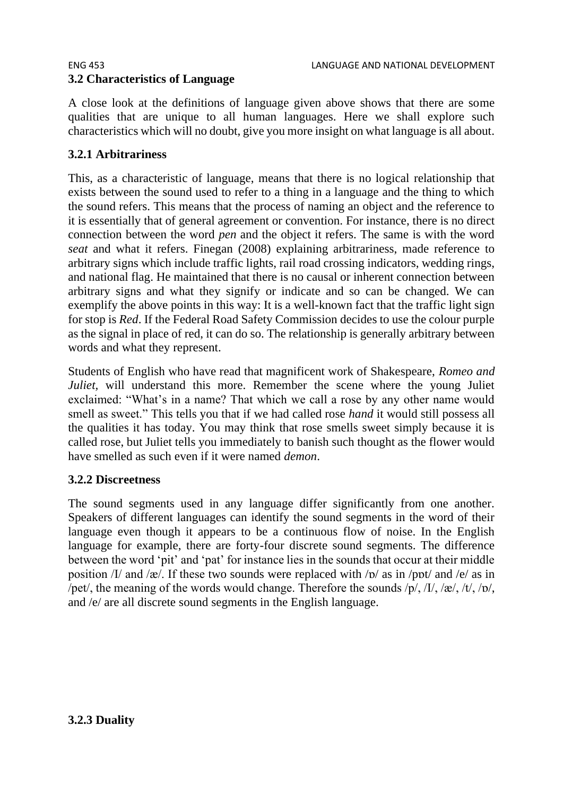A close look at the definitions of language given above shows that there are some qualities that are unique to all human languages. Here we shall explore such characteristics which will no doubt, give you more insight on what language is all about.

# **3.2.1 Arbitrariness**

This, as a characteristic of language, means that there is no logical relationship that exists between the sound used to refer to a thing in a language and the thing to which the sound refers. This means that the process of naming an object and the reference to it is essentially that of general agreement or convention. For instance, there is no direct connection between the word *pen* and the object it refers. The same is with the word *seat* and what it refers. Finegan (2008) explaining arbitrariness, made reference to arbitrary signs which include traffic lights, rail road crossing indicators, wedding rings, and national flag. He maintained that there is no causal or inherent connection between arbitrary signs and what they signify or indicate and so can be changed. We can exemplify the above points in this way: It is a well-known fact that the traffic light sign for stop is *Red*. If the Federal Road Safety Commission decides to use the colour purple as the signal in place of red, it can do so. The relationship is generally arbitrary between words and what they represent.

Students of English who have read that magnificent work of Shakespeare, *Romeo and Juliet*, will understand this more. Remember the scene where the young Juliet exclaimed: "What's in a name? That which we call a rose by any other name would smell as sweet." This tells you that if we had called rose *hand* it would still possess all the qualities it has today. You may think that rose smells sweet simply because it is called rose, but Juliet tells you immediately to banish such thought as the flower would have smelled as such even if it were named *demon*.

#### **3.2.2 Discreetness**

The sound segments used in any language differ significantly from one another. Speakers of different languages can identify the sound segments in the word of their language even though it appears to be a continuous flow of noise. In the English language for example, there are forty-four discrete sound segments. The difference between the word 'pit' and 'pat' for instance lies in the sounds that occur at their middle position  $\frac{1}{a}$  and  $\frac{1}{\alpha}$ . If these two sounds were replaced with  $\frac{1}{\alpha}$  as in  $\frac{1}{\alpha}$  and  $\frac{1}{\alpha}$  as in /pet/, the meaning of the words would change. Therefore the sounds /p/, /I/, /æ/, /t/, /p/, and /e/ are all discrete sound segments in the English language.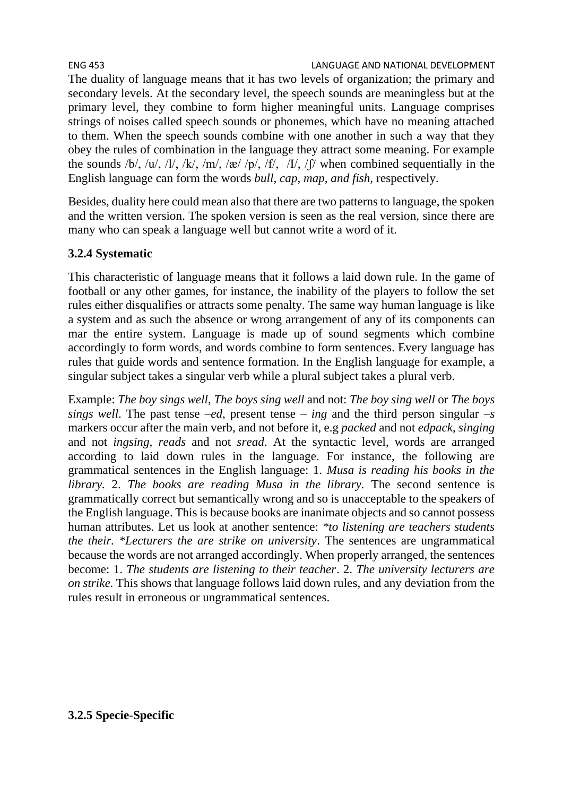The duality of language means that it has two levels of organization; the primary and secondary levels. At the secondary level, the speech sounds are meaningless but at the primary level, they combine to form higher meaningful units. Language comprises strings of noises called speech sounds or phonemes, which have no meaning attached to them. When the speech sounds combine with one another in such a way that they obey the rules of combination in the language they attract some meaning. For example the sounds /b/, /u/, /l/, /k/, /m/, /æ/ /p/, /f/,  $\sqrt{I}$ /, / $\sqrt{I}$ / when combined sequentially in the English language can form the words *bull, cap, map, and fish,* respectively.

Besides, duality here could mean also that there are two patterns to language, the spoken and the written version. The spoken version is seen as the real version, since there are many who can speak a language well but cannot write a word of it.

### **3.2.4 Systematic**

This characteristic of language means that it follows a laid down rule. In the game of football or any other games, for instance, the inability of the players to follow the set rules either disqualifies or attracts some penalty. The same way human language is like a system and as such the absence or wrong arrangement of any of its components can mar the entire system. Language is made up of sound segments which combine accordingly to form words, and words combine to form sentences. Every language has rules that guide words and sentence formation. In the English language for example, a singular subject takes a singular verb while a plural subject takes a plural verb.

Example: *The boy sings well*, *The boys sing well* and not: *The boy sing well* or *The boys sings well*. The past tense –*ed*, present tense – *ing* and the third person singular –*s* markers occur after the main verb, and not before it, e.g *packed* and not *edpack*, *singing* and not *ingsing*, *reads* and not *sread*. At the syntactic level, words are arranged according to laid down rules in the language. For instance, the following are grammatical sentences in the English language: 1. *Musa is reading his books in the library.* 2. *The books are reading Musa in the library.* The second sentence is grammatically correct but semantically wrong and so is unacceptable to the speakers of the English language. This is because books are inanimate objects and so cannot possess human attributes. Let us look at another sentence: *\*to listening are teachers students the their. \*Lecturers the are strike on university*. The sentences are ungrammatical because the words are not arranged accordingly. When properly arranged, the sentences become: 1. *The students are listening to their teacher*. 2. *The university lecturers are on strike.* This shows that language follows laid down rules, and any deviation from the rules result in erroneous or ungrammatical sentences.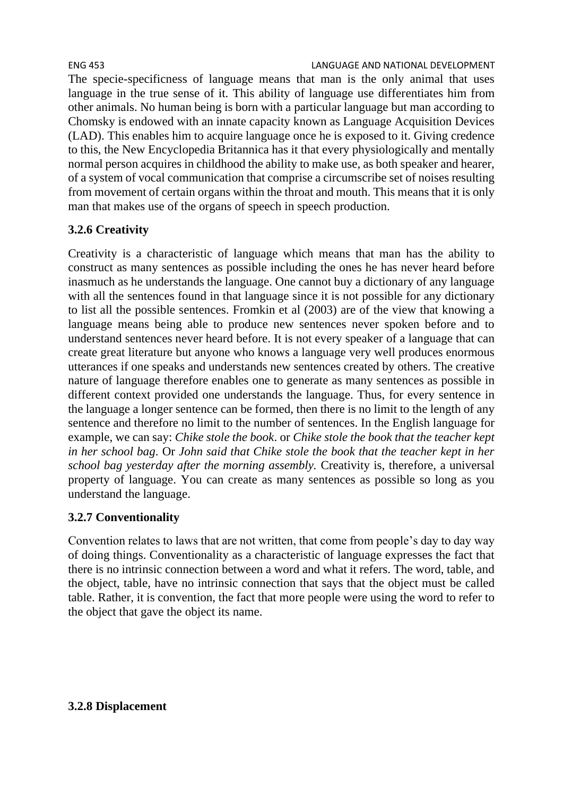The specie-specificness of language means that man is the only animal that uses language in the true sense of it. This ability of language use differentiates him from other animals. No human being is born with a particular language but man according to Chomsky is endowed with an innate capacity known as Language Acquisition Devices (LAD). This enables him to acquire language once he is exposed to it. Giving credence to this, the New Encyclopedia Britannica has it that every physiologically and mentally normal person acquires in childhood the ability to make use, as both speaker and hearer, of a system of vocal communication that comprise a circumscribe set of noises resulting from movement of certain organs within the throat and mouth. This means that it is only man that makes use of the organs of speech in speech production.

# **3.2.6 Creativity**

Creativity is a characteristic of language which means that man has the ability to construct as many sentences as possible including the ones he has never heard before inasmuch as he understands the language. One cannot buy a dictionary of any language with all the sentences found in that language since it is not possible for any dictionary to list all the possible sentences. Fromkin et al (2003) are of the view that knowing a language means being able to produce new sentences never spoken before and to understand sentences never heard before. It is not every speaker of a language that can create great literature but anyone who knows a language very well produces enormous utterances if one speaks and understands new sentences created by others. The creative nature of language therefore enables one to generate as many sentences as possible in different context provided one understands the language. Thus, for every sentence in the language a longer sentence can be formed, then there is no limit to the length of any sentence and therefore no limit to the number of sentences. In the English language for example, we can say: *Chike stole the book*. or *Chike stole the book that the teacher kept in her school bag*. Or *John said that Chike stole the book that the teacher kept in her school bag yesterday after the morning assembly.* Creativity is, therefore, a universal property of language. You can create as many sentences as possible so long as you understand the language.

# **3.2.7 Conventionality**

Convention relates to laws that are not written, that come from people's day to day way of doing things. Conventionality as a characteristic of language expresses the fact that there is no intrinsic connection between a word and what it refers. The word, table, and the object, table, have no intrinsic connection that says that the object must be called table. Rather, it is convention, the fact that more people were using the word to refer to the object that gave the object its name.

#### **3.2.8 Displacement**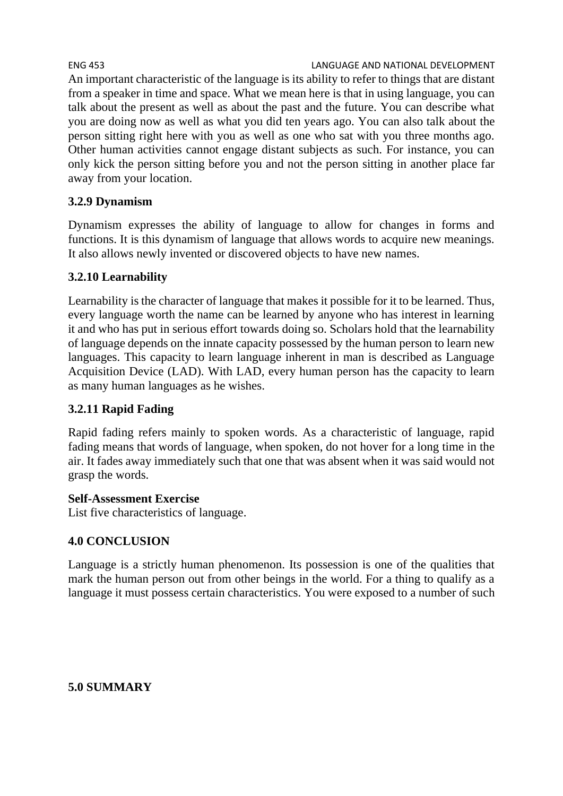An important characteristic of the language is its ability to refer to things that are distant from a speaker in time and space. What we mean here is that in using language, you can talk about the present as well as about the past and the future. You can describe what you are doing now as well as what you did ten years ago. You can also talk about the person sitting right here with you as well as one who sat with you three months ago. Other human activities cannot engage distant subjects as such. For instance, you can only kick the person sitting before you and not the person sitting in another place far away from your location.

### **3.2.9 Dynamism**

Dynamism expresses the ability of language to allow for changes in forms and functions. It is this dynamism of language that allows words to acquire new meanings. It also allows newly invented or discovered objects to have new names.

### **3.2.10 Learnability**

Learnability is the character of language that makes it possible for it to be learned. Thus, every language worth the name can be learned by anyone who has interest in learning it and who has put in serious effort towards doing so. Scholars hold that the learnability of language depends on the innate capacity possessed by the human person to learn new languages. This capacity to learn language inherent in man is described as Language Acquisition Device (LAD). With LAD, every human person has the capacity to learn as many human languages as he wishes.

#### **3.2.11 Rapid Fading**

Rapid fading refers mainly to spoken words. As a characteristic of language, rapid fading means that words of language, when spoken, do not hover for a long time in the air. It fades away immediately such that one that was absent when it was said would not grasp the words.

#### **Self-Assessment Exercise**

List five characteristics of language.

#### **4.0 CONCLUSION**

Language is a strictly human phenomenon. Its possession is one of the qualities that mark the human person out from other beings in the world. For a thing to qualify as a language it must possess certain characteristics. You were exposed to a number of such

**5.0 SUMMARY**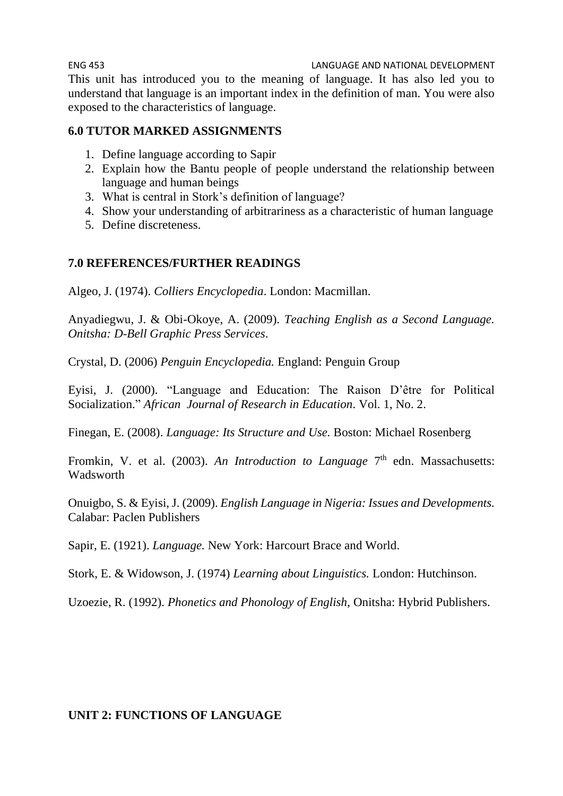ENG 453 LANGUAGE AND NATIONAL DEVELOPMENT This unit has introduced you to the meaning of language. It has also led you to understand that language is an important index in the definition of man. You were also exposed to the characteristics of language.

#### **6.0 TUTOR MARKED ASSIGNMENTS**

- 1. Define language according to Sapir
- 2. Explain how the Bantu people of people understand the relationship between language and human beings
- 3. What is central in Stork's definition of language?
- 4. Show your understanding of arbitrariness as a characteristic of human language
- 5. Define discreteness.

#### **7.0 REFERENCES/FURTHER READINGS**

Algeo, J. (1974). *Colliers Encyclopedia*. London: Macmillan.

Anyadiegwu, J. & Obi-Okoye, A. (2009). *Teaching English as a Second Language. Onitsha: D-Bell Graphic Press Services*.

Crystal, D. (2006) *Penguin Encyclopedia.* England: Penguin Group

Eyisi, J. (2000). "Language and Education: The Raison D'être for Political Socialization." *African Journal of Research in Education*. Vol. 1, No. 2.

Finegan, E. (2008). *Language: Its Structure and Use.* Boston: Michael Rosenberg

Fromkin, V. et al. (2003). An *Introduction to Language* 7<sup>th</sup> edn. Massachusetts: Wadsworth

Onuigbo, S. & Eyisi, J. (2009). *English Language in Nigeria: Issues and Developments.* Calabar: Paclen Publishers

Sapir, E. (1921). *Language.* New York: Harcourt Brace and World.

Stork, E. & Widowson, J. (1974) *Learning about Linguistics.* London: Hutchinson.

Uzoezie, R. (1992). *Phonetics and Phonology of English*, Onitsha: Hybrid Publishers.

#### **UNIT 2: FUNCTIONS OF LANGUAGE**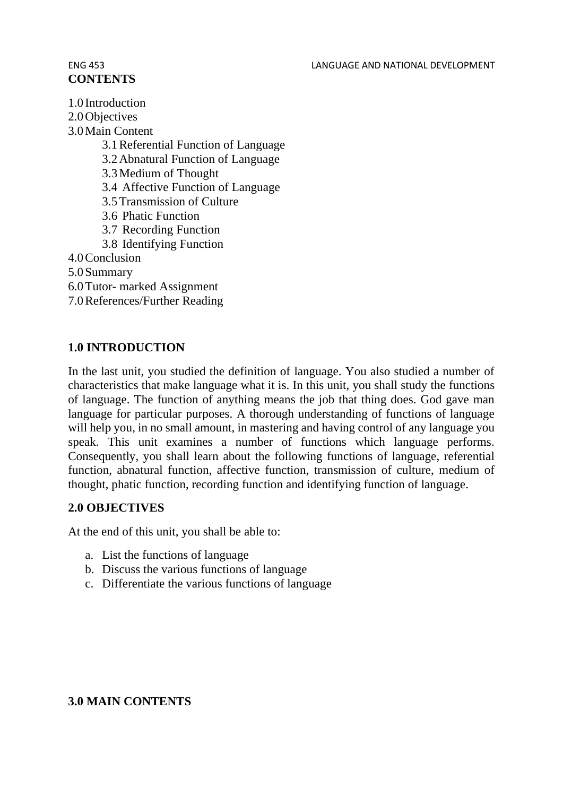# **CONTENTS**

1.0 Introduction 2.0 Objectives 3.0Main Content 3.1Referential Function of Language 3.2Abnatural Function of Language 3.3Medium of Thought 3.4 Affective Function of Language 3.5Transmission of Culture 3.6 Phatic Function 3.7 Recording Function 3.8 Identifying Function 4.0Conclusion 5.0Summary 6.0Tutor- marked Assignment 7.0References/Further Reading

### **1.0 INTRODUCTION**

In the last unit, you studied the definition of language. You also studied a number of characteristics that make language what it is. In this unit, you shall study the functions of language. The function of anything means the job that thing does. God gave man language for particular purposes. A thorough understanding of functions of language will help you, in no small amount, in mastering and having control of any language you speak. This unit examines a number of functions which language performs. Consequently, you shall learn about the following functions of language, referential function, abnatural function, affective function, transmission of culture, medium of thought, phatic function, recording function and identifying function of language.

#### **2.0 OBJECTIVES**

At the end of this unit, you shall be able to:

- a. List the functions of language
- b. Discuss the various functions of language
- c. Differentiate the various functions of language

#### **3.0 MAIN CONTENTS**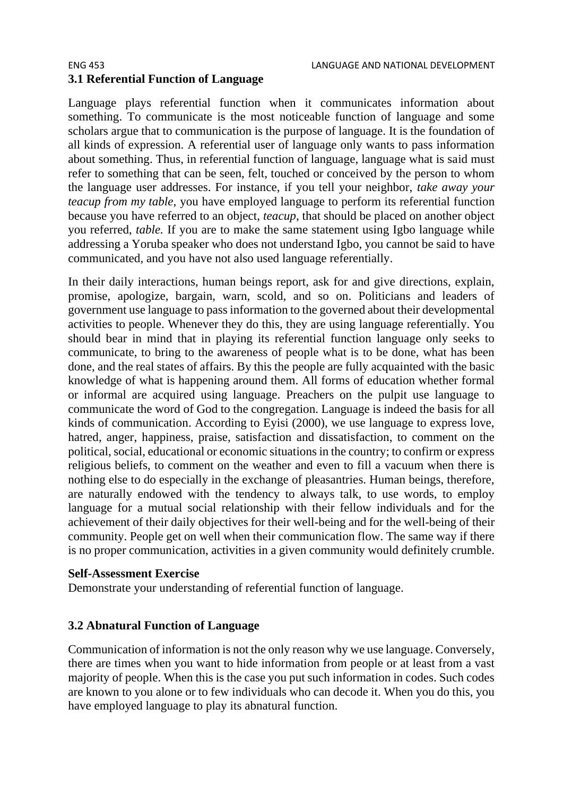Language plays referential function when it communicates information about something. To communicate is the most noticeable function of language and some scholars argue that to communication is the purpose of language. It is the foundation of all kinds of expression. A referential user of language only wants to pass information about something. Thus, in referential function of language, language what is said must refer to something that can be seen, felt, touched or conceived by the person to whom the language user addresses. For instance, if you tell your neighbor, *take away your teacup from my table,* you have employed language to perform its referential function because you have referred to an object, *teacup*, that should be placed on another object you referred, *table.* If you are to make the same statement using Igbo language while addressing a Yoruba speaker who does not understand Igbo, you cannot be said to have communicated, and you have not also used language referentially.

In their daily interactions, human beings report, ask for and give directions, explain, promise, apologize, bargain, warn, scold, and so on. Politicians and leaders of government use language to pass information to the governed about their developmental activities to people. Whenever they do this, they are using language referentially. You should bear in mind that in playing its referential function language only seeks to communicate, to bring to the awareness of people what is to be done, what has been done, and the real states of affairs. By this the people are fully acquainted with the basic knowledge of what is happening around them. All forms of education whether formal or informal are acquired using language. Preachers on the pulpit use language to communicate the word of God to the congregation. Language is indeed the basis for all kinds of communication. According to Eyisi (2000), we use language to express love, hatred, anger, happiness, praise, satisfaction and dissatisfaction, to comment on the political, social, educational or economic situations in the country; to confirm or express religious beliefs, to comment on the weather and even to fill a vacuum when there is nothing else to do especially in the exchange of pleasantries. Human beings, therefore, are naturally endowed with the tendency to always talk, to use words, to employ language for a mutual social relationship with their fellow individuals and for the achievement of their daily objectives for their well-being and for the well-being of their community. People get on well when their communication flow. The same way if there is no proper communication, activities in a given community would definitely crumble.

#### **Self-Assessment Exercise**

Demonstrate your understanding of referential function of language.

#### **3.2 Abnatural Function of Language**

Communication of information is not the only reason why we use language. Conversely, there are times when you want to hide information from people or at least from a vast majority of people. When this is the case you put such information in codes. Such codes are known to you alone or to few individuals who can decode it. When you do this, you have employed language to play its abnatural function.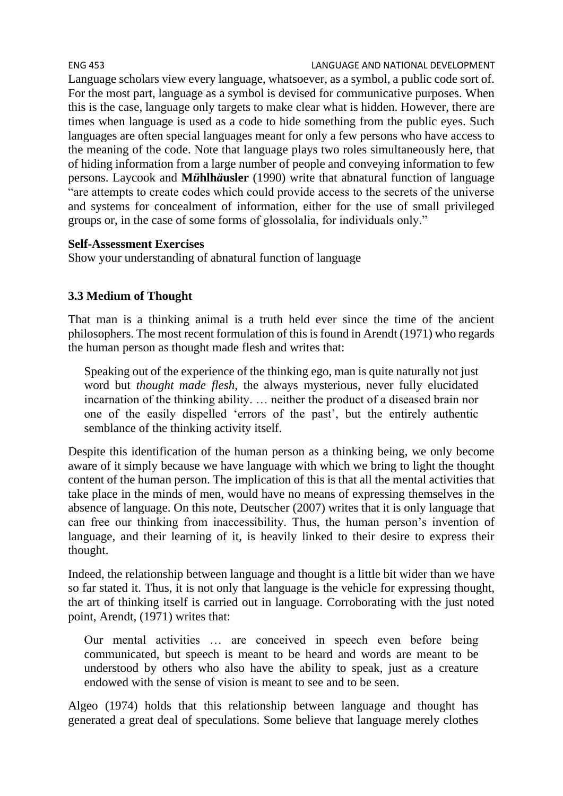Language scholars view every language, whatsoever, as a symbol, a public code sort of. For the most part, language as a symbol is devised for communicative purposes. When this is the case, language only targets to make clear what is hidden. However, there are times when language is used as a code to hide something from the public eyes. Such languages are often special languages meant for only a few persons who have access to the meaning of the code. Note that language plays two roles simultaneously here, that of hiding information from a large number of people and conveying information to few persons. Laycook and **M***ü***hlh***ä***usler** (1990) write that abnatural function of language "are attempts to create codes which could provide access to the secrets of the universe and systems for concealment of information, either for the use of small privileged groups or, in the case of some forms of glossolalia, for individuals only."

#### **Self-Assessment Exercises**

Show your understanding of abnatural function of language

# **3.3 Medium of Thought**

That man is a thinking animal is a truth held ever since the time of the ancient philosophers. The most recent formulation of this is found in Arendt (1971) who regards the human person as thought made flesh and writes that:

Speaking out of the experience of the thinking ego, man is quite naturally not just word but *thought made flesh*, the always mysterious, never fully elucidated incarnation of the thinking ability. … neither the product of a diseased brain nor one of the easily dispelled 'errors of the past', but the entirely authentic semblance of the thinking activity itself.

Despite this identification of the human person as a thinking being, we only become aware of it simply because we have language with which we bring to light the thought content of the human person. The implication of this is that all the mental activities that take place in the minds of men, would have no means of expressing themselves in the absence of language. On this note, Deutscher (2007) writes that it is only language that can free our thinking from inaccessibility. Thus, the human person's invention of language, and their learning of it, is heavily linked to their desire to express their thought.

Indeed, the relationship between language and thought is a little bit wider than we have so far stated it. Thus, it is not only that language is the vehicle for expressing thought, the art of thinking itself is carried out in language. Corroborating with the just noted point, Arendt, (1971) writes that:

Our mental activities … are conceived in speech even before being communicated, but speech is meant to be heard and words are meant to be understood by others who also have the ability to speak, just as a creature endowed with the sense of vision is meant to see and to be seen.

Algeo (1974) holds that this relationship between language and thought has generated a great deal of speculations. Some believe that language merely clothes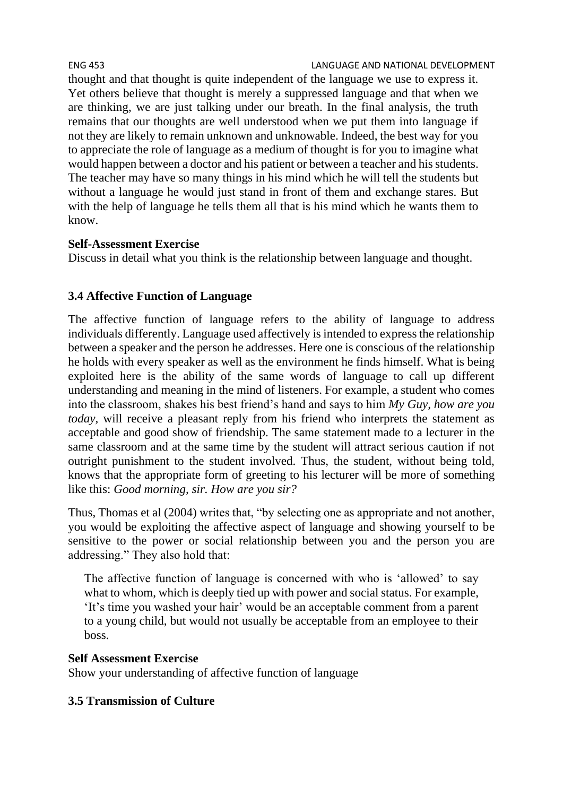thought and that thought is quite independent of the language we use to express it. Yet others believe that thought is merely a suppressed language and that when we are thinking, we are just talking under our breath. In the final analysis, the truth remains that our thoughts are well understood when we put them into language if not they are likely to remain unknown and unknowable. Indeed, the best way for you to appreciate the role of language as a medium of thought is for you to imagine what would happen between a doctor and his patient or between a teacher and his students. The teacher may have so many things in his mind which he will tell the students but without a language he would just stand in front of them and exchange stares. But with the help of language he tells them all that is his mind which he wants them to know.

### **Self-Assessment Exercise**

Discuss in detail what you think is the relationship between language and thought.

# **3.4 Affective Function of Language**

The affective function of language refers to the ability of language to address individuals differently. Language used affectively is intended to express the relationship between a speaker and the person he addresses. Here one is conscious of the relationship he holds with every speaker as well as the environment he finds himself. What is being exploited here is the ability of the same words of language to call up different understanding and meaning in the mind of listeners. For example, a student who comes into the classroom, shakes his best friend's hand and says to him *My Guy, how are you today*, will receive a pleasant reply from his friend who interprets the statement as acceptable and good show of friendship. The same statement made to a lecturer in the same classroom and at the same time by the student will attract serious caution if not outright punishment to the student involved. Thus, the student, without being told, knows that the appropriate form of greeting to his lecturer will be more of something like this: *Good morning, sir. How are you sir?* 

Thus, Thomas et al (2004) writes that, "by selecting one as appropriate and not another, you would be exploiting the affective aspect of language and showing yourself to be sensitive to the power or social relationship between you and the person you are addressing." They also hold that:

The affective function of language is concerned with who is 'allowed' to say what to whom, which is deeply tied up with power and social status. For example, 'It's time you washed your hair' would be an acceptable comment from a parent to a young child, but would not usually be acceptable from an employee to their boss.

#### **Self Assessment Exercise**

Show your understanding of affective function of language

# **3.5 Transmission of Culture**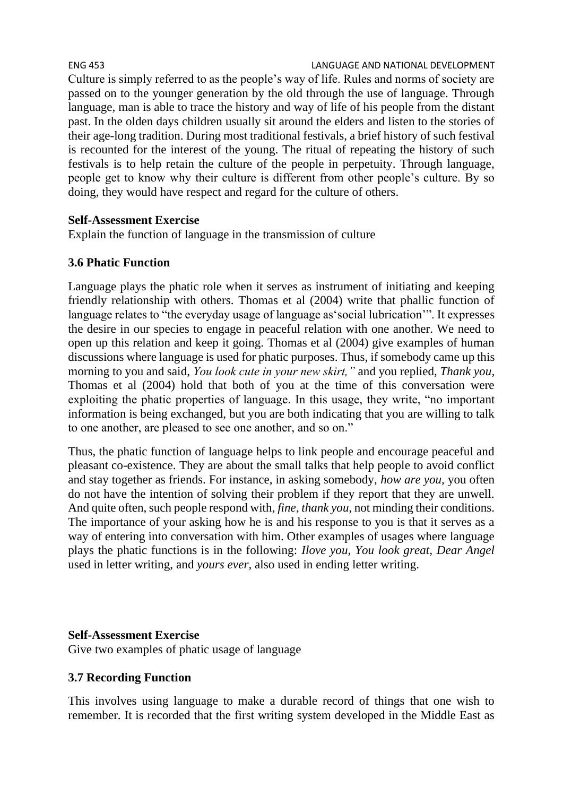#### ENG 453 LANGUAGE AND NATIONAL DEVELOPMENT Culture is simply referred to as the people's way of life. Rules and norms of society are passed on to the younger generation by the old through the use of language. Through language, man is able to trace the history and way of life of his people from the distant past. In the olden days children usually sit around the elders and listen to the stories of their age-long tradition. During most traditional festivals, a brief history of such festival is recounted for the interest of the young. The ritual of repeating the history of such festivals is to help retain the culture of the people in perpetuity. Through language, people get to know why their culture is different from other people's culture. By so doing, they would have respect and regard for the culture of others.

#### **Self-Assessment Exercise**

Explain the function of language in the transmission of culture

### **3.6 Phatic Function**

Language plays the phatic role when it serves as instrument of initiating and keeping friendly relationship with others. Thomas et al (2004) write that phallic function of language relates to "the everyday usage of language as'social lubrication'". It expresses the desire in our species to engage in peaceful relation with one another. We need to open up this relation and keep it going. Thomas et al (2004) give examples of human discussions where language is used for phatic purposes. Thus, if somebody came up this morning to you and said, *You look cute in your new skirt,"* and you replied, *Thank you,*  Thomas et al (2004) hold that both of you at the time of this conversation were exploiting the phatic properties of language. In this usage, they write, "no important information is being exchanged, but you are both indicating that you are willing to talk to one another, are pleased to see one another, and so on."

Thus, the phatic function of language helps to link people and encourage peaceful and pleasant co-existence. They are about the small talks that help people to avoid conflict and stay together as friends. For instance, in asking somebody, *how are you,* you often do not have the intention of solving their problem if they report that they are unwell. And quite often, such people respond with, *fine*, *thank you*, not minding their conditions. The importance of your asking how he is and his response to you is that it serves as a way of entering into conversation with him. Other examples of usages where language plays the phatic functions is in the following: *Ilove you, You look great, Dear Angel*  used in letter writing, and *yours ever,* also used in ending letter writing.

#### **Self-Assessment Exercise**

Give two examples of phatic usage of language

#### **3.7 Recording Function**

This involves using language to make a durable record of things that one wish to remember. It is recorded that the first writing system developed in the Middle East as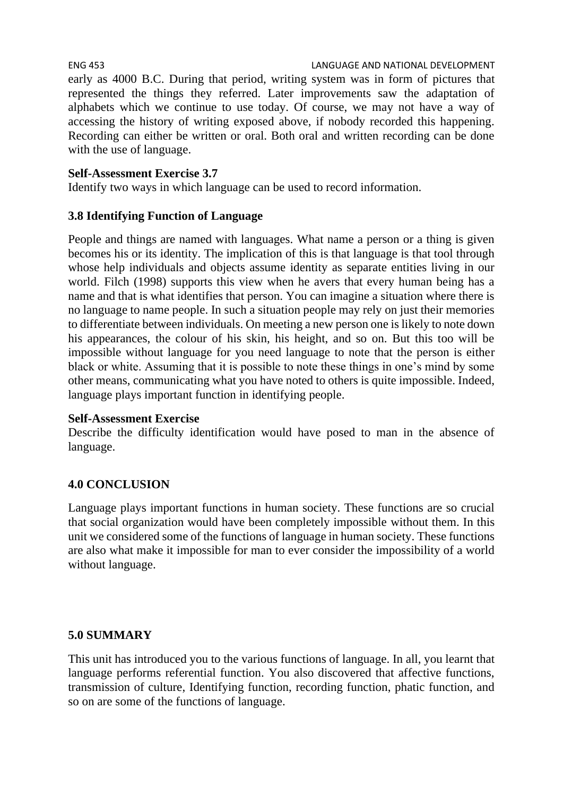early as 4000 B.C. During that period, writing system was in form of pictures that represented the things they referred. Later improvements saw the adaptation of alphabets which we continue to use today. Of course, we may not have a way of accessing the history of writing exposed above, if nobody recorded this happening. Recording can either be written or oral. Both oral and written recording can be done with the use of language.

# **Self-Assessment Exercise 3.7**

Identify two ways in which language can be used to record information.

# **3.8 Identifying Function of Language**

People and things are named with languages. What name a person or a thing is given becomes his or its identity. The implication of this is that language is that tool through whose help individuals and objects assume identity as separate entities living in our world. Filch (1998) supports this view when he avers that every human being has a name and that is what identifies that person. You can imagine a situation where there is no language to name people. In such a situation people may rely on just their memories to differentiate between individuals. On meeting a new person one is likely to note down his appearances, the colour of his skin, his height, and so on. But this too will be impossible without language for you need language to note that the person is either black or white. Assuming that it is possible to note these things in one's mind by some other means, communicating what you have noted to others is quite impossible. Indeed, language plays important function in identifying people.

# **Self-Assessment Exercise**

Describe the difficulty identification would have posed to man in the absence of language.

# **4.0 CONCLUSION**

Language plays important functions in human society. These functions are so crucial that social organization would have been completely impossible without them. In this unit we considered some of the functions of language in human society. These functions are also what make it impossible for man to ever consider the impossibility of a world without language.

# **5.0 SUMMARY**

This unit has introduced you to the various functions of language. In all, you learnt that language performs referential function. You also discovered that affective functions, transmission of culture, Identifying function, recording function, phatic function, and so on are some of the functions of language.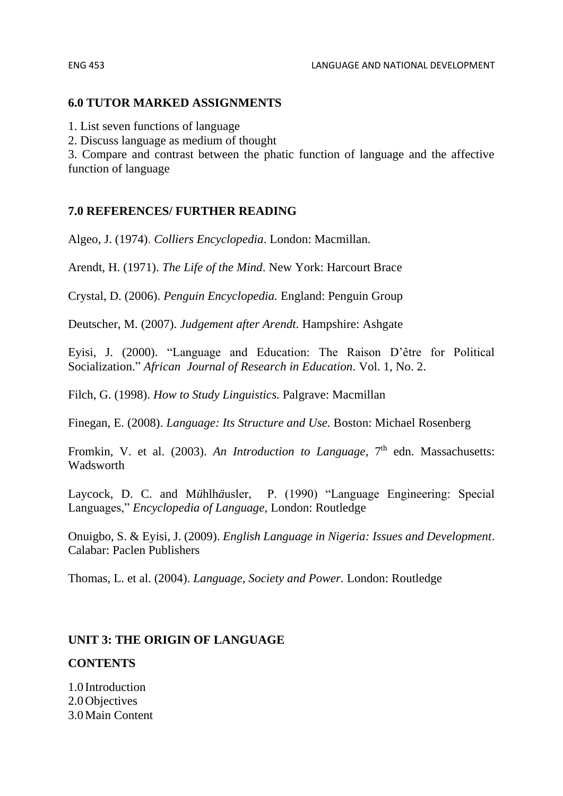#### **6.0 TUTOR MARKED ASSIGNMENTS**

1. List seven functions of language

2. Discuss language as medium of thought

3. Compare and contrast between the phatic function of language and the affective function of language

#### **7.0 REFERENCES/ FURTHER READING**

Algeo, J. (1974). *Colliers Encyclopedia*. London: Macmillan.

Arendt, H. (1971). *The Life of the Mind*. New York: Harcourt Brace

Crystal, D. (2006). *Penguin Encyclopedia.* England: Penguin Group

Deutscher, M. (2007). *Judgement after Arendt.* Hampshire: Ashgate

Eyisi, J. (2000). "Language and Education: The Raison D'être for Political Socialization." *African Journal of Research in Education*. Vol. 1, No. 2.

Filch, G. (1998). *How to Study Linguistics.* Palgrave: Macmillan

Finegan, E. (2008). *Language: Its Structure and Use.* Boston: Michael Rosenberg

Fromkin, V. et al. (2003). An *Introduction to Language*, 7<sup>th</sup> edn. Massachusetts: Wadsworth

Laycock, D. C. and M*ü*hlh*ä*usler, P. (1990) "Language Engineering: Special Languages," *Encyclopedia of Language,* London: Routledge

Onuigbo, S. & Eyisi, J. (2009). *English Language in Nigeria: Issues and Development*. Calabar: Paclen Publishers

Thomas, L. et al. (2004). *Language, Society and Power.* London: Routledge

#### **UNIT 3: THE ORIGIN OF LANGUAGE**

#### **CONTENTS**

1.0 Introduction 2.0Objectives 3.0Main Content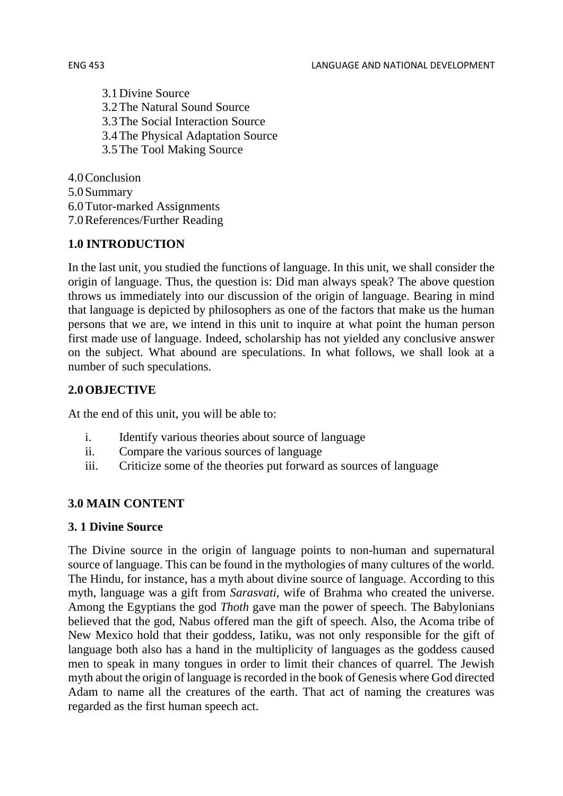3.1Divine Source 3.2The Natural Sound Source 3.3The Social Interaction Source 3.4The Physical Adaptation Source 3.5The Tool Making Source

4.0Conclusion 5.0Summary 6.0Tutor-marked Assignments 7.0References/Further Reading

### **1.0 INTRODUCTION**

In the last unit, you studied the functions of language. In this unit, we shall consider the origin of language. Thus, the question is: Did man always speak? The above question throws us immediately into our discussion of the origin of language. Bearing in mind that language is depicted by philosophers as one of the factors that make us the human persons that we are, we intend in this unit to inquire at what point the human person first made use of language. Indeed, scholarship has not yielded any conclusive answer on the subject. What abound are speculations. In what follows, we shall look at a number of such speculations.

# **2.0OBJECTIVE**

At the end of this unit, you will be able to:

- i. Identify various theories about source of language
- ii. Compare the various sources of language
- iii. Criticize some of the theories put forward as sources of language

# **3.0 MAIN CONTENT**

#### **3. 1 Divine Source**

The Divine source in the origin of language points to non-human and supernatural source of language. This can be found in the mythologies of many cultures of the world. The Hindu, for instance, has a myth about divine source of language. According to this myth, language was a gift from *Sarasvati*, wife of Brahma who created the universe. Among the Egyptians the god *Thoth* gave man the power of speech. The Babylonians believed that the god, Nabus offered man the gift of speech. Also, the Acoma tribe of New Mexico hold that their goddess, Iatiku, was not only responsible for the gift of language both also has a hand in the multiplicity of languages as the goddess caused men to speak in many tongues in order to limit their chances of quarrel. The Jewish myth about the origin of language is recorded in the book of Genesis where God directed Adam to name all the creatures of the earth. That act of naming the creatures was regarded as the first human speech act.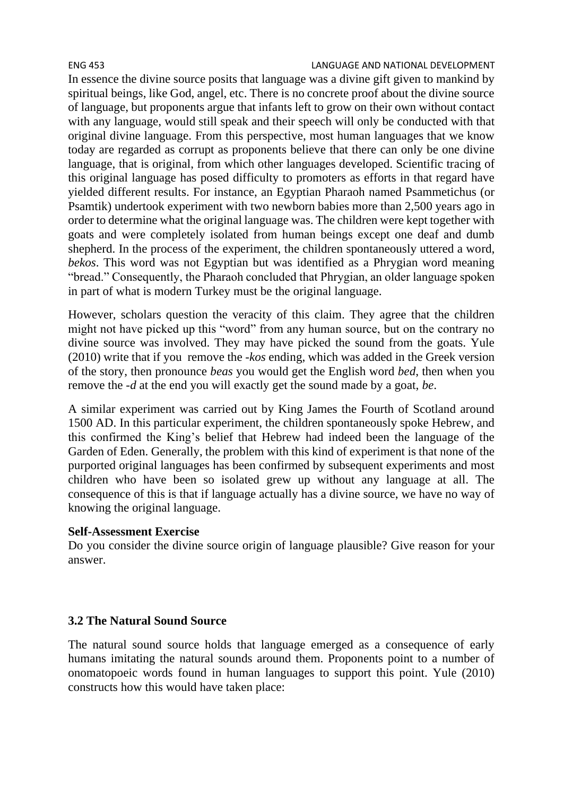#### ENG 453 LANGUAGE AND NATIONAL DEVELOPMENT

In essence the divine source posits that language was a divine gift given to mankind by spiritual beings, like God, angel, etc. There is no concrete proof about the divine source of language, but proponents argue that infants left to grow on their own without contact with any language, would still speak and their speech will only be conducted with that original divine language. From this perspective, most human languages that we know today are regarded as corrupt as proponents believe that there can only be one divine language, that is original, from which other languages developed. Scientific tracing of this original language has posed difficulty to promoters as efforts in that regard have yielded different results. For instance, an Egyptian Pharaoh named Psammetichus (or Psamtik) undertook experiment with two newborn babies more than 2,500 years ago in order to determine what the original language was. The children were kept together with goats and were completely isolated from human beings except one deaf and dumb shepherd. In the process of the experiment, the children spontaneously uttered a word, *bekos*. This word was not Egyptian but was identified as a Phrygian word meaning "bread." Consequently, the Pharaoh concluded that Phrygian, an older language spoken in part of what is modern Turkey must be the original language.

However, scholars question the veracity of this claim. They agree that the children might not have picked up this "word" from any human source, but on the contrary no divine source was involved. They may have picked the sound from the goats. Yule (2010) write that if you remove the *-kos* ending, which was added in the Greek version of the story, then pronounce *beas* you would get the English word *bed*, then when you remove the *-d* at the end you will exactly get the sound made by a goat, *be*.

A similar experiment was carried out by King James the Fourth of Scotland around 1500 AD. In this particular experiment, the children spontaneously spoke Hebrew, and this confirmed the King's belief that Hebrew had indeed been the language of the Garden of Eden. Generally, the problem with this kind of experiment is that none of the purported original languages has been confirmed by subsequent experiments and most children who have been so isolated grew up without any language at all. The consequence of this is that if language actually has a divine source, we have no way of knowing the original language.

#### **Self-Assessment Exercise**

Do you consider the divine source origin of language plausible? Give reason for your answer.

#### **3.2 The Natural Sound Source**

The natural sound source holds that language emerged as a consequence of early humans imitating the natural sounds around them. Proponents point to a number of onomatopoeic words found in human languages to support this point. Yule (2010) constructs how this would have taken place: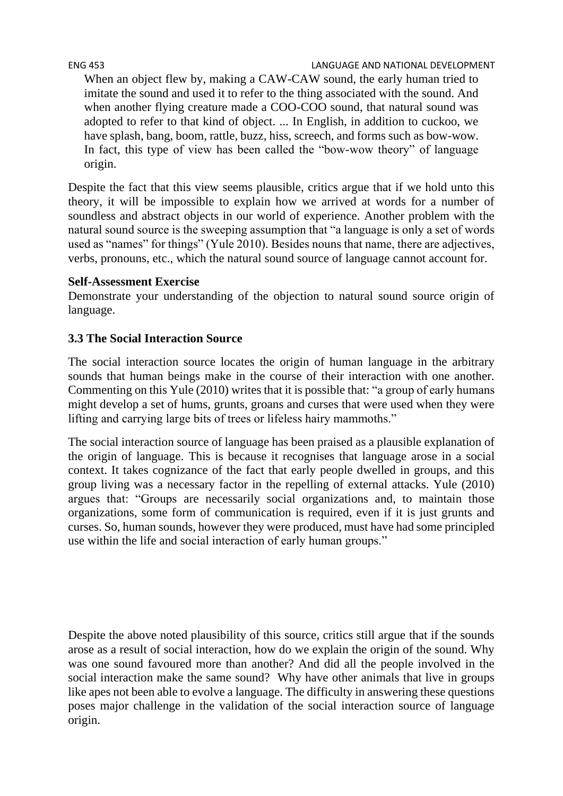ENG 453 LANGUAGE AND NATIONAL DEVELOPMENT

When an object flew by, making a CAW-CAW sound, the early human tried to imitate the sound and used it to refer to the thing associated with the sound. And when another flying creature made a COO-COO sound, that natural sound was adopted to refer to that kind of object. ... In English, in addition to cuckoo, we have splash, bang, boom, rattle, buzz, hiss, screech, and forms such as bow-wow. In fact, this type of view has been called the "bow-wow theory" of language origin.

Despite the fact that this view seems plausible, critics argue that if we hold unto this theory, it will be impossible to explain how we arrived at words for a number of soundless and abstract objects in our world of experience. Another problem with the natural sound source is the sweeping assumption that "a language is only a set of words used as "names" for things" (Yule 2010). Besides nouns that name, there are adjectives, verbs, pronouns, etc., which the natural sound source of language cannot account for.

#### **Self-Assessment Exercise**

Demonstrate your understanding of the objection to natural sound source origin of language.

#### **3.3 The Social Interaction Source**

The social interaction source locates the origin of human language in the arbitrary sounds that human beings make in the course of their interaction with one another. Commenting on this Yule (2010) writes that it is possible that: "a group of early humans might develop a set of hums, grunts, groans and curses that were used when they were lifting and carrying large bits of trees or lifeless hairy mammoths."

The social interaction source of language has been praised as a plausible explanation of the origin of language. This is because it recognises that language arose in a social context. It takes cognizance of the fact that early people dwelled in groups, and this group living was a necessary factor in the repelling of external attacks. Yule (2010) argues that: "Groups are necessarily social organizations and, to maintain those organizations, some form of communication is required, even if it is just grunts and curses. So, human sounds, however they were produced, must have had some principled use within the life and social interaction of early human groups."

Despite the above noted plausibility of this source, critics still argue that if the sounds arose as a result of social interaction, how do we explain the origin of the sound. Why was one sound favoured more than another? And did all the people involved in the social interaction make the same sound? Why have other animals that live in groups like apes not been able to evolve a language. The difficulty in answering these questions poses major challenge in the validation of the social interaction source of language origin.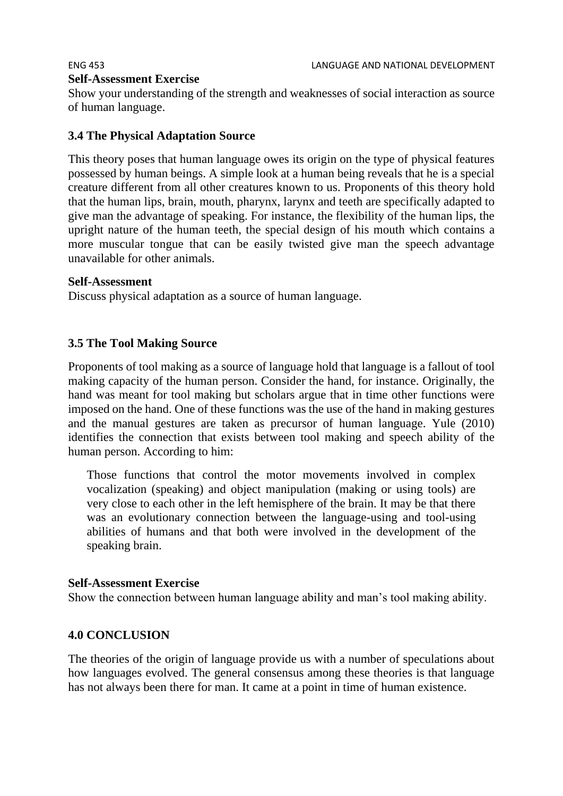# **Self-Assessment Exercise**

Show your understanding of the strength and weaknesses of social interaction as source of human language.

### **3.4 The Physical Adaptation Source**

This theory poses that human language owes its origin on the type of physical features possessed by human beings. A simple look at a human being reveals that he is a special creature different from all other creatures known to us. Proponents of this theory hold that the human lips, brain, mouth, pharynx, larynx and teeth are specifically adapted to give man the advantage of speaking. For instance, the flexibility of the human lips, the upright nature of the human teeth, the special design of his mouth which contains a more muscular tongue that can be easily twisted give man the speech advantage unavailable for other animals.

#### **Self-Assessment**

Discuss physical adaptation as a source of human language.

### **3.5 The Tool Making Source**

Proponents of tool making as a source of language hold that language is a fallout of tool making capacity of the human person. Consider the hand, for instance. Originally, the hand was meant for tool making but scholars argue that in time other functions were imposed on the hand. One of these functions was the use of the hand in making gestures and the manual gestures are taken as precursor of human language. Yule (2010) identifies the connection that exists between tool making and speech ability of the human person. According to him:

Those functions that control the motor movements involved in complex vocalization (speaking) and object manipulation (making or using tools) are very close to each other in the left hemisphere of the brain. It may be that there was an evolutionary connection between the language-using and tool-using abilities of humans and that both were involved in the development of the speaking brain.

#### **Self-Assessment Exercise**

Show the connection between human language ability and man's tool making ability.

#### **4.0 CONCLUSION**

The theories of the origin of language provide us with a number of speculations about how languages evolved. The general consensus among these theories is that language has not always been there for man. It came at a point in time of human existence.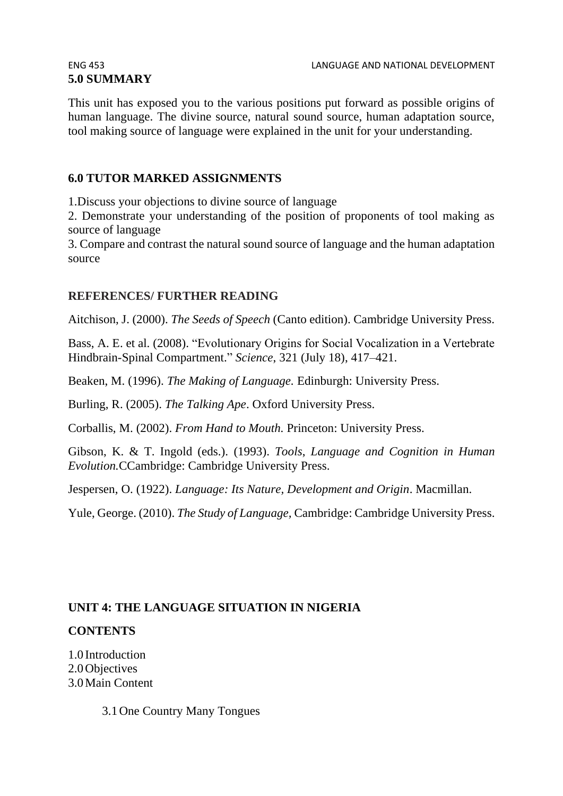# **5.0 SUMMARY**

This unit has exposed you to the various positions put forward as possible origins of human language. The divine source, natural sound source, human adaptation source, tool making source of language were explained in the unit for your understanding.

### **6.0 TUTOR MARKED ASSIGNMENTS**

1.Discuss your objections to divine source of language

2. Demonstrate your understanding of the position of proponents of tool making as source of language

3. Compare and contrast the natural sound source of language and the human adaptation source

#### **REFERENCES/ FURTHER READING**

Aitchison, J. (2000). *The Seeds of Speech* (Canto edition). Cambridge University Press.

Bass, A. E. et al. (2008). "Evolutionary Origins for Social Vocalization in a Vertebrate Hindbrain-Spinal Compartment." *Science*, 321 (July 18), 417–421.

Beaken, M. (1996). *The Making of Language.* Edinburgh: University Press.

Burling, R. (2005). *The Talking Ape*. Oxford University Press.

Corballis, M. (2002). *From Hand to Mouth.* Princeton: University Press.

Gibson, K. & T. Ingold (eds.). (1993). *Tools*, *Language and Cognition in Human Evolution.*CCambridge: Cambridge University Press.

Jespersen, O. (1922). *Language: Its Nature, Development and Origin*. Macmillan.

Yule, George. (2010). *The Study of Language,* Cambridge: Cambridge University Press.

#### **UNIT 4: THE LANGUAGE SITUATION IN NIGERIA**

#### **CONTENTS**

1.0 Introduction 2.0 Objectives 3.0Main Content

3.1One Country Many Tongues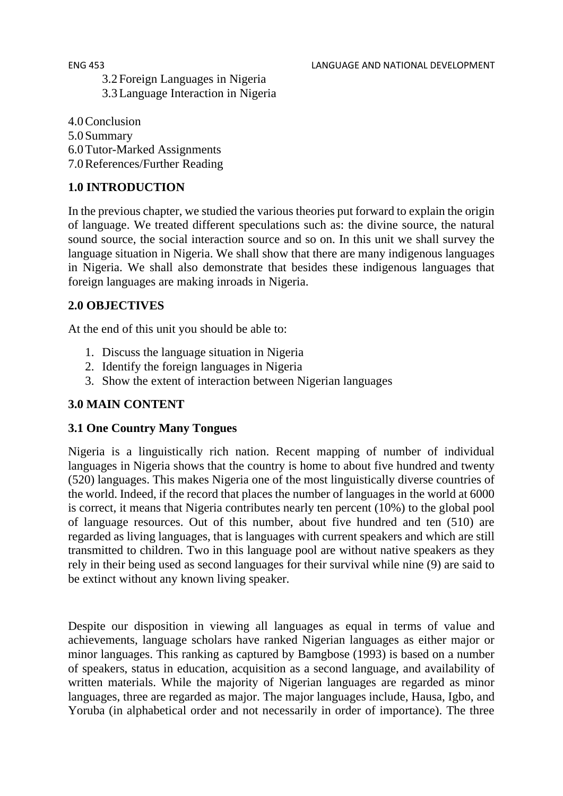3.2Foreign Languages in Nigeria 3.3Language Interaction in Nigeria

- 4.0Conclusion
- 5.0Summary 6.0Tutor-Marked Assignments
- 7.0References/Further Reading

# **1.0 INTRODUCTION**

In the previous chapter, we studied the various theories put forward to explain the origin of language. We treated different speculations such as: the divine source, the natural sound source, the social interaction source and so on. In this unit we shall survey the language situation in Nigeria. We shall show that there are many indigenous languages in Nigeria. We shall also demonstrate that besides these indigenous languages that foreign languages are making inroads in Nigeria.

### **2.0 OBJECTIVES**

At the end of this unit you should be able to:

- 1. Discuss the language situation in Nigeria
- 2. Identify the foreign languages in Nigeria
- 3. Show the extent of interaction between Nigerian languages

### **3.0 MAIN CONTENT**

#### **3.1 One Country Many Tongues**

Nigeria is a linguistically rich nation. Recent mapping of number of individual languages in Nigeria shows that the country is home to about five hundred and twenty (520) languages. This makes Nigeria one of the most linguistically diverse countries of the world. Indeed, if the record that places the number of languages in the world at 6000 is correct, it means that Nigeria contributes nearly ten percent (10%) to the global pool of language resources. Out of this number, about five hundred and ten (510) are regarded as living languages, that is languages with current speakers and which are still transmitted to children. Two in this language pool are without native speakers as they rely in their being used as second languages for their survival while nine (9) are said to be extinct without any known living speaker.

Despite our disposition in viewing all languages as equal in terms of value and achievements, language scholars have ranked Nigerian languages as either major or minor languages. This ranking as captured by Bamgbose (1993) is based on a number of speakers, status in education, acquisition as a second language, and availability of written materials. While the majority of Nigerian languages are regarded as minor languages, three are regarded as major. The major languages include, Hausa, Igbo, and Yoruba (in alphabetical order and not necessarily in order of importance). The three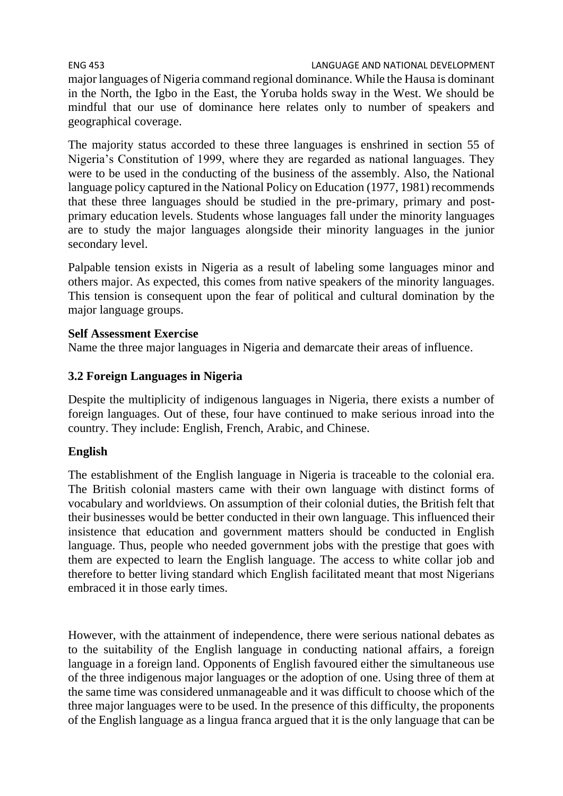#### ENG 453 LANGUAGE AND NATIONAL DEVELOPMENT

major languages of Nigeria command regional dominance. While the Hausa is dominant in the North, the Igbo in the East, the Yoruba holds sway in the West. We should be mindful that our use of dominance here relates only to number of speakers and geographical coverage.

The majority status accorded to these three languages is enshrined in section 55 of Nigeria's Constitution of 1999, where they are regarded as national languages. They were to be used in the conducting of the business of the assembly. Also, the National language policy captured in the National Policy on Education (1977, 1981) recommends that these three languages should be studied in the pre-primary, primary and postprimary education levels. Students whose languages fall under the minority languages are to study the major languages alongside their minority languages in the junior secondary level.

Palpable tension exists in Nigeria as a result of labeling some languages minor and others major. As expected, this comes from native speakers of the minority languages. This tension is consequent upon the fear of political and cultural domination by the major language groups.

#### **Self Assessment Exercise**

Name the three major languages in Nigeria and demarcate their areas of influence.

#### **3.2 Foreign Languages in Nigeria**

Despite the multiplicity of indigenous languages in Nigeria, there exists a number of foreign languages. Out of these, four have continued to make serious inroad into the country. They include: English, French, Arabic, and Chinese.

#### **English**

The establishment of the English language in Nigeria is traceable to the colonial era. The British colonial masters came with their own language with distinct forms of vocabulary and worldviews. On assumption of their colonial duties, the British felt that their businesses would be better conducted in their own language. This influenced their insistence that education and government matters should be conducted in English language. Thus, people who needed government jobs with the prestige that goes with them are expected to learn the English language. The access to white collar job and therefore to better living standard which English facilitated meant that most Nigerians embraced it in those early times.

However, with the attainment of independence, there were serious national debates as to the suitability of the English language in conducting national affairs, a foreign language in a foreign land. Opponents of English favoured either the simultaneous use of the three indigenous major languages or the adoption of one. Using three of them at the same time was considered unmanageable and it was difficult to choose which of the three major languages were to be used. In the presence of this difficulty, the proponents of the English language as a lingua franca argued that it is the only language that can be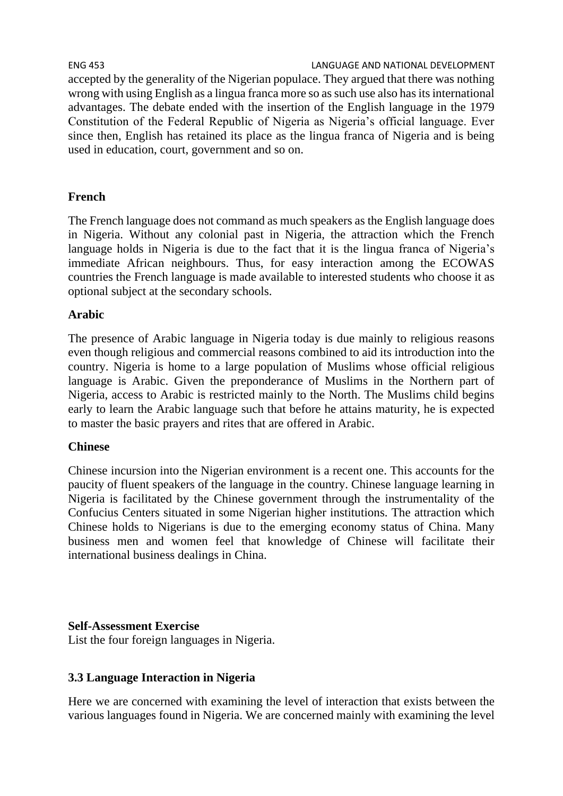ENG 453 LANGUAGE AND NATIONAL DEVELOPMENT accepted by the generality of the Nigerian populace. They argued that there was nothing wrong with using English as a lingua franca more so as such use also has its international advantages. The debate ended with the insertion of the English language in the 1979 Constitution of the Federal Republic of Nigeria as Nigeria's official language. Ever since then, English has retained its place as the lingua franca of Nigeria and is being used in education, court, government and so on.

### **French**

The French language does not command as much speakers as the English language does in Nigeria. Without any colonial past in Nigeria, the attraction which the French language holds in Nigeria is due to the fact that it is the lingua franca of Nigeria's immediate African neighbours. Thus, for easy interaction among the ECOWAS countries the French language is made available to interested students who choose it as optional subject at the secondary schools.

#### **Arabic**

The presence of Arabic language in Nigeria today is due mainly to religious reasons even though religious and commercial reasons combined to aid its introduction into the country. Nigeria is home to a large population of Muslims whose official religious language is Arabic. Given the preponderance of Muslims in the Northern part of Nigeria, access to Arabic is restricted mainly to the North. The Muslims child begins early to learn the Arabic language such that before he attains maturity, he is expected to master the basic prayers and rites that are offered in Arabic.

#### **Chinese**

Chinese incursion into the Nigerian environment is a recent one. This accounts for the paucity of fluent speakers of the language in the country. Chinese language learning in Nigeria is facilitated by the Chinese government through the instrumentality of the Confucius Centers situated in some Nigerian higher institutions. The attraction which Chinese holds to Nigerians is due to the emerging economy status of China. Many business men and women feel that knowledge of Chinese will facilitate their international business dealings in China.

#### **Self-Assessment Exercise**

List the four foreign languages in Nigeria.

#### **3.3 Language Interaction in Nigeria**

Here we are concerned with examining the level of interaction that exists between the various languages found in Nigeria. We are concerned mainly with examining the level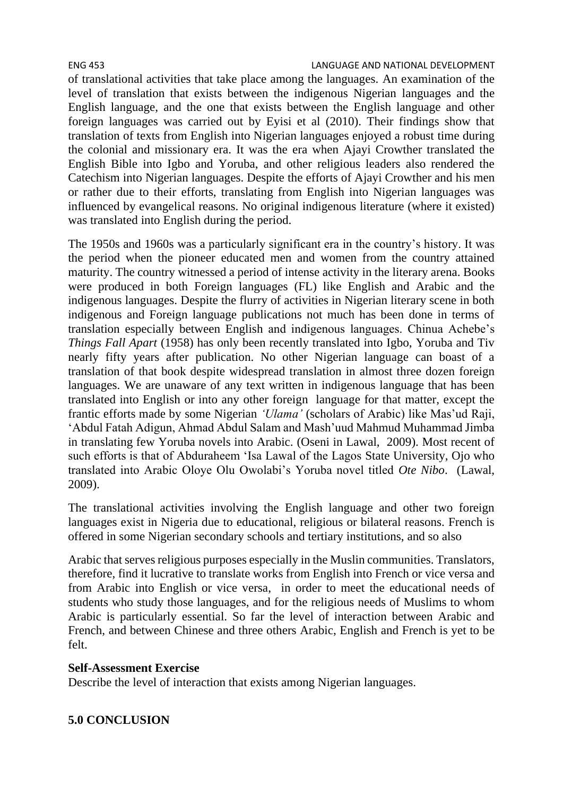of translational activities that take place among the languages. An examination of the level of translation that exists between the indigenous Nigerian languages and the English language, and the one that exists between the English language and other foreign languages was carried out by Eyisi et al (2010). Their findings show that translation of texts from English into Nigerian languages enjoyed a robust time during the colonial and missionary era. It was the era when Ajayi Crowther translated the English Bible into Igbo and Yoruba, and other religious leaders also rendered the Catechism into Nigerian languages. Despite the efforts of Ajayi Crowther and his men or rather due to their efforts, translating from English into Nigerian languages was influenced by evangelical reasons. No original indigenous literature (where it existed) was translated into English during the period.

The 1950s and 1960s was a particularly significant era in the country's history. It was the period when the pioneer educated men and women from the country attained maturity. The country witnessed a period of intense activity in the literary arena. Books were produced in both Foreign languages (FL) like English and Arabic and the indigenous languages. Despite the flurry of activities in Nigerian literary scene in both indigenous and Foreign language publications not much has been done in terms of translation especially between English and indigenous languages. Chinua Achebe's *Things Fall Apart* (1958) has only been recently translated into Igbo, Yoruba and Tiv nearly fifty years after publication. No other Nigerian language can boast of a translation of that book despite widespread translation in almost three dozen foreign languages. We are unaware of any text written in indigenous language that has been translated into English or into any other foreign language for that matter, except the frantic efforts made by some Nigerian *'Ulama'* (scholars of Arabic) like Mas'ud Raji, 'Abdul Fatah Adigun, Ahmad Abdul Salam and Mash'uud Mahmud Muhammad Jimba in translating few Yoruba novels into Arabic. (Oseni in Lawal, 2009). Most recent of such efforts is that of Abduraheem 'Isa Lawal of the Lagos State University, Ojo who translated into Arabic Oloye Olu Owolabi's Yoruba novel titled *Ote Nibo*. (Lawal, 2009).

The translational activities involving the English language and other two foreign languages exist in Nigeria due to educational, religious or bilateral reasons. French is offered in some Nigerian secondary schools and tertiary institutions, and so also

Arabic that serves religious purposes especially in the Muslin communities. Translators, therefore, find it lucrative to translate works from English into French or vice versa and from Arabic into English or vice versa, in order to meet the educational needs of students who study those languages, and for the religious needs of Muslims to whom Arabic is particularly essential. So far the level of interaction between Arabic and French, and between Chinese and three others Arabic, English and French is yet to be felt.

# **Self-Assessment Exercise**

Describe the level of interaction that exists among Nigerian languages.

# **5.0 CONCLUSION**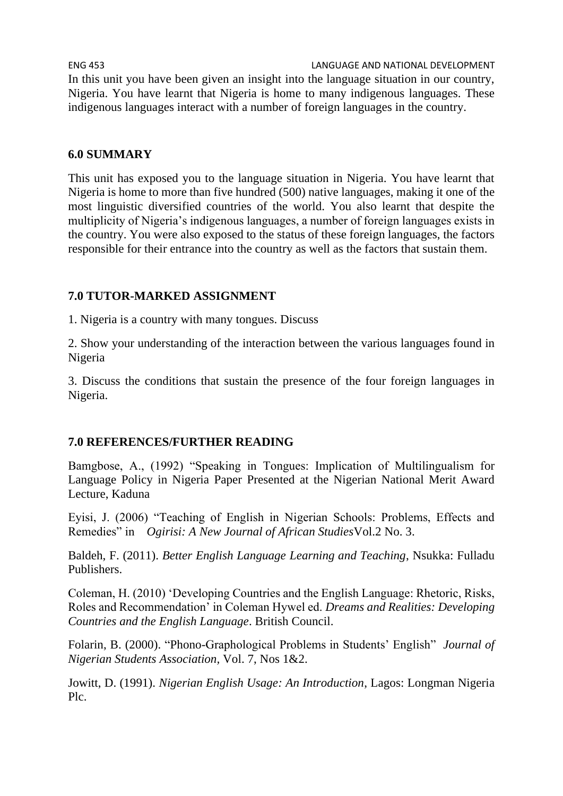ENG 453 LANGUAGE AND NATIONAL DEVELOPMENT In this unit you have been given an insight into the language situation in our country, Nigeria. You have learnt that Nigeria is home to many indigenous languages. These indigenous languages interact with a number of foreign languages in the country.

#### **6.0 SUMMARY**

This unit has exposed you to the language situation in Nigeria. You have learnt that Nigeria is home to more than five hundred (500) native languages, making it one of the most linguistic diversified countries of the world. You also learnt that despite the multiplicity of Nigeria's indigenous languages, a number of foreign languages exists in the country. You were also exposed to the status of these foreign languages, the factors responsible for their entrance into the country as well as the factors that sustain them.

#### **7.0 TUTOR-MARKED ASSIGNMENT**

1. Nigeria is a country with many tongues. Discuss

2. Show your understanding of the interaction between the various languages found in Nigeria

3. Discuss the conditions that sustain the presence of the four foreign languages in Nigeria.

#### **7.0 REFERENCES/FURTHER READING**

Bamgbose, A., (1992) "Speaking in Tongues: Implication of Multilingualism for Language Policy in Nigeria Paper Presented at the Nigerian National Merit Award Lecture, Kaduna

Eyisi, J. (2006) "Teaching of English in Nigerian Schools: Problems, Effects and Remedies" in *Ogirisi: A New Journal of African Studies*Vol.2 No. 3.

Baldeh, F. (2011). *Better English Language Learning and Teaching*, Nsukka: Fulladu Publishers.

Coleman, H. (2010) 'Developing Countries and the English Language: Rhetoric, Risks, Roles and Recommendation' in Coleman Hywel ed. *Dreams and Realities: Developing Countries and the English Language*. British Council.

Folarin, B. (2000). "Phono-Graphological Problems in Students' English" *Journal of Nigerian Students Association,* Vol. 7, Nos 1&2.

Jowitt, D. (1991). *Nigerian English Usage: An Introduction*, Lagos: Longman Nigeria Plc.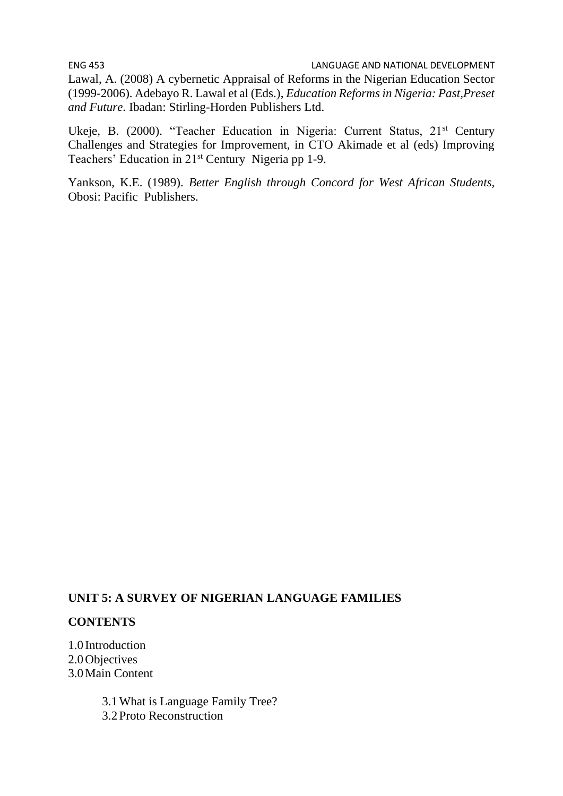Lawal, A. (2008) A cybernetic Appraisal of Reforms in the Nigerian Education Sector (1999-2006). Adebayo R. Lawal et al (Eds.), *Education Reforms in Nigeria: Past,Preset and Future.* Ibadan: Stirling-Horden Publishers Ltd.

Ukeje, B. (2000). "Teacher Education in Nigeria: Current Status, 21st Century Challenges and Strategies for Improvement, in CTO Akimade et al (eds) Improving Teachers' Education in 21st Century Nigeria pp 1-9.

Yankson, K.E. (1989). *Better English through Concord for West African Students,* Obosi: Pacific Publishers.

# **UNIT 5: A SURVEY OF NIGERIAN LANGUAGE FAMILIES**

#### **CONTENTS**

1.0 Introduction 2.0Objectives 3.0Main Content

> 3.1What is Language Family Tree? 3.2Proto Reconstruction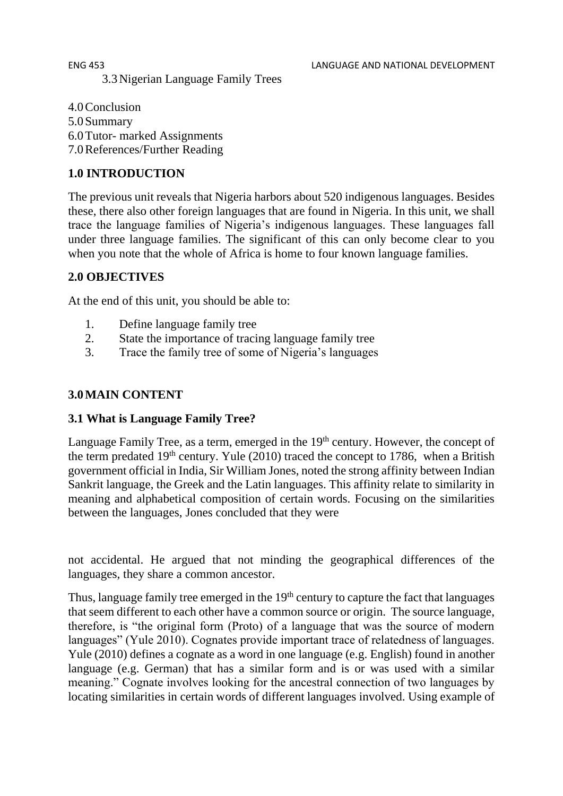#### ENG 453 LANGUAGE AND NATIONAL DEVELOPMENT 3.3Nigerian Language Family Trees

4.0Conclusion 5.0Summary 6.0Tutor- marked Assignments 7.0References/Further Reading

# **1.0 INTRODUCTION**

The previous unit reveals that Nigeria harbors about 520 indigenous languages. Besides these, there also other foreign languages that are found in Nigeria. In this unit, we shall trace the language families of Nigeria's indigenous languages. These languages fall under three language families. The significant of this can only become clear to you when you note that the whole of Africa is home to four known language families.

# **2.0 OBJECTIVES**

At the end of this unit, you should be able to:

- 1. Define language family tree
- 2. State the importance of tracing language family tree
- 3. Trace the family tree of some of Nigeria's languages

# **3.0MAIN CONTENT**

# **3.1 What is Language Family Tree?**

Language Family Tree, as a term, emerged in the  $19<sup>th</sup>$  century. However, the concept of the term predated  $19<sup>th</sup>$  century. Yule (2010) traced the concept to 1786, when a British government official in India, Sir William Jones, noted the strong affinity between Indian Sankrit language, the Greek and the Latin languages. This affinity relate to similarity in meaning and alphabetical composition of certain words. Focusing on the similarities between the languages, Jones concluded that they were

not accidental. He argued that not minding the geographical differences of the languages, they share a common ancestor.

Thus, language family tree emerged in the 19<sup>th</sup> century to capture the fact that languages that seem different to each other have a common source or origin. The source language, therefore, is "the original form (Proto) of a language that was the source of modern languages" (Yule 2010). Cognates provide important trace of relatedness of languages. Yule (2010) defines a cognate as a word in one language (e.g. English) found in another language (e.g. German) that has a similar form and is or was used with a similar meaning." Cognate involves looking for the ancestral connection of two languages by locating similarities in certain words of different languages involved. Using example of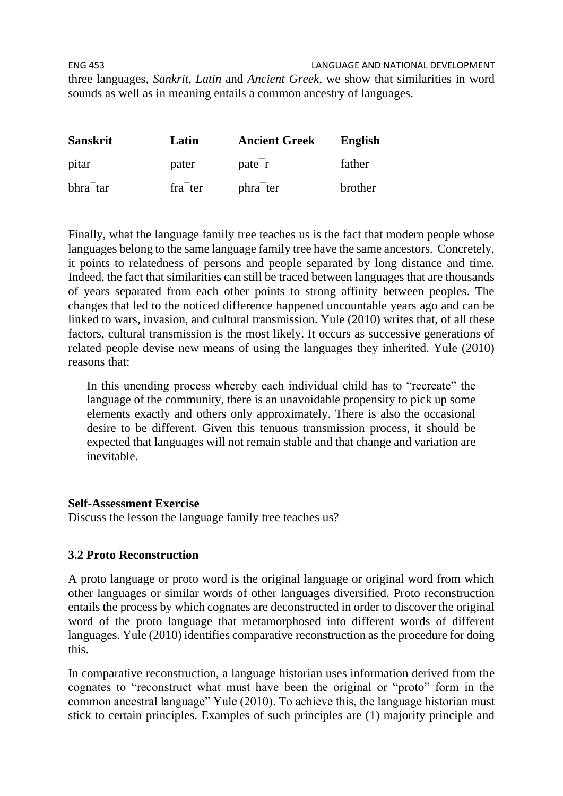ENG 453 LANGUAGE AND NATIONAL DEVELOPMENT three languages, *Sankrit*, *Latin* and *Ancient Greek*, we show that similarities in word sounds as well as in meaning entails a common ancestry of languages.

| <b>Sanskrit</b>       | Latin                | <b>Ancient Greek</b>  | English |
|-----------------------|----------------------|-----------------------|---------|
| pitar                 | pater                | pate <sup>-</sup> r   | father  |
| bhra <sup>-</sup> tar | fra <sup>-</sup> ter | phra <sup>-</sup> ter | brother |

Finally, what the language family tree teaches us is the fact that modern people whose languages belong to the same language family tree have the same ancestors. Concretely, it points to relatedness of persons and people separated by long distance and time. Indeed, the fact that similarities can still be traced between languages that are thousands of years separated from each other points to strong affinity between peoples. The changes that led to the noticed difference happened uncountable years ago and can be linked to wars, invasion, and cultural transmission. Yule (2010) writes that, of all these factors, cultural transmission is the most likely. It occurs as successive generations of related people devise new means of using the languages they inherited. Yule (2010) reasons that:

In this unending process whereby each individual child has to "recreate" the language of the community, there is an unavoidable propensity to pick up some elements exactly and others only approximately. There is also the occasional desire to be different. Given this tenuous transmission process, it should be expected that languages will not remain stable and that change and variation are inevitable.

#### **Self-Assessment Exercise**

Discuss the lesson the language family tree teaches us?

#### **3.2 Proto Reconstruction**

A proto language or proto word is the original language or original word from which other languages or similar words of other languages diversified. Proto reconstruction entails the process by which cognates are deconstructed in order to discover the original word of the proto language that metamorphosed into different words of different languages. Yule (2010) identifies comparative reconstruction as the procedure for doing this.

In comparative reconstruction, a language historian uses information derived from the cognates to "reconstruct what must have been the original or "proto" form in the common ancestral language" Yule (2010). To achieve this, the language historian must stick to certain principles. Examples of such principles are (1) majority principle and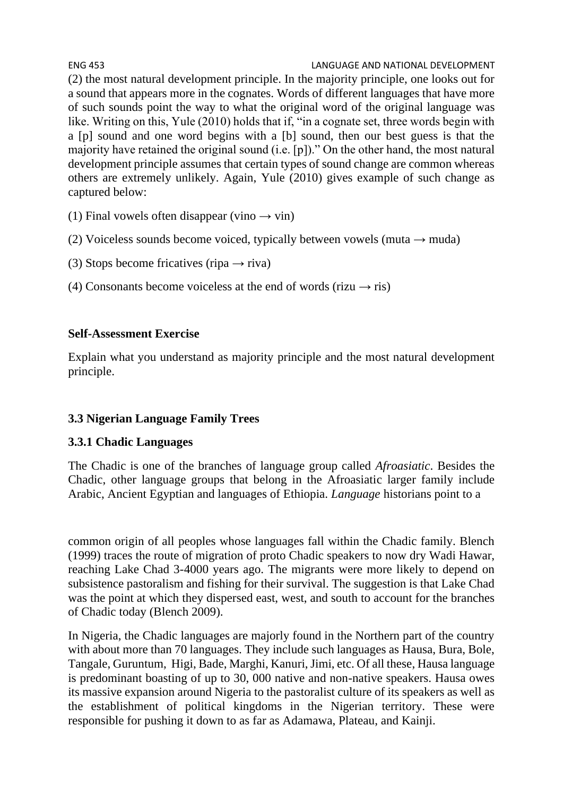ENG 453 LANGUAGE AND NATIONAL DEVELOPMENT (2) the most natural development principle. In the majority principle, one looks out for a sound that appears more in the cognates. Words of different languages that have more of such sounds point the way to what the original word of the original language was like. Writing on this, Yule (2010) holds that if, "in a cognate set, three words begin with a [p] sound and one word begins with a [b] sound, then our best guess is that the majority have retained the original sound (i.e. [p])." On the other hand, the most natural development principle assumes that certain types of sound change are common whereas others are extremely unlikely. Again, Yule (2010) gives example of such change as captured below:

- (1) Final vowels often disappear (vino  $\rightarrow$  vin)
- (2) Voiceless sounds become voiced, typically between vowels (muta  $\rightarrow$  muda)
- (3) Stops become fricatives (ripa  $\rightarrow$  riva)
- (4) Consonants become voiceless at the end of words (rizu  $\rightarrow$  ris)

#### **Self-Assessment Exercise**

Explain what you understand as majority principle and the most natural development principle.

### **3.3 Nigerian Language Family Trees**

### **3.3.1 Chadic Languages**

The Chadic is one of the branches of language group called *Afroasiatic*. Besides the Chadic, other language groups that belong in the Afroasiatic larger family include Arabic, Ancient Egyptian and languages of Ethiopia. *Language* historians point to a

common origin of all peoples whose languages fall within the Chadic family. Blench (1999) traces the route of migration of proto Chadic speakers to now dry Wadi Hawar, reaching Lake Chad 3-4000 years ago. The migrants were more likely to depend on subsistence pastoralism and fishing for their survival. The suggestion is that Lake Chad was the point at which they dispersed east, west, and south to account for the branches of Chadic today (Blench 2009).

In Nigeria, the Chadic languages are majorly found in the Northern part of the country with about more than 70 languages. They include such languages as Hausa, Bura, Bole, Tangale, Guruntum, Higi, Bade, Marghi, Kanuri, Jimi, etc. Of all these, Hausa language is predominant boasting of up to 30, 000 native and non-native speakers. Hausa owes its massive expansion around Nigeria to the pastoralist culture of its speakers as well as the establishment of political kingdoms in the Nigerian territory. These were responsible for pushing it down to as far as Adamawa, Plateau, and Kainji.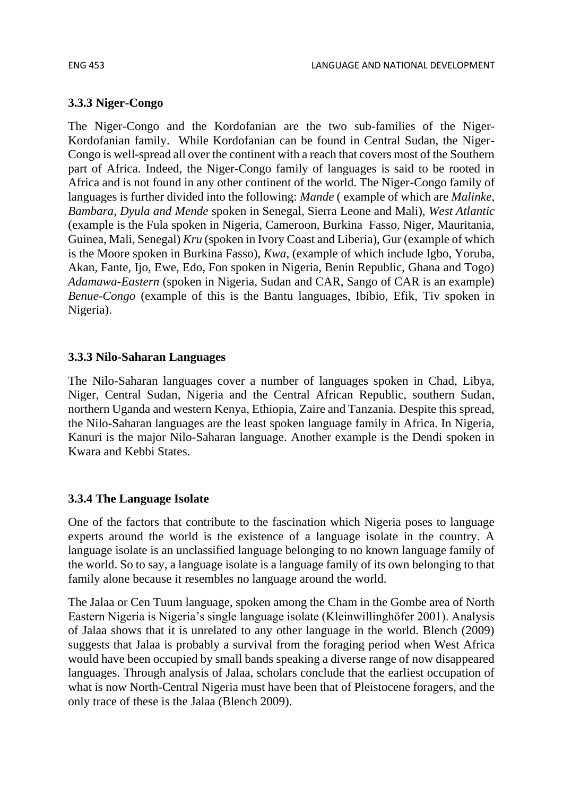#### **3.3.3 Niger-Congo**

The Niger-Congo and the Kordofanian are the two sub-families of the Niger-Kordofanian family. While Kordofanian can be found in Central Sudan, the Niger-Congo is well-spread all over the continent with a reach that covers most of the Southern part of Africa. Indeed, the Niger-Congo family of languages is said to be rooted in Africa and is not found in any other continent of the world. The Niger-Congo family of languages is further divided into the following: *Mande* ( example of which are *Malinke*, *Bambara, Dyula and Mende* spoken in Senegal, Sierra Leone and Mali), *West Atlantic* (example is the Fula spoken in Nigeria, Cameroon, Burkina Fasso, Niger, Mauritania, Guinea, Mali, Senegal) *Kru* (spoken in Ivory Coast and Liberia), Gur (example of which is the Moore spoken in Burkina Fasso), *Kwa*, (example of which include Igbo, Yoruba, Akan, Fante, Ijo, Ewe, Edo, Fon spoken in Nigeria, Benin Republic, Ghana and Togo) *Adamawa-Eastern* (spoken in Nigeria, Sudan and CAR, Sango of CAR is an example) *Benue-Congo* (example of this is the Bantu languages, Ibibio, Efik, Tiv spoken in Nigeria).

#### **3.3.3 Nilo-Saharan Languages**

The Nilo-Saharan languages cover a number of languages spoken in Chad, Libya, Niger, Central Sudan, Nigeria and the Central African Republic, southern Sudan, northern Uganda and western Kenya, Ethiopia, Zaire and Tanzania. Despite this spread, the Nilo-Saharan languages are the least spoken language family in Africa. In Nigeria, Kanuri is the major Nilo-Saharan language. Another example is the Dendi spoken in Kwara and Kebbi States.

#### **3.3.4 The Language Isolate**

One of the factors that contribute to the fascination which Nigeria poses to language experts around the world is the existence of a language isolate in the country. A language isolate is an unclassified language belonging to no known language family of the world. So to say, a language isolate is a language family of its own belonging to that family alone because it resembles no language around the world.

The Jalaa or Cen Tuum language, spoken among the Cham in the Gombe area of North Eastern Nigeria is Nigeria's single language isolate (Kleinwillinghöfer 2001). Analysis of Jalaa shows that it is unrelated to any other language in the world. Blench (2009) suggests that Jalaa is probably a survival from the foraging period when West Africa would have been occupied by small bands speaking a diverse range of now disappeared languages. Through analysis of Jalaa, scholars conclude that the earliest occupation of what is now North-Central Nigeria must have been that of Pleistocene foragers, and the only trace of these is the Jalaa (Blench 2009).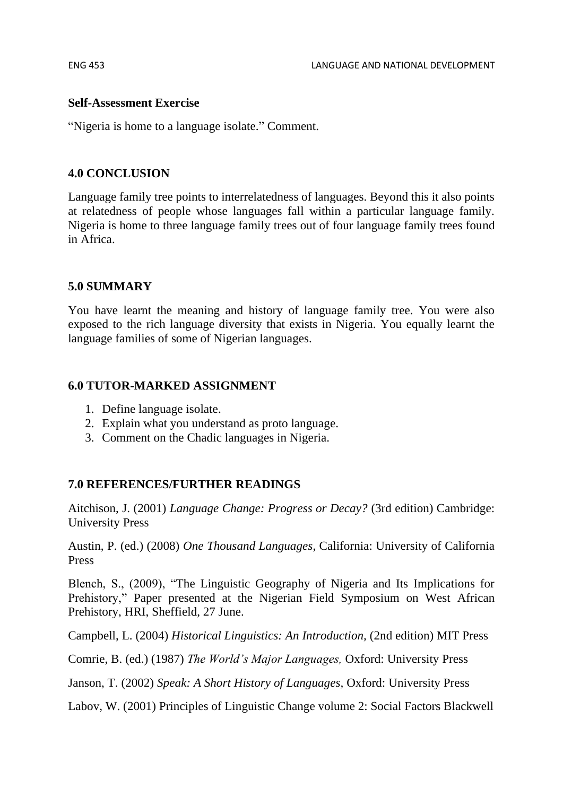#### **Self-Assessment Exercise**

"Nigeria is home to a language isolate." Comment.

#### **4.0 CONCLUSION**

Language family tree points to interrelatedness of languages. Beyond this it also points at relatedness of people whose languages fall within a particular language family. Nigeria is home to three language family trees out of four language family trees found in Africa.

#### **5.0 SUMMARY**

You have learnt the meaning and history of language family tree. You were also exposed to the rich language diversity that exists in Nigeria. You equally learnt the language families of some of Nigerian languages.

#### **6.0 TUTOR-MARKED ASSIGNMENT**

- 1. Define language isolate.
- 2. Explain what you understand as proto language.
- 3. Comment on the Chadic languages in Nigeria.

#### **7.0 REFERENCES/FURTHER READINGS**

Aitchison, J. (2001) *Language Change: Progress or Decay?* (3rd edition) Cambridge: University Press

Austin, P. (ed.) (2008) *One Thousand Languages*, California: University of California Press

Blench, S., (2009), "The Linguistic Geography of Nigeria and Its Implications for Prehistory," Paper presented at the Nigerian Field Symposium on West African Prehistory, HRI, Sheffield, 27 June.

Campbell, L. (2004) *Historical Linguistics: An Introduction,* (2nd edition) MIT Press

Comrie, B. (ed.) (1987) *The World's Major Languages,* Oxford: University Press

Janson, T. (2002) *Speak: A Short History of Languages,* Oxford: University Press

Labov, W. (2001) Principles of Linguistic Change volume 2: Social Factors Blackwell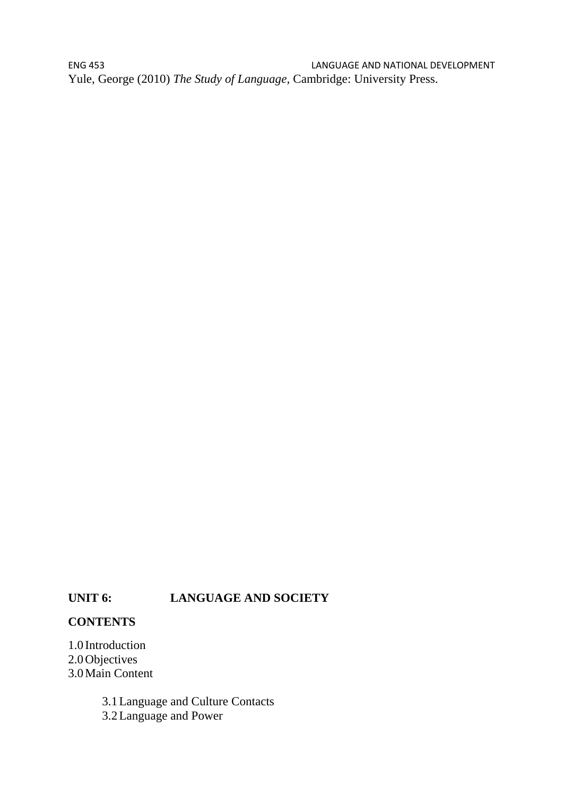ENG 453 LANGUAGE AND NATIONAL DEVELOPMENT Yule, George (2010) *The Study of Language,* Cambridge: University Press.

#### **UNIT 6: LANGUAGE AND SOCIETY**

#### **CONTENTS**

1.0 Introduction 2.0Objectives 3.0Main Content

> 3.1Language and Culture Contacts 3.2Language and Power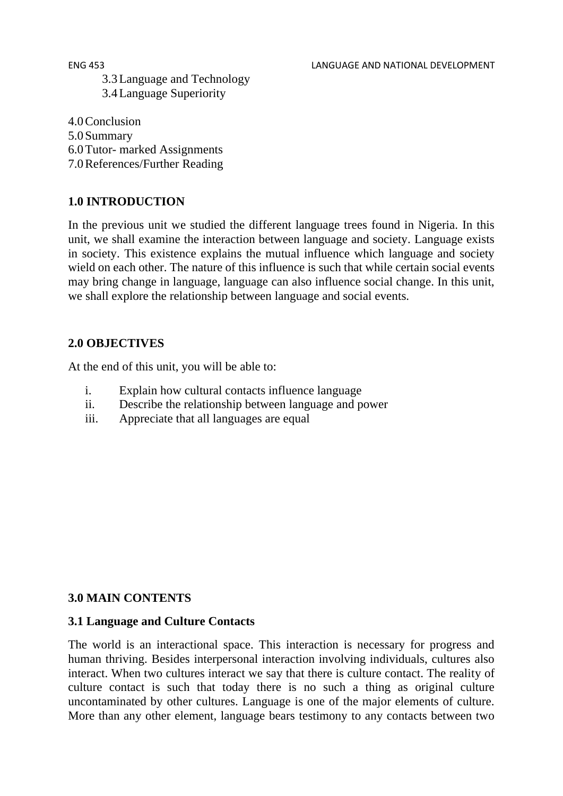ENG 453 LANGUAGE AND NATIONAL DEVELOPMENT

3.3Language and Technology 3.4Language Superiority

4.0Conclusion 5.0Summary 6.0Tutor- marked Assignments 7.0References/Further Reading

## **1.0 INTRODUCTION**

In the previous unit we studied the different language trees found in Nigeria. In this unit, we shall examine the interaction between language and society. Language exists in society. This existence explains the mutual influence which language and society wield on each other. The nature of this influence is such that while certain social events may bring change in language, language can also influence social change. In this unit, we shall explore the relationship between language and social events.

#### **2.0 OBJECTIVES**

At the end of this unit, you will be able to:

- i. Explain how cultural contacts influence language
- ii. Describe the relationship between language and power
- iii. Appreciate that all languages are equal

### **3.0 MAIN CONTENTS**

#### **3.1 Language and Culture Contacts**

The world is an interactional space. This interaction is necessary for progress and human thriving. Besides interpersonal interaction involving individuals, cultures also interact. When two cultures interact we say that there is culture contact. The reality of culture contact is such that today there is no such a thing as original culture uncontaminated by other cultures. Language is one of the major elements of culture. More than any other element, language bears testimony to any contacts between two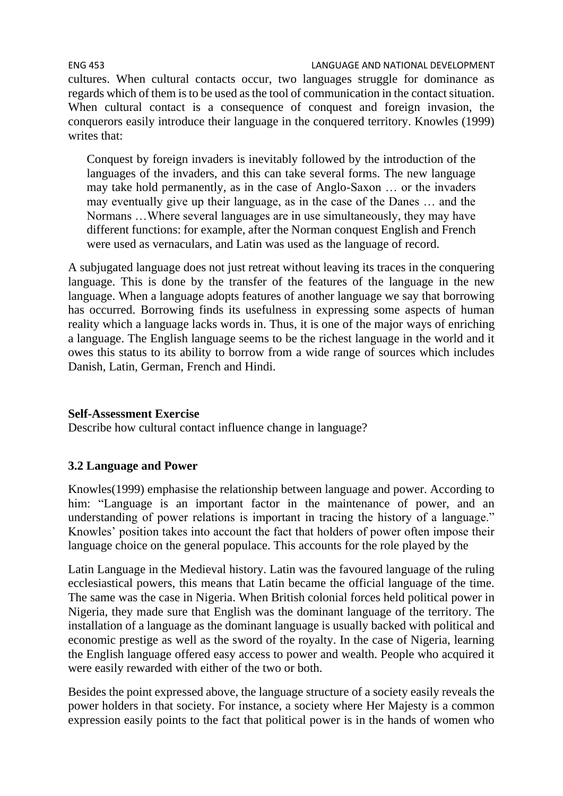ENG 453 LANGUAGE AND NATIONAL DEVELOPMENT cultures. When cultural contacts occur, two languages struggle for dominance as regards which of them is to be used as the tool of communication in the contact situation. When cultural contact is a consequence of conquest and foreign invasion, the conquerors easily introduce their language in the conquered territory. Knowles (1999) writes that:

Conquest by foreign invaders is inevitably followed by the introduction of the languages of the invaders, and this can take several forms. The new language may take hold permanently, as in the case of Anglo-Saxon … or the invaders may eventually give up their language, as in the case of the Danes … and the Normans …Where several languages are in use simultaneously, they may have different functions: for example, after the Norman conquest English and French were used as vernaculars, and Latin was used as the language of record.

A subjugated language does not just retreat without leaving its traces in the conquering language. This is done by the transfer of the features of the language in the new language. When a language adopts features of another language we say that borrowing has occurred. Borrowing finds its usefulness in expressing some aspects of human reality which a language lacks words in. Thus, it is one of the major ways of enriching a language. The English language seems to be the richest language in the world and it owes this status to its ability to borrow from a wide range of sources which includes Danish, Latin, German, French and Hindi.

#### **Self-Assessment Exercise**

Describe how cultural contact influence change in language?

### **3.2 Language and Power**

Knowles(1999) emphasise the relationship between language and power. According to him: "Language is an important factor in the maintenance of power, and an understanding of power relations is important in tracing the history of a language." Knowles' position takes into account the fact that holders of power often impose their language choice on the general populace. This accounts for the role played by the

Latin Language in the Medieval history. Latin was the favoured language of the ruling ecclesiastical powers, this means that Latin became the official language of the time. The same was the case in Nigeria. When British colonial forces held political power in Nigeria, they made sure that English was the dominant language of the territory. The installation of a language as the dominant language is usually backed with political and economic prestige as well as the sword of the royalty. In the case of Nigeria, learning the English language offered easy access to power and wealth. People who acquired it were easily rewarded with either of the two or both.

Besides the point expressed above, the language structure of a society easily reveals the power holders in that society. For instance, a society where Her Majesty is a common expression easily points to the fact that political power is in the hands of women who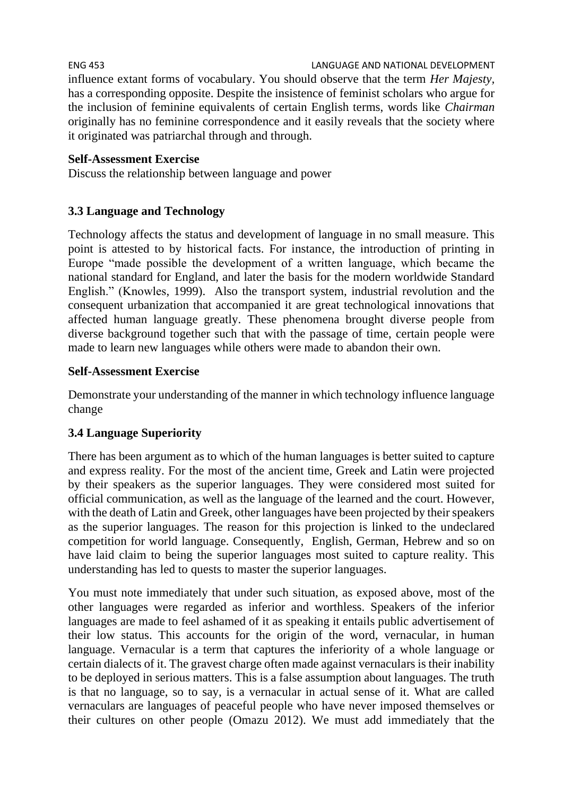influence extant forms of vocabulary. You should observe that the term *Her Majesty,* has a corresponding opposite. Despite the insistence of feminist scholars who argue for the inclusion of feminine equivalents of certain English terms, words like *Chairman*  originally has no feminine correspondence and it easily reveals that the society where it originated was patriarchal through and through.

# **Self-Assessment Exercise**

Discuss the relationship between language and power

# **3.3 Language and Technology**

Technology affects the status and development of language in no small measure. This point is attested to by historical facts. For instance, the introduction of printing in Europe "made possible the development of a written language, which became the national standard for England, and later the basis for the modern worldwide Standard English." (Knowles, 1999). Also the transport system, industrial revolution and the consequent urbanization that accompanied it are great technological innovations that affected human language greatly. These phenomena brought diverse people from diverse background together such that with the passage of time, certain people were made to learn new languages while others were made to abandon their own.

# **Self-Assessment Exercise**

Demonstrate your understanding of the manner in which technology influence language change

# **3.4 Language Superiority**

There has been argument as to which of the human languages is better suited to capture and express reality. For the most of the ancient time, Greek and Latin were projected by their speakers as the superior languages. They were considered most suited for official communication, as well as the language of the learned and the court. However, with the death of Latin and Greek, other languages have been projected by their speakers as the superior languages. The reason for this projection is linked to the undeclared competition for world language. Consequently, English, German, Hebrew and so on have laid claim to being the superior languages most suited to capture reality. This understanding has led to quests to master the superior languages.

You must note immediately that under such situation, as exposed above, most of the other languages were regarded as inferior and worthless. Speakers of the inferior languages are made to feel ashamed of it as speaking it entails public advertisement of their low status. This accounts for the origin of the word, vernacular, in human language. Vernacular is a term that captures the inferiority of a whole language or certain dialects of it. The gravest charge often made against vernaculars is their inability to be deployed in serious matters. This is a false assumption about languages. The truth is that no language, so to say, is a vernacular in actual sense of it. What are called vernaculars are languages of peaceful people who have never imposed themselves or their cultures on other people (Omazu 2012). We must add immediately that the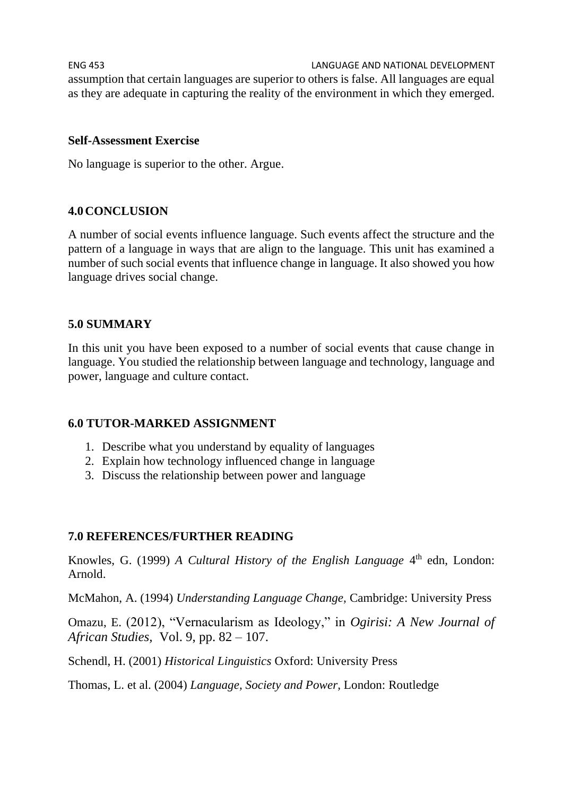ENG 453 LANGUAGE AND NATIONAL DEVELOPMENT assumption that certain languages are superior to others is false. All languages are equal as they are adequate in capturing the reality of the environment in which they emerged.

#### **Self-Assessment Exercise**

No language is superior to the other. Argue.

#### **4.0CONCLUSION**

A number of social events influence language. Such events affect the structure and the pattern of a language in ways that are align to the language. This unit has examined a number of such social events that influence change in language. It also showed you how language drives social change.

#### **5.0 SUMMARY**

In this unit you have been exposed to a number of social events that cause change in language. You studied the relationship between language and technology, language and power, language and culture contact.

#### **6.0 TUTOR-MARKED ASSIGNMENT**

- 1. Describe what you understand by equality of languages
- 2. Explain how technology influenced change in language
- 3. Discuss the relationship between power and language

#### **7.0 REFERENCES/FURTHER READING**

Knowles, G. (1999) *A Cultural History of the English Language* 4<sup>th</sup> edn, London: Arnold.

McMahon, A. (1994) *Understanding Language Change,* Cambridge: University Press

Omazu, E. (2012), "Vernacularism as Ideology," in *Ogirisi: A New Journal of African Studies,* Vol. 9, pp. 82 – 107.

Schendl, H. (2001) *Historical Linguistics* Oxford: University Press

Thomas, L. et al. (2004) *Language, Society and Power,* London: Routledge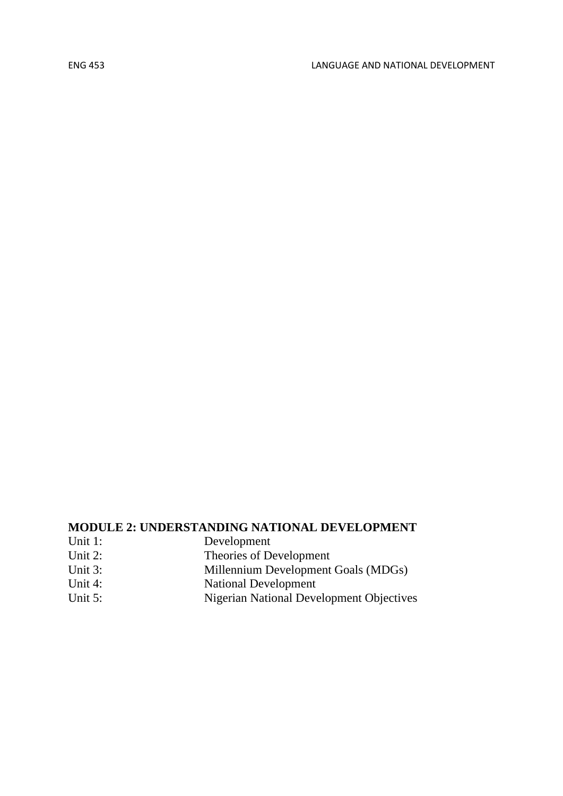# **MODULE 2: UNDERSTANDING NATIONAL DEVELOPMENT**

| Unit 1:    | Development                                     |  |
|------------|-------------------------------------------------|--|
| Unit $2$ : | Theories of Development                         |  |
| Unit 3:    | Millennium Development Goals (MDGs)             |  |
| Unit 4:    | <b>National Development</b>                     |  |
| Unit 5:    | <b>Nigerian National Development Objectives</b> |  |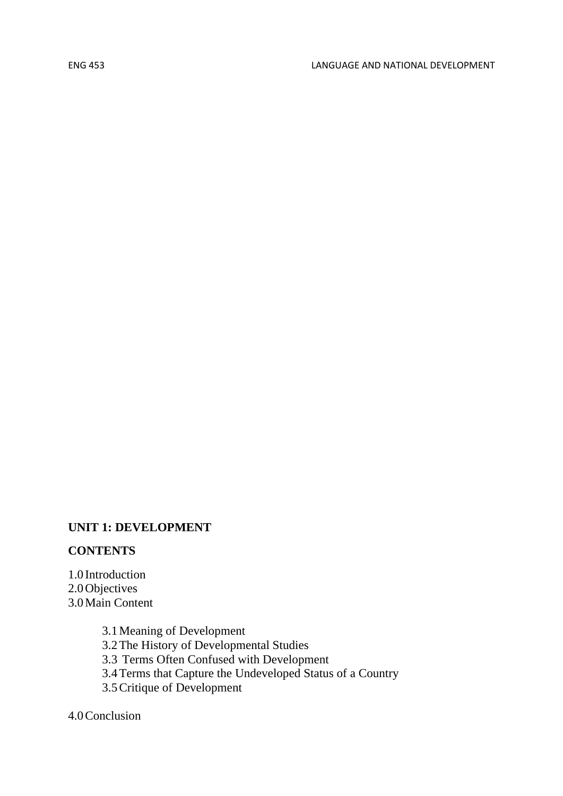#### **UNIT 1: DEVELOPMENT**

#### **CONTENTS**

1.0 Introduction 2.0Objectives 3.0Main Content

> 3.1Meaning of Development 3.2The History of Developmental Studies 3.3 Terms Often Confused with Development 3.4Terms that Capture the Undeveloped Status of a Country 3.5Critique of Development

4.0Conclusion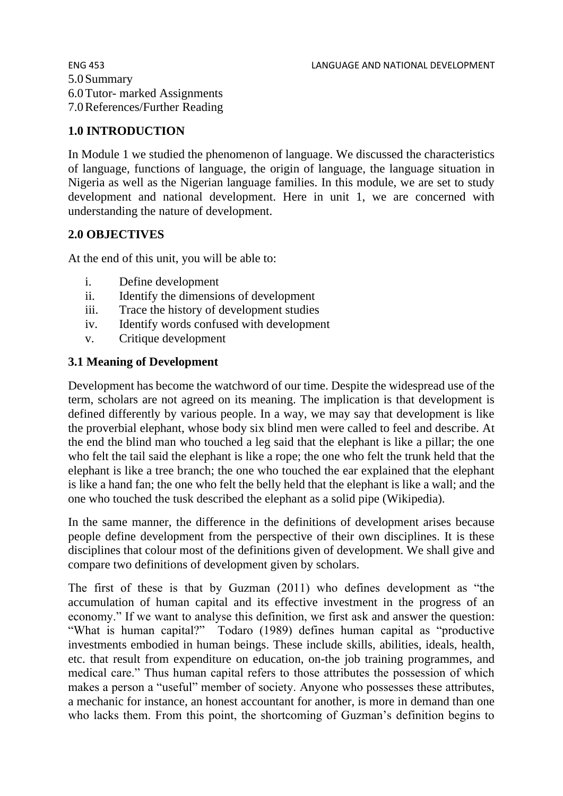5.0Summary 6.0Tutor- marked Assignments 7.0References/Further Reading

#### **1.0 INTRODUCTION**

In Module 1 we studied the phenomenon of language. We discussed the characteristics of language, functions of language, the origin of language, the language situation in Nigeria as well as the Nigerian language families. In this module, we are set to study development and national development. Here in unit 1, we are concerned with understanding the nature of development.

#### **2.0 OBJECTIVES**

At the end of this unit, you will be able to:

- i. Define development
- ii. Identify the dimensions of development
- iii. Trace the history of development studies
- iv. Identify words confused with development
- v. Critique development

#### **3.1 Meaning of Development**

Development has become the watchword of our time. Despite the widespread use of the term, scholars are not agreed on its meaning. The implication is that development is defined differently by various people. In a way, we may say that development is like the proverbial elephant, whose body six blind men were called to feel and describe. At the end the blind man who touched a leg said that the elephant is like a pillar; the one who felt the tail said the elephant is like a rope; the one who felt the trunk held that the elephant is like a tree branch; the one who touched the ear explained that the elephant is like a hand fan; the one who felt the belly held that the elephant is like a wall; and the one who touched the tusk described the elephant as a solid pipe (Wikipedia).

In the same manner, the difference in the definitions of development arises because people define development from the perspective of their own disciplines. It is these disciplines that colour most of the definitions given of development. We shall give and compare two definitions of development given by scholars.

The first of these is that by Guzman (2011) who defines development as "the accumulation of human capital and its effective investment in the progress of an economy." If we want to analyse this definition, we first ask and answer the question: "What is human capital?" Todaro (1989) defines human capital as "productive investments embodied in human beings. These include skills, abilities, ideals, health, etc. that result from expenditure on education, on-the job training programmes, and medical care." Thus human capital refers to those attributes the possession of which makes a person a "useful" member of society. Anyone who possesses these attributes, a mechanic for instance, an honest accountant for another, is more in demand than one who lacks them. From this point, the shortcoming of Guzman's definition begins to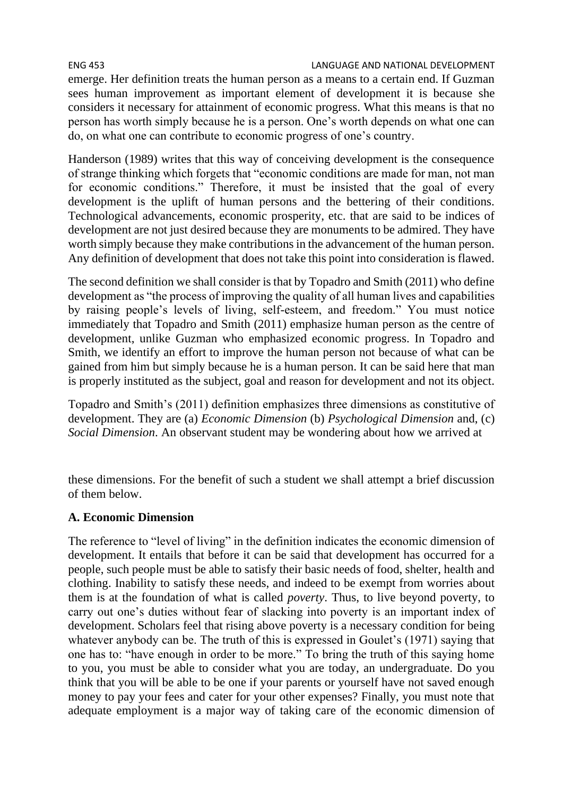#### ENG 453 LANGUAGE AND NATIONAL DEVELOPMENT

emerge. Her definition treats the human person as a means to a certain end. If Guzman sees human improvement as important element of development it is because she considers it necessary for attainment of economic progress. What this means is that no person has worth simply because he is a person. One's worth depends on what one can do, on what one can contribute to economic progress of one's country.

Handerson (1989) writes that this way of conceiving development is the consequence of strange thinking which forgets that "economic conditions are made for man, not man for economic conditions." Therefore, it must be insisted that the goal of every development is the uplift of human persons and the bettering of their conditions. Technological advancements, economic prosperity, etc. that are said to be indices of development are not just desired because they are monuments to be admired. They have worth simply because they make contributions in the advancement of the human person. Any definition of development that does not take this point into consideration is flawed.

The second definition we shall consider is that by Topadro and Smith (2011) who define development as "the process of improving the quality of all human lives and capabilities by raising people's levels of living, self-esteem, and freedom." You must notice immediately that Topadro and Smith (2011) emphasize human person as the centre of development, unlike Guzman who emphasized economic progress. In Topadro and Smith, we identify an effort to improve the human person not because of what can be gained from him but simply because he is a human person. It can be said here that man is properly instituted as the subject, goal and reason for development and not its object.

Topadro and Smith's (2011) definition emphasizes three dimensions as constitutive of development. They are (a) *Economic Dimension* (b) *Psychological Dimension* and, (c) *Social Dimension*. An observant student may be wondering about how we arrived at

these dimensions. For the benefit of such a student we shall attempt a brief discussion of them below.

#### **A. Economic Dimension**

The reference to "level of living" in the definition indicates the economic dimension of development. It entails that before it can be said that development has occurred for a people, such people must be able to satisfy their basic needs of food, shelter, health and clothing. Inability to satisfy these needs, and indeed to be exempt from worries about them is at the foundation of what is called *poverty*. Thus, to live beyond poverty, to carry out one's duties without fear of slacking into poverty is an important index of development. Scholars feel that rising above poverty is a necessary condition for being whatever anybody can be. The truth of this is expressed in Goulet's (1971) saying that one has to: "have enough in order to be more." To bring the truth of this saying home to you, you must be able to consider what you are today, an undergraduate. Do you think that you will be able to be one if your parents or yourself have not saved enough money to pay your fees and cater for your other expenses? Finally, you must note that adequate employment is a major way of taking care of the economic dimension of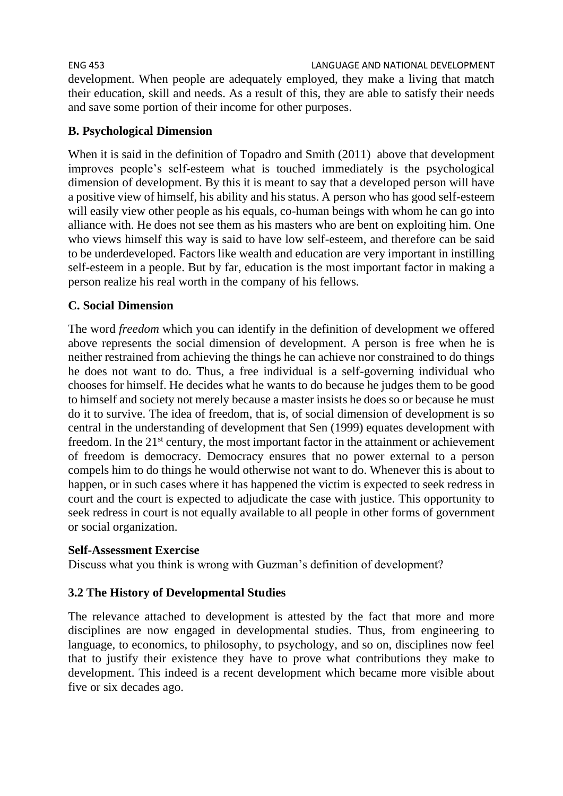ENG 453 LANGUAGE AND NATIONAL DEVELOPMENT development. When people are adequately employed, they make a living that match their education, skill and needs. As a result of this, they are able to satisfy their needs and save some portion of their income for other purposes.

## **B. Psychological Dimension**

When it is said in the definition of Topadro and Smith (2011) above that development improves people's self-esteem what is touched immediately is the psychological dimension of development. By this it is meant to say that a developed person will have a positive view of himself, his ability and his status. A person who has good self-esteem will easily view other people as his equals, co-human beings with whom he can go into alliance with. He does not see them as his masters who are bent on exploiting him. One who views himself this way is said to have low self-esteem, and therefore can be said to be underdeveloped. Factors like wealth and education are very important in instilling self-esteem in a people. But by far, education is the most important factor in making a person realize his real worth in the company of his fellows.

# **C. Social Dimension**

The word *freedom* which you can identify in the definition of development we offered above represents the social dimension of development. A person is free when he is neither restrained from achieving the things he can achieve nor constrained to do things he does not want to do. Thus, a free individual is a self-governing individual who chooses for himself. He decides what he wants to do because he judges them to be good to himself and society not merely because a master insists he does so or because he must do it to survive. The idea of freedom, that is, of social dimension of development is so central in the understanding of development that Sen (1999) equates development with freedom. In the 21<sup>st</sup> century, the most important factor in the attainment or achievement of freedom is democracy. Democracy ensures that no power external to a person compels him to do things he would otherwise not want to do. Whenever this is about to happen, or in such cases where it has happened the victim is expected to seek redress in court and the court is expected to adjudicate the case with justice. This opportunity to seek redress in court is not equally available to all people in other forms of government or social organization.

### **Self-Assessment Exercise**

Discuss what you think is wrong with Guzman's definition of development?

### **3.2 The History of Developmental Studies**

The relevance attached to development is attested by the fact that more and more disciplines are now engaged in developmental studies. Thus, from engineering to language, to economics, to philosophy, to psychology, and so on, disciplines now feel that to justify their existence they have to prove what contributions they make to development. This indeed is a recent development which became more visible about five or six decades ago.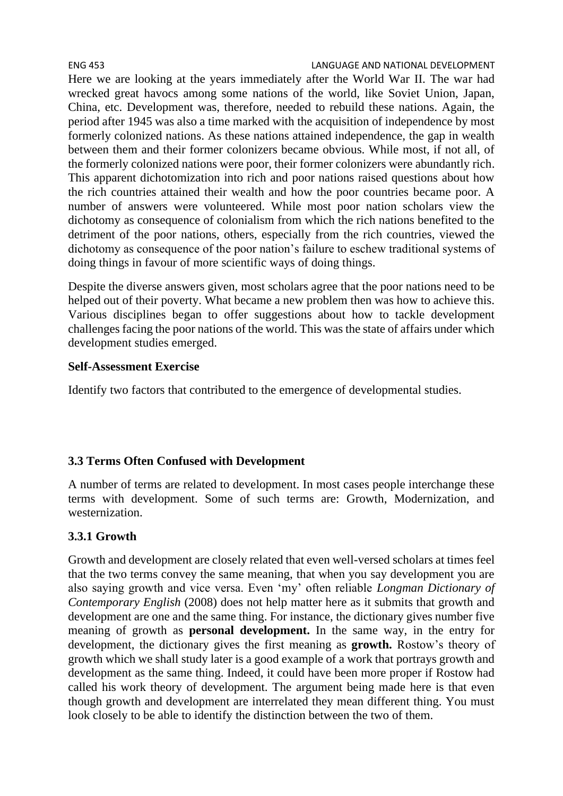Here we are looking at the years immediately after the World War II. The war had wrecked great havocs among some nations of the world, like Soviet Union, Japan, China, etc. Development was, therefore, needed to rebuild these nations. Again, the period after 1945 was also a time marked with the acquisition of independence by most formerly colonized nations. As these nations attained independence, the gap in wealth between them and their former colonizers became obvious. While most, if not all, of the formerly colonized nations were poor, their former colonizers were abundantly rich. This apparent dichotomization into rich and poor nations raised questions about how the rich countries attained their wealth and how the poor countries became poor. A number of answers were volunteered. While most poor nation scholars view the dichotomy as consequence of colonialism from which the rich nations benefited to the detriment of the poor nations, others, especially from the rich countries, viewed the dichotomy as consequence of the poor nation's failure to eschew traditional systems of doing things in favour of more scientific ways of doing things.

Despite the diverse answers given, most scholars agree that the poor nations need to be helped out of their poverty. What became a new problem then was how to achieve this. Various disciplines began to offer suggestions about how to tackle development challenges facing the poor nations of the world. This was the state of affairs under which development studies emerged.

# **Self-Assessment Exercise**

Identify two factors that contributed to the emergence of developmental studies.

# **3.3 Terms Often Confused with Development**

A number of terms are related to development. In most cases people interchange these terms with development. Some of such terms are: Growth, Modernization, and westernization.

# **3.3.1 Growth**

Growth and development are closely related that even well-versed scholars at times feel that the two terms convey the same meaning, that when you say development you are also saying growth and vice versa. Even 'my' often reliable *Longman Dictionary of Contemporary English* (2008) does not help matter here as it submits that growth and development are one and the same thing. For instance, the dictionary gives number five meaning of growth as **personal development.** In the same way, in the entry for development, the dictionary gives the first meaning as **growth.** Rostow's theory of growth which we shall study later is a good example of a work that portrays growth and development as the same thing. Indeed, it could have been more proper if Rostow had called his work theory of development. The argument being made here is that even though growth and development are interrelated they mean different thing. You must look closely to be able to identify the distinction between the two of them.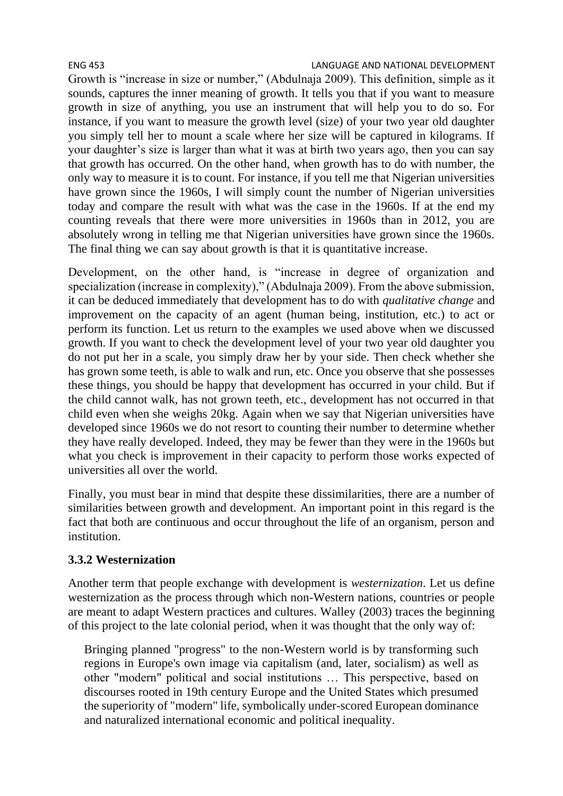Growth is "increase in size or number," (Abdulnaja 2009). This definition, simple as it sounds, captures the inner meaning of growth. It tells you that if you want to measure growth in size of anything, you use an instrument that will help you to do so. For instance, if you want to measure the growth level (size) of your two year old daughter you simply tell her to mount a scale where her size will be captured in kilograms. If your daughter's size is larger than what it was at birth two years ago, then you can say that growth has occurred. On the other hand, when growth has to do with number, the only way to measure it is to count. For instance, if you tell me that Nigerian universities have grown since the 1960s, I will simply count the number of Nigerian universities today and compare the result with what was the case in the 1960s. If at the end my counting reveals that there were more universities in 1960s than in 2012, you are absolutely wrong in telling me that Nigerian universities have grown since the 1960s. The final thing we can say about growth is that it is quantitative increase.

Development, on the other hand, is "increase in degree of organization and specialization (increase in complexity)," (Abdulnaja 2009). From the above submission, it can be deduced immediately that development has to do with *qualitative change* and improvement on the capacity of an agent (human being, institution, etc.) to act or perform its function. Let us return to the examples we used above when we discussed growth. If you want to check the development level of your two year old daughter you do not put her in a scale, you simply draw her by your side. Then check whether she has grown some teeth, is able to walk and run, etc. Once you observe that she possesses these things, you should be happy that development has occurred in your child. But if the child cannot walk, has not grown teeth, etc., development has not occurred in that child even when she weighs 20kg. Again when we say that Nigerian universities have developed since 1960s we do not resort to counting their number to determine whether they have really developed. Indeed, they may be fewer than they were in the 1960s but what you check is improvement in their capacity to perform those works expected of universities all over the world.

Finally, you must bear in mind that despite these dissimilarities, there are a number of similarities between growth and development. An important point in this regard is the fact that both are continuous and occur throughout the life of an organism, person and institution.

### **3.3.2 Westernization**

Another term that people exchange with development is *westernization*. Let us define westernization as the process through which non-Western nations, countries or people are meant to adapt Western practices and cultures. Walley (2003) traces the beginning of this project to the late colonial period, when it was thought that the only way of:

Bringing planned "progress" to the non-Western world is by transforming such regions in Europe's own image via capitalism (and, later, socialism) as well as other "modern" political and social institutions … This perspective, based on discourses rooted in 19th century Europe and the United States which presumed the superiority of "modern" life, symbolically under-scored European dominance and naturalized international economic and political inequality.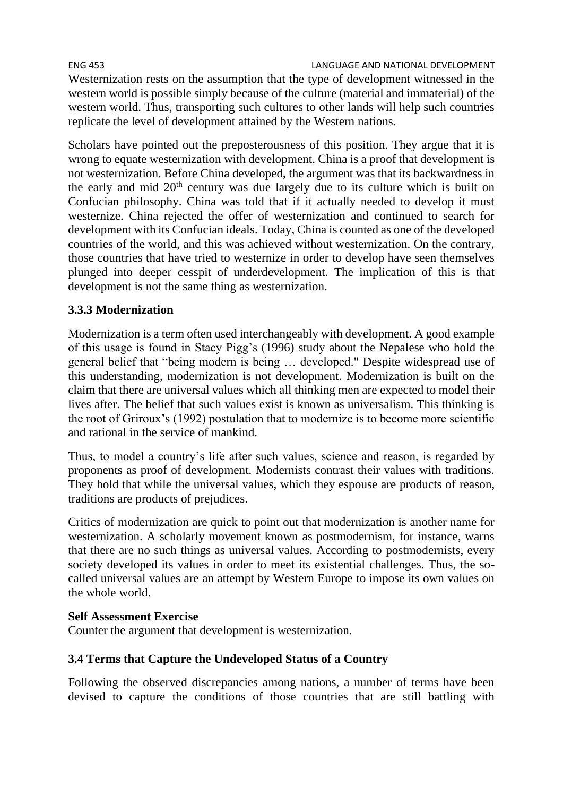ENG 453 LANGUAGE AND NATIONAL DEVELOPMENT Westernization rests on the assumption that the type of development witnessed in the western world is possible simply because of the culture (material and immaterial) of the western world. Thus, transporting such cultures to other lands will help such countries replicate the level of development attained by the Western nations.

Scholars have pointed out the preposterousness of this position. They argue that it is wrong to equate westernization with development. China is a proof that development is not westernization. Before China developed, the argument was that its backwardness in the early and mid  $20<sup>th</sup>$  century was due largely due to its culture which is built on Confucian philosophy. China was told that if it actually needed to develop it must westernize. China rejected the offer of westernization and continued to search for development with its Confucian ideals. Today, China is counted as one of the developed countries of the world, and this was achieved without westernization. On the contrary, those countries that have tried to westernize in order to develop have seen themselves plunged into deeper cesspit of underdevelopment. The implication of this is that development is not the same thing as westernization.

#### **3.3.3 Modernization**

Modernization is a term often used interchangeably with development. A good example of this usage is found in Stacy Pigg's (1996) study about the Nepalese who hold the general belief that "being modern is being … developed." Despite widespread use of this understanding, modernization is not development. Modernization is built on the claim that there are universal values which all thinking men are expected to model their lives after. The belief that such values exist is known as universalism. This thinking is the root of Griroux's (1992) postulation that to modernize is to become more scientific and rational in the service of mankind.

Thus, to model a country's life after such values, science and reason, is regarded by proponents as proof of development. Modernists contrast their values with traditions. They hold that while the universal values, which they espouse are products of reason, traditions are products of prejudices.

Critics of modernization are quick to point out that modernization is another name for westernization. A scholarly movement known as postmodernism, for instance, warns that there are no such things as universal values. According to postmodernists, every society developed its values in order to meet its existential challenges. Thus, the socalled universal values are an attempt by Western Europe to impose its own values on the whole world.

#### **Self Assessment Exercise**

Counter the argument that development is westernization.

#### **3.4 Terms that Capture the Undeveloped Status of a Country**

Following the observed discrepancies among nations, a number of terms have been devised to capture the conditions of those countries that are still battling with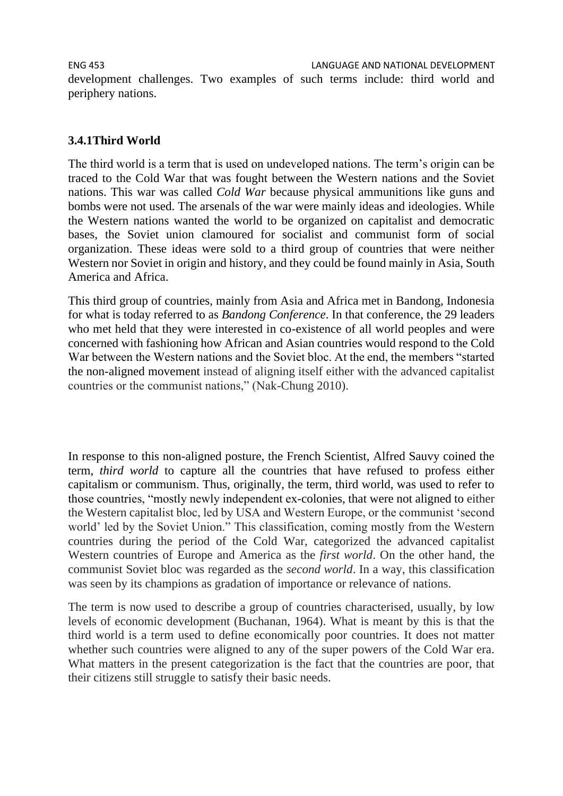ENG 453 LANGUAGE AND NATIONAL DEVELOPMENT development challenges. Two examples of such terms include: third world and periphery nations.

#### **3.4.1Third World**

The third world is a term that is used on undeveloped nations. The term's origin can be traced to the Cold War that was fought between the Western nations and the Soviet nations. This war was called *Cold War* because physical ammunitions like guns and bombs were not used. The arsenals of the war were mainly ideas and ideologies. While the Western nations wanted the world to be organized on capitalist and democratic bases, the Soviet union clamoured for socialist and communist form of social organization. These ideas were sold to a third group of countries that were neither Western nor Soviet in origin and history, and they could be found mainly in Asia, South America and Africa.

This third group of countries, mainly from Asia and Africa met in Bandong, Indonesia for what is today referred to as *Bandong Conference*. In that conference, the 29 leaders who met held that they were interested in co-existence of all world peoples and were concerned with fashioning how African and Asian countries would respond to the Cold War between the Western nations and the Soviet bloc. At the end, the members "started the non-aligned movement instead of aligning itself either with the advanced capitalist countries or the communist nations," (Nak-Chung 2010).

In response to this non-aligned posture, the French Scientist, Alfred Sauvy coined the term, *third world* to capture all the countries that have refused to profess either capitalism or communism. Thus, originally, the term, third world, was used to refer to those countries, "mostly newly independent ex-colonies, that were not aligned to either the Western capitalist bloc, led by USA and Western Europe, or the communist 'second world' led by the Soviet Union." This classification, coming mostly from the Western countries during the period of the Cold War, categorized the advanced capitalist Western countries of Europe and America as the *first world*. On the other hand, the communist Soviet bloc was regarded as the *second world*. In a way, this classification was seen by its champions as gradation of importance or relevance of nations.

The term is now used to describe a group of countries characterised, usually, by low levels of economic development (Buchanan, 1964). What is meant by this is that the third world is a term used to define economically poor countries. It does not matter whether such countries were aligned to any of the super powers of the Cold War era. What matters in the present categorization is the fact that the countries are poor, that their citizens still struggle to satisfy their basic needs.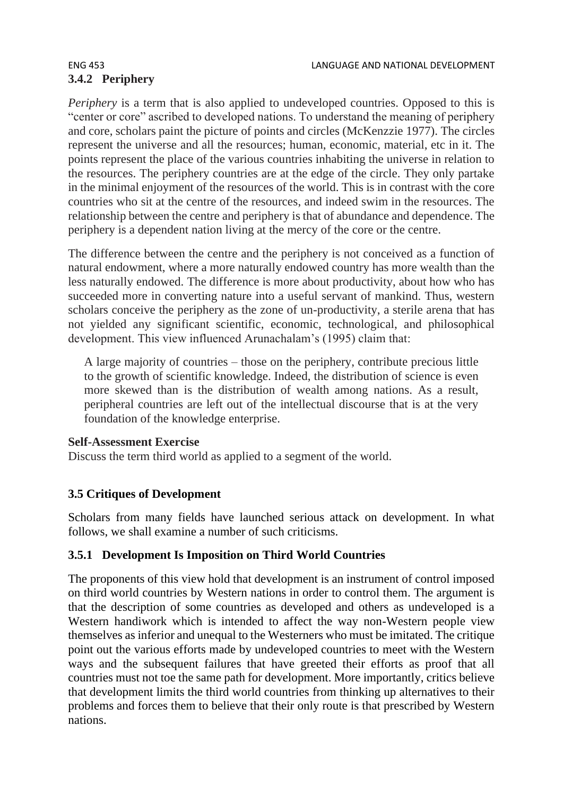# **3.4.2 Periphery**

*Periphery* is a term that is also applied to undeveloped countries. Opposed to this is "center or core" ascribed to developed nations. To understand the meaning of periphery and core, scholars paint the picture of points and circles (McKenzzie 1977). The circles represent the universe and all the resources; human, economic, material, etc in it. The points represent the place of the various countries inhabiting the universe in relation to the resources. The periphery countries are at the edge of the circle. They only partake in the minimal enjoyment of the resources of the world. This is in contrast with the core countries who sit at the centre of the resources, and indeed swim in the resources. The relationship between the centre and periphery is that of abundance and dependence. The periphery is a dependent nation living at the mercy of the core or the centre.

The difference between the centre and the periphery is not conceived as a function of natural endowment, where a more naturally endowed country has more wealth than the less naturally endowed. The difference is more about productivity, about how who has succeeded more in converting nature into a useful servant of mankind. Thus, western scholars conceive the periphery as the zone of un-productivity, a sterile arena that has not yielded any significant scientific, economic, technological, and philosophical development. This view influenced Arunachalam's (1995) claim that:

A large majority of countries – those on the periphery, contribute precious little to the growth of scientific knowledge. Indeed, the distribution of science is even more skewed than is the distribution of wealth among nations. As a result, peripheral countries are left out of the intellectual discourse that is at the very foundation of the knowledge enterprise.

#### **Self-Assessment Exercise**

Discuss the term third world as applied to a segment of the world.

#### **3.5 Critiques of Development**

Scholars from many fields have launched serious attack on development. In what follows, we shall examine a number of such criticisms.

#### **3.5.1 Development Is Imposition on Third World Countries**

The proponents of this view hold that development is an instrument of control imposed on third world countries by Western nations in order to control them. The argument is that the description of some countries as developed and others as undeveloped is a Western handiwork which is intended to affect the way non-Western people view themselves as inferior and unequal to the Westerners who must be imitated. The critique point out the various efforts made by undeveloped countries to meet with the Western ways and the subsequent failures that have greeted their efforts as proof that all countries must not toe the same path for development. More importantly, critics believe that development limits the third world countries from thinking up alternatives to their problems and forces them to believe that their only route is that prescribed by Western nations.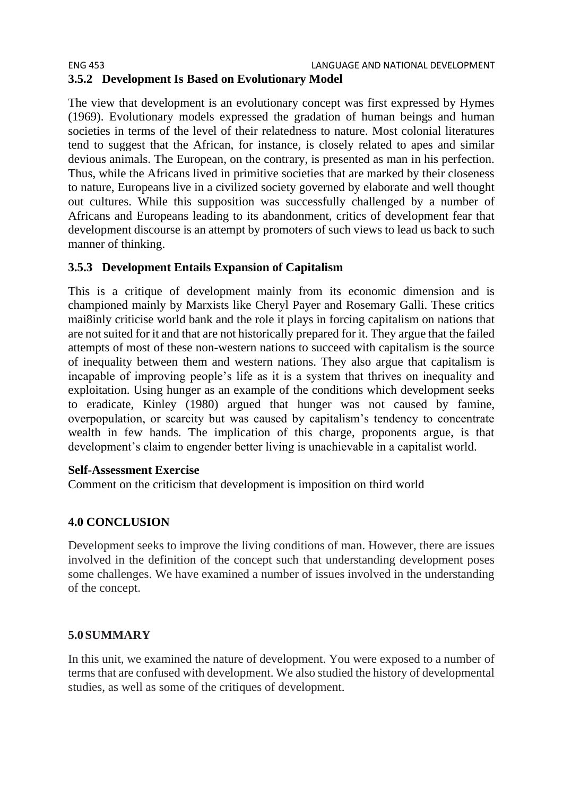#### ENG 453 LANGUAGE AND NATIONAL DEVELOPMENT **3.5.2 Development Is Based on Evolutionary Model**

The view that development is an evolutionary concept was first expressed by Hymes (1969). Evolutionary models expressed the gradation of human beings and human societies in terms of the level of their relatedness to nature. Most colonial literatures tend to suggest that the African, for instance, is closely related to apes and similar devious animals. The European, on the contrary, is presented as man in his perfection. Thus, while the Africans lived in primitive societies that are marked by their closeness to nature, Europeans live in a civilized society governed by elaborate and well thought out cultures. While this supposition was successfully challenged by a number of Africans and Europeans leading to its abandonment, critics of development fear that development discourse is an attempt by promoters of such views to lead us back to such manner of thinking.

#### **3.5.3 Development Entails Expansion of Capitalism**

This is a critique of development mainly from its economic dimension and is championed mainly by Marxists like Cheryl Payer and Rosemary Galli. These critics mai8inly criticise world bank and the role it plays in forcing capitalism on nations that are not suited for it and that are not historically prepared for it. They argue that the failed attempts of most of these non-western nations to succeed with capitalism is the source of inequality between them and western nations. They also argue that capitalism is incapable of improving people's life as it is a system that thrives on inequality and exploitation. Using hunger as an example of the conditions which development seeks to eradicate, Kinley (1980) argued that hunger was not caused by famine, overpopulation, or scarcity but was caused by capitalism's tendency to concentrate wealth in few hands. The implication of this charge, proponents argue, is that development's claim to engender better living is unachievable in a capitalist world.

#### **Self-Assessment Exercise**

Comment on the criticism that development is imposition on third world

#### **4.0 CONCLUSION**

Development seeks to improve the living conditions of man. However, there are issues involved in the definition of the concept such that understanding development poses some challenges. We have examined a number of issues involved in the understanding of the concept.

#### **5.0SUMMARY**

In this unit, we examined the nature of development. You were exposed to a number of terms that are confused with development. We also studied the history of developmental studies, as well as some of the critiques of development.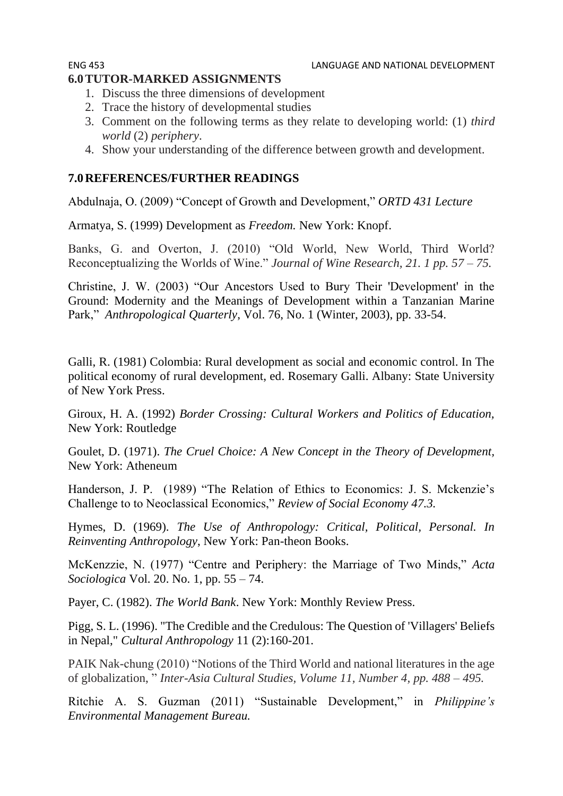# **6.0TUTOR-MARKED ASSIGNMENTS**

- 1. Discuss the three dimensions of development
- 2. Trace the history of developmental studies
- 3. Comment on the following terms as they relate to developing world: (1) *third world* (2) *periphery*.
- 4. Show your understanding of the difference between growth and development.

# **7.0REFERENCES/FURTHER READINGS**

Abdulnaja, O. (2009) "Concept of Growth and Development," *ORTD 431 Lecture*

Armatya, S. (1999) Development as *Freedom.* New York: Knopf.

Banks, G. and Overton, J. (2010) "Old World, New World, Third World? Reconceptualizing the Worlds of Wine." *Journal of Wine Research, 21. 1 pp. 57 – 75.*

Christine, J. W. (2003) "Our Ancestors Used to Bury Their 'Development' in the Ground: Modernity and the Meanings of Development within a Tanzanian Marine Park," *Anthropological Quarterly*, Vol. 76, No. 1 (Winter, 2003), pp. 33-54.

Galli, R. (1981) Colombia: Rural development as social and economic control. In The political economy of rural development, ed. Rosemary Galli. Albany: State University of New York Press.

Giroux, H. A. (1992) *Border Crossing: Cultural Workers and Politics of Education,*  New York: Routledge

Goulet, D. (1971). *The Cruel Choice: A New Concept in the Theory of Development,*  New York: Atheneum

Handerson, J. P. (1989) "The Relation of Ethics to Economics: J. S. Mckenzie's Challenge to to Neoclassical Economics," *Review of Social Economy 47.3.*

Hymes, D. (1969). *The Use of Anthropology: Critical, Political, Personal. In Reinventing Anthropology*, New York: Pan-theon Books.

McKenzzie, N. (1977) "Centre and Periphery: the Marriage of Two Minds," *Acta Sociologica* Vol. 20. No. 1, pp. 55 – 74.

Payer, C. (1982). *The World Bank*. New York: Monthly Review Press.

Pigg, S. L. (1996). "The Credible and the Credulous: The Question of 'Villagers' Beliefs in Nepal," *Cultural Anthropology* 11 (2):160-201.

PAIK Nak-chung (2010) "Notions of the Third World and national literatures in the age of globalization, " *Inter-Asia Cultural Studies, Volume 11, Number 4, pp. 488 – 495.*

Ritchie A. S. Guzman (2011) "Sustainable Development," in *Philippine's Environmental Management Bureau.*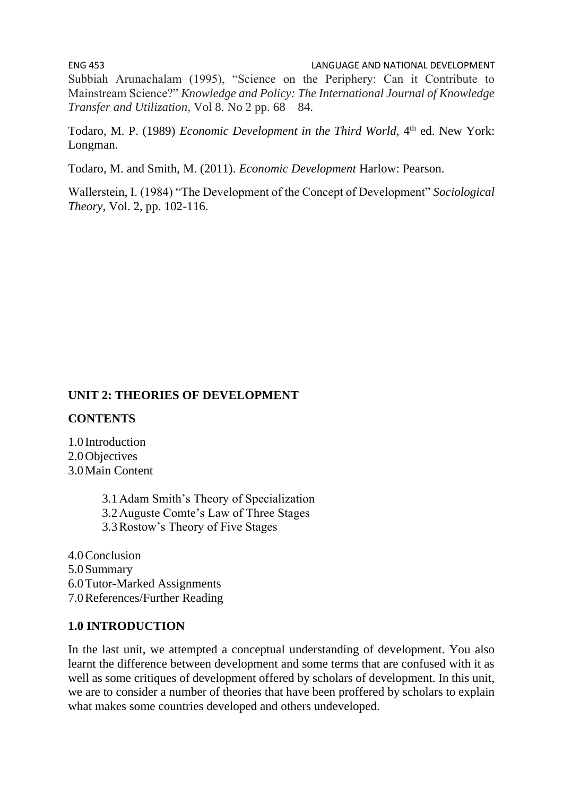ENG 453 LANGUAGE AND NATIONAL DEVELOPMENT Subbiah Arunachalam (1995), "Science on the Periphery: Can it Contribute to Mainstream Science?" *Knowledge and Policy: The International Journal of Knowledge Transfer and Utilization,* Vol 8. No 2 pp. 68 – 84.

Todaro, M. P. (1989) *Economic Development in the Third World*, 4<sup>th</sup> ed. New York: Longman.

Todaro, M. and Smith, M. (2011). *Economic Development* Harlow: Pearson.

Wallerstein, I. (1984) "The Development of the Concept of Development" *Sociological Theory*, Vol. 2, pp. 102-116.

#### **UNIT 2: THEORIES OF DEVELOPMENT**

#### **CONTENTS**

1.0 Introduction 2.0Objectives 3.0Main Content

> 3.1Adam Smith's Theory of Specialization 3.2Auguste Comte's Law of Three Stages 3.3Rostow's Theory of Five Stages

4.0Conclusion 5.0Summary 6.0Tutor-Marked Assignments 7.0References/Further Reading

#### **1.0 INTRODUCTION**

In the last unit, we attempted a conceptual understanding of development. You also learnt the difference between development and some terms that are confused with it as well as some critiques of development offered by scholars of development. In this unit, we are to consider a number of theories that have been proffered by scholars to explain what makes some countries developed and others undeveloped.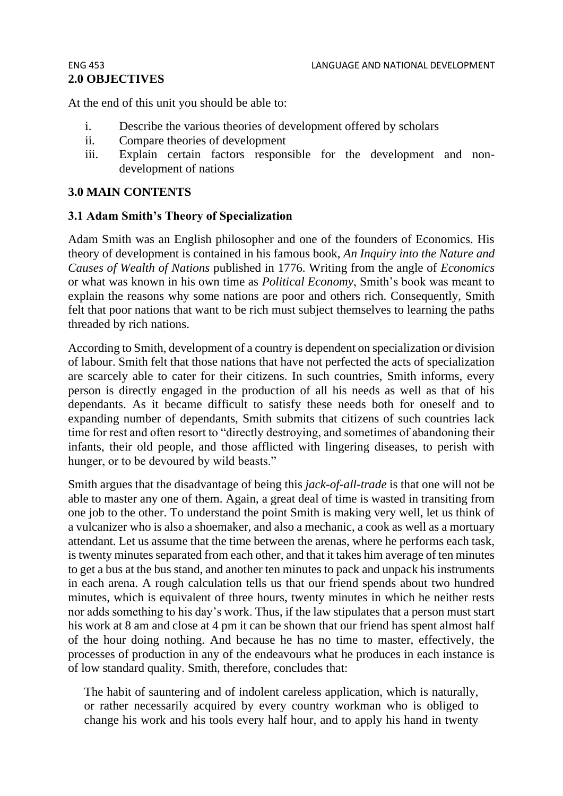# **2.0 OBJECTIVES**

At the end of this unit you should be able to:

- i. Describe the various theories of development offered by scholars
- ii. Compare theories of development
- iii. Explain certain factors responsible for the development and nondevelopment of nations

#### **3.0 MAIN CONTENTS**

#### **3.1 Adam Smith's Theory of Specialization**

Adam Smith was an English philosopher and one of the founders of Economics. His theory of development is contained in his famous book, *An Inquiry into the Nature and Causes of Wealth of Nations* published in 1776. Writing from the angle of *Economics* or what was known in his own time as *Political Economy*, Smith's book was meant to explain the reasons why some nations are poor and others rich. Consequently, Smith felt that poor nations that want to be rich must subject themselves to learning the paths threaded by rich nations.

According to Smith, development of a country is dependent on specialization or division of labour. Smith felt that those nations that have not perfected the acts of specialization are scarcely able to cater for their citizens. In such countries, Smith informs, every person is directly engaged in the production of all his needs as well as that of his dependants. As it became difficult to satisfy these needs both for oneself and to expanding number of dependants, Smith submits that citizens of such countries lack time for rest and often resort to "directly destroying, and sometimes of abandoning their infants, their old people, and those afflicted with lingering diseases, to perish with hunger, or to be devoured by wild beasts."

Smith argues that the disadvantage of being this *jack-of-all-trade* is that one will not be able to master any one of them. Again, a great deal of time is wasted in transiting from one job to the other. To understand the point Smith is making very well, let us think of a vulcanizer who is also a shoemaker, and also a mechanic, a cook as well as a mortuary attendant. Let us assume that the time between the arenas, where he performs each task, is twenty minutes separated from each other, and that it takes him average of ten minutes to get a bus at the bus stand, and another ten minutes to pack and unpack his instruments in each arena. A rough calculation tells us that our friend spends about two hundred minutes, which is equivalent of three hours, twenty minutes in which he neither rests nor adds something to his day's work. Thus, if the law stipulates that a person must start his work at 8 am and close at 4 pm it can be shown that our friend has spent almost half of the hour doing nothing. And because he has no time to master, effectively, the processes of production in any of the endeavours what he produces in each instance is of low standard quality. Smith, therefore, concludes that:

The habit of sauntering and of indolent careless application, which is naturally, or rather necessarily acquired by every country workman who is obliged to change his work and his tools every half hour, and to apply his hand in twenty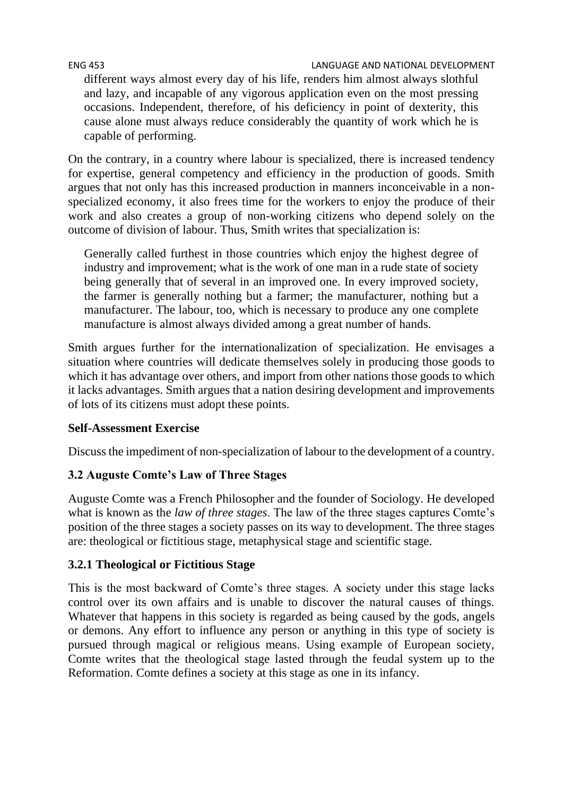#### ENG 453 LANGUAGE AND NATIONAL DEVELOPMENT

different ways almost every day of his life, renders him almost always slothful and lazy, and incapable of any vigorous application even on the most pressing occasions. Independent, therefore, of his deficiency in point of dexterity, this cause alone must always reduce considerably the quantity of work which he is capable of performing.

On the contrary, in a country where labour is specialized, there is increased tendency for expertise, general competency and efficiency in the production of goods. Smith argues that not only has this increased production in manners inconceivable in a nonspecialized economy, it also frees time for the workers to enjoy the produce of their work and also creates a group of non-working citizens who depend solely on the outcome of division of labour. Thus, Smith writes that specialization is:

Generally called furthest in those countries which enjoy the highest degree of industry and improvement; what is the work of one man in a rude state of society being generally that of several in an improved one. In every improved society, the farmer is generally nothing but a farmer; the manufacturer, nothing but a manufacturer. The labour, too, which is necessary to produce any one complete manufacture is almost always divided among a great number of hands.

Smith argues further for the internationalization of specialization. He envisages a situation where countries will dedicate themselves solely in producing those goods to which it has advantage over others, and import from other nations those goods to which it lacks advantages. Smith argues that a nation desiring development and improvements of lots of its citizens must adopt these points.

### **Self-Assessment Exercise**

Discuss the impediment of non-specialization of labour to the development of a country.

### **3.2 Auguste Comte's Law of Three Stages**

Auguste Comte was a French Philosopher and the founder of Sociology. He developed what is known as the *law of three stages*. The law of the three stages captures Comte's position of the three stages a society passes on its way to development. The three stages are: theological or fictitious stage, metaphysical stage and scientific stage.

### **3.2.1 Theological or Fictitious Stage**

This is the most backward of Comte's three stages. A society under this stage lacks control over its own affairs and is unable to discover the natural causes of things. Whatever that happens in this society is regarded as being caused by the gods, angels or demons. Any effort to influence any person or anything in this type of society is pursued through magical or religious means. Using example of European society, Comte writes that the theological stage lasted through the feudal system up to the Reformation. Comte defines a society at this stage as one in its infancy.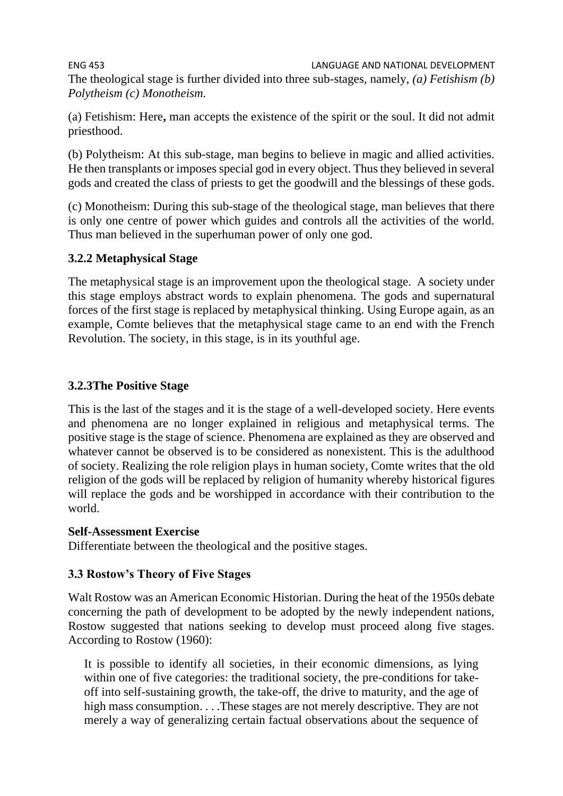ENG 453 LANGUAGE AND NATIONAL DEVELOPMENT The theological stage is further divided into three sub-stages, namely, *(a) Fetishism (b) Polytheism (c) Monotheism.*

(a) Fetishism: Here**,** man accepts the existence of the spirit or the soul. It did not admit priesthood.

(b) Polytheism: At this sub-stage, man begins to believe in magic and allied activities. He then transplants or imposes special god in every object. Thus they believed in several gods and created the class of priests to get the goodwill and the blessings of these gods.

(c) Monotheism: During this sub-stage of the theological stage, man believes that there is only one centre of power which guides and controls all the activities of the world. Thus man believed in the superhuman power of only one god.

#### **3.2.2 Metaphysical Stage**

The metaphysical stage is an improvement upon the theological stage. A society under this stage employs abstract words to explain phenomena. The gods and supernatural forces of the first stage is replaced by metaphysical thinking. Using Europe again, as an example, Comte believes that the metaphysical stage came to an end with the French Revolution. The society, in this stage, is in its youthful age.

#### **3.2.3The Positive Stage**

This is the last of the stages and it is the stage of a well-developed society. Here events and phenomena are no longer explained in religious and metaphysical terms. The positive stage is the stage of science. Phenomena are explained as they are observed and whatever cannot be observed is to be considered as nonexistent. This is the adulthood of society. Realizing the role religion plays in human society, Comte writes that the old religion of the gods will be replaced by religion of humanity whereby historical figures will replace the gods and be worshipped in accordance with their contribution to the world.

#### **Self-Assessment Exercise**

Differentiate between the theological and the positive stages.

### **3.3 Rostow's Theory of Five Stages**

Walt Rostow was an American Economic Historian. During the heat of the 1950s debate concerning the path of development to be adopted by the newly independent nations, Rostow suggested that nations seeking to develop must proceed along five stages. According to Rostow (1960):

It is possible to identify all societies, in their economic dimensions, as lying within one of five categories: the traditional society, the pre-conditions for takeoff into self-sustaining growth, the take-off, the drive to maturity, and the age of high mass consumption. . . . These stages are not merely descriptive. They are not merely a way of generalizing certain factual observations about the sequence of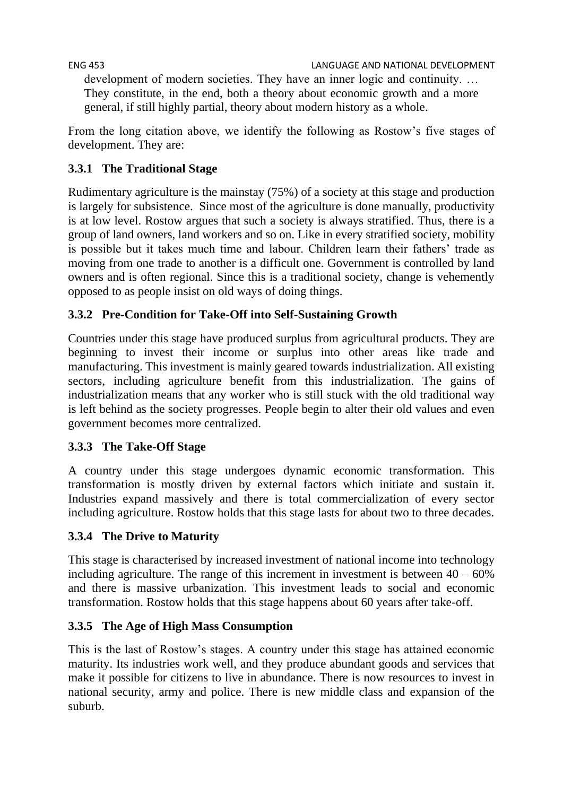development of modern societies. They have an inner logic and continuity. … They constitute, in the end, both a theory about economic growth and a more general, if still highly partial, theory about modern history as a whole.

From the long citation above, we identify the following as Rostow's five stages of development. They are:

# **3.3.1 The Traditional Stage**

Rudimentary agriculture is the mainstay (75%) of a society at this stage and production is largely for subsistence. Since most of the agriculture is done manually, productivity is at low level. Rostow argues that such a society is always stratified. Thus, there is a group of land owners, land workers and so on. Like in every stratified society, mobility is possible but it takes much time and labour. Children learn their fathers' trade as moving from one trade to another is a difficult one. Government is controlled by land owners and is often regional. Since this is a traditional society, change is vehemently opposed to as people insist on old ways of doing things.

# **3.3.2 Pre-Condition for Take-Off into Self-Sustaining Growth**

Countries under this stage have produced surplus from agricultural products. They are beginning to invest their income or surplus into other areas like trade and manufacturing. This investment is mainly geared towards industrialization. All existing sectors, including agriculture benefit from this industrialization. The gains of industrialization means that any worker who is still stuck with the old traditional way is left behind as the society progresses. People begin to alter their old values and even government becomes more centralized.

# **3.3.3 The Take-Off Stage**

A country under this stage undergoes dynamic economic transformation. This transformation is mostly driven by external factors which initiate and sustain it. Industries expand massively and there is total commercialization of every sector including agriculture. Rostow holds that this stage lasts for about two to three decades.

# **3.3.4 The Drive to Maturity**

This stage is characterised by increased investment of national income into technology including agriculture. The range of this increment in investment is between  $40 - 60\%$ and there is massive urbanization. This investment leads to social and economic transformation. Rostow holds that this stage happens about 60 years after take-off.

# **3.3.5 The Age of High Mass Consumption**

This is the last of Rostow's stages. A country under this stage has attained economic maturity. Its industries work well, and they produce abundant goods and services that make it possible for citizens to live in abundance. There is now resources to invest in national security, army and police. There is new middle class and expansion of the suburb.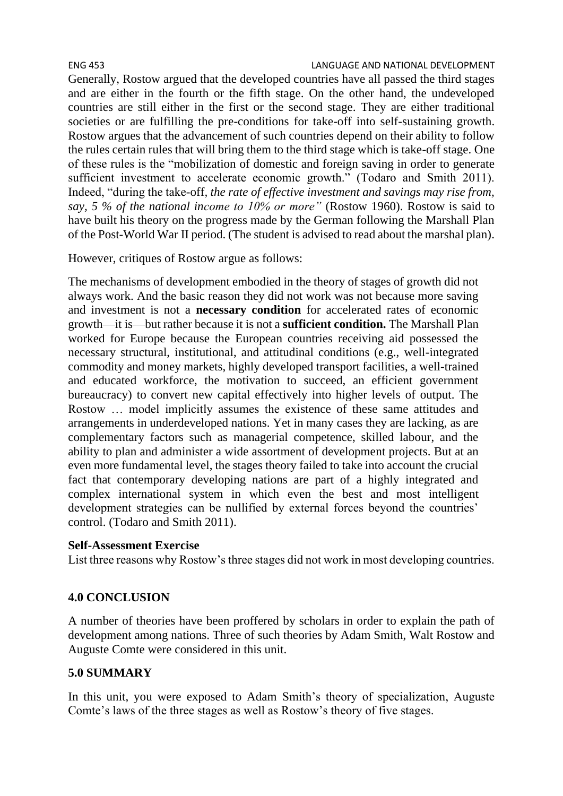Generally, Rostow argued that the developed countries have all passed the third stages and are either in the fourth or the fifth stage. On the other hand, the undeveloped countries are still either in the first or the second stage. They are either traditional societies or are fulfilling the pre-conditions for take-off into self-sustaining growth. Rostow argues that the advancement of such countries depend on their ability to follow the rules certain rules that will bring them to the third stage which is take-off stage. One of these rules is the "mobilization of domestic and foreign saving in order to generate sufficient investment to accelerate economic growth." (Todaro and Smith 2011). Indeed, "during the take-off*, the rate of effective investment and savings may rise from, say, 5 % of the national income to 10% or more"* (Rostow 1960). Rostow is said to have built his theory on the progress made by the German following the Marshall Plan of the Post-World War II period. (The student is advised to read about the marshal plan).

However, critiques of Rostow argue as follows:

The mechanisms of development embodied in the theory of stages of growth did not always work. And the basic reason they did not work was not because more saving and investment is not a **necessary condition** for accelerated rates of economic growth—it is—but rather because it is not a **sufficient condition.** The Marshall Plan worked for Europe because the European countries receiving aid possessed the necessary structural, institutional, and attitudinal conditions (e.g., well-integrated commodity and money markets, highly developed transport facilities, a well-trained and educated workforce, the motivation to succeed, an efficient government bureaucracy) to convert new capital effectively into higher levels of output. The Rostow … model implicitly assumes the existence of these same attitudes and arrangements in underdeveloped nations. Yet in many cases they are lacking, as are complementary factors such as managerial competence, skilled labour, and the ability to plan and administer a wide assortment of development projects. But at an even more fundamental level, the stages theory failed to take into account the crucial fact that contemporary developing nations are part of a highly integrated and complex international system in which even the best and most intelligent development strategies can be nullified by external forces beyond the countries' control. (Todaro and Smith 2011).

#### **Self-Assessment Exercise**

List three reasons why Rostow's three stages did not work in most developing countries.

### **4.0 CONCLUSION**

A number of theories have been proffered by scholars in order to explain the path of development among nations. Three of such theories by Adam Smith, Walt Rostow and Auguste Comte were considered in this unit.

#### **5.0 SUMMARY**

In this unit, you were exposed to Adam Smith's theory of specialization, Auguste Comte's laws of the three stages as well as Rostow's theory of five stages.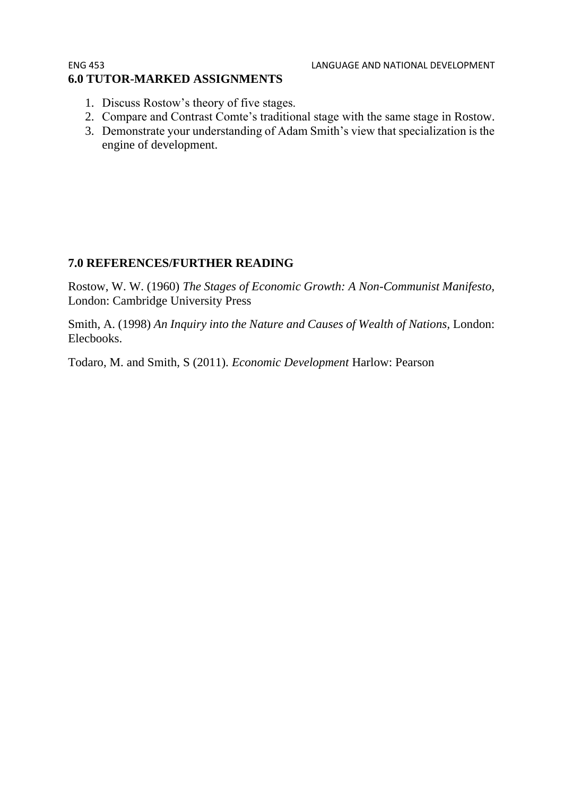#### ENG 453 LANGUAGE AND NATIONAL DEVELOPMENT **6.0 TUTOR-MARKED ASSIGNMENTS**

- 1. Discuss Rostow's theory of five stages.
- 2. Compare and Contrast Comte's traditional stage with the same stage in Rostow.
- 3. Demonstrate your understanding of Adam Smith's view that specialization is the engine of development.

### **7.0 REFERENCES/FURTHER READING**

Rostow, W. W. (1960) *The Stages of Economic Growth: A Non-Communist Manifesto,*  London: Cambridge University Press

Smith, A. (1998) *An Inquiry into the Nature and Causes of Wealth of Nations,* London: Elecbooks.

Todaro, M. and Smith, S (2011). *Economic Development* Harlow: Pearson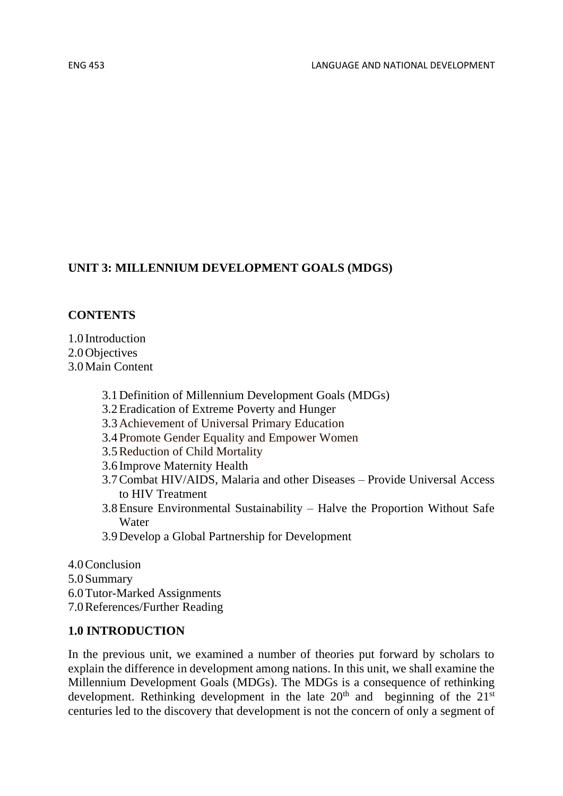# **UNIT 3: MILLENNIUM DEVELOPMENT GOALS (MDGS)**

### **CONTENTS**

- 1.0 Introduction
- 2.0 Objectives
- 3.0Main Content
	- 3.1Definition of Millennium Development Goals (MDGs)
	- 3.2Eradication of Extreme Poverty and Hunger
	- 3.3Achievement of Universal Primary Education
	- 3.4Promote Gender Equality and Empower Women
	- 3.5Reduction of Child Mortality
	- 3.6 Improve Maternity Health
	- 3.7Combat HIV/AIDS, Malaria and other Diseases Provide Universal Access to HIV Treatment
	- 3.8Ensure Environmental Sustainability Halve the Proportion Without Safe Water
	- 3.9Develop a Global Partnership for Development
- 4.0Conclusion
- 5.0Summary
- 6.0Tutor-Marked Assignments
- 7.0References/Further Reading

### **1.0 INTRODUCTION**

In the previous unit, we examined a number of theories put forward by scholars to explain the difference in development among nations. In this unit, we shall examine the Millennium Development Goals (MDGs). The MDGs is a consequence of rethinking development. Rethinking development in the late  $20<sup>th</sup>$  and beginning of the  $21<sup>st</sup>$ centuries led to the discovery that development is not the concern of only a segment of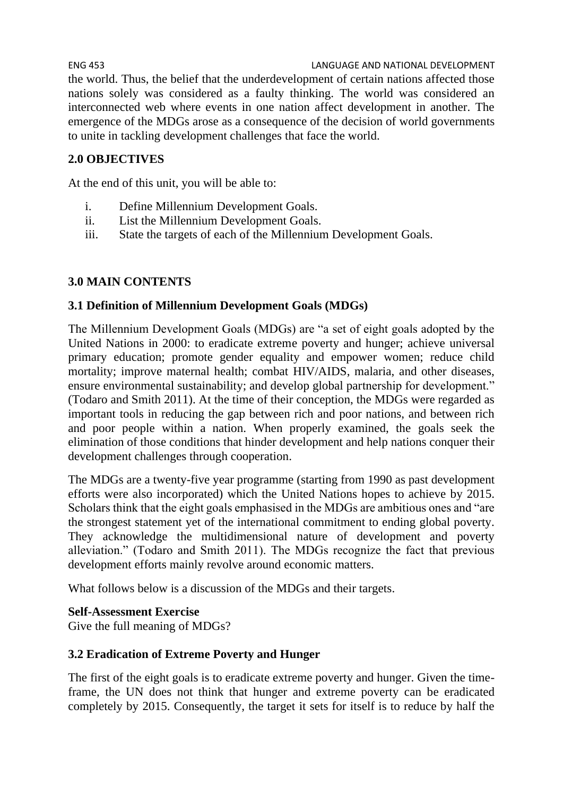ENG 453 LANGUAGE AND NATIONAL DEVELOPMENT the world. Thus, the belief that the underdevelopment of certain nations affected those nations solely was considered as a faulty thinking. The world was considered an interconnected web where events in one nation affect development in another. The emergence of the MDGs arose as a consequence of the decision of world governments to unite in tackling development challenges that face the world.

# **2.0 OBJECTIVES**

At the end of this unit, you will be able to:

- i. Define Millennium Development Goals.
- ii. List the Millennium Development Goals.
- iii. State the targets of each of the Millennium Development Goals.

### **3.0 MAIN CONTENTS**

#### **3.1 Definition of Millennium Development Goals (MDGs)**

The Millennium Development Goals (MDGs) are "a set of eight goals adopted by the United Nations in 2000: to eradicate extreme poverty and hunger; achieve universal primary education; promote gender equality and empower women; reduce child mortality; improve maternal health; combat HIV/AIDS, malaria, and other diseases, ensure environmental sustainability; and develop global partnership for development." (Todaro and Smith 2011). At the time of their conception, the MDGs were regarded as important tools in reducing the gap between rich and poor nations, and between rich and poor people within a nation. When properly examined, the goals seek the elimination of those conditions that hinder development and help nations conquer their development challenges through cooperation.

The MDGs are a twenty-five year programme (starting from 1990 as past development efforts were also incorporated) which the United Nations hopes to achieve by 2015. Scholars think that the eight goals emphasised in the MDGs are ambitious ones and "are the strongest statement yet of the international commitment to ending global poverty. They acknowledge the multidimensional nature of development and poverty alleviation." (Todaro and Smith 2011). The MDGs recognize the fact that previous development efforts mainly revolve around economic matters.

What follows below is a discussion of the MDGs and their targets.

#### **Self-Assessment Exercise**

Give the full meaning of MDGs?

#### **3.2 Eradication of Extreme Poverty and Hunger**

The first of the eight goals is to eradicate extreme poverty and hunger. Given the timeframe, the UN does not think that hunger and extreme poverty can be eradicated completely by 2015. Consequently, the target it sets for itself is to reduce by half the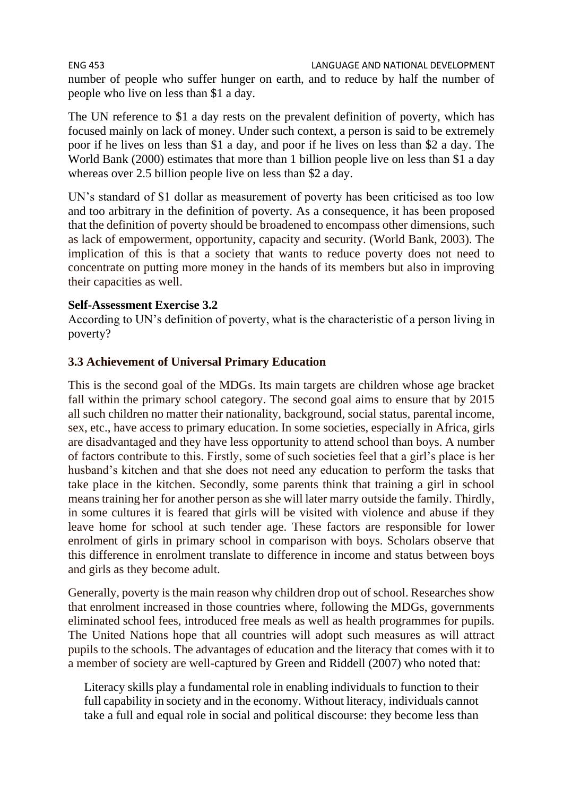# ENG 453 LANGUAGE AND NATIONAL DEVELOPMENT

number of people who suffer hunger on earth, and to reduce by half the number of people who live on less than \$1 a day.

The UN reference to \$1 a day rests on the prevalent definition of poverty, which has focused mainly on lack of money. Under such context, a person is said to be extremely poor if he lives on less than \$1 a day, and poor if he lives on less than \$2 a day. The World Bank (2000) estimates that more than 1 billion people live on less than \$1 a day whereas over 2.5 billion people live on less than \$2 a day.

UN's standard of \$1 dollar as measurement of poverty has been criticised as too low and too arbitrary in the definition of poverty. As a consequence, it has been proposed that the definition of poverty should be broadened to encompass other dimensions, such as lack of empowerment, opportunity, capacity and security. (World Bank, 2003). The implication of this is that a society that wants to reduce poverty does not need to concentrate on putting more money in the hands of its members but also in improving their capacities as well.

### **Self-Assessment Exercise 3.2**

According to UN's definition of poverty, what is the characteristic of a person living in poverty?

# **3.3 Achievement of Universal Primary Education**

This is the second goal of the MDGs. Its main targets are children whose age bracket fall within the primary school category. The second goal aims to ensure that by 2015 all such children no matter their nationality, background, social status, parental income, sex, etc., have access to primary education. In some societies, especially in Africa, girls are disadvantaged and they have less opportunity to attend school than boys. A number of factors contribute to this. Firstly, some of such societies feel that a girl's place is her husband's kitchen and that she does not need any education to perform the tasks that take place in the kitchen. Secondly, some parents think that training a girl in school means training her for another person as she will later marry outside the family. Thirdly, in some cultures it is feared that girls will be visited with violence and abuse if they leave home for school at such tender age. These factors are responsible for lower enrolment of girls in primary school in comparison with boys. Scholars observe that this difference in enrolment translate to difference in income and status between boys and girls as they become adult.

Generally, poverty is the main reason why children drop out of school. Researches show that enrolment increased in those countries where, following the MDGs, governments eliminated school fees, introduced free meals as well as health programmes for pupils. The United Nations hope that all countries will adopt such measures as will attract pupils to the schools. The advantages of education and the literacy that comes with it to a member of society are well-captured by Green and Riddell (2007) who noted that:

Literacy skills play a fundamental role in enabling individuals to function to their full capability in society and in the economy. Without literacy, individuals cannot take a full and equal role in social and political discourse: they become less than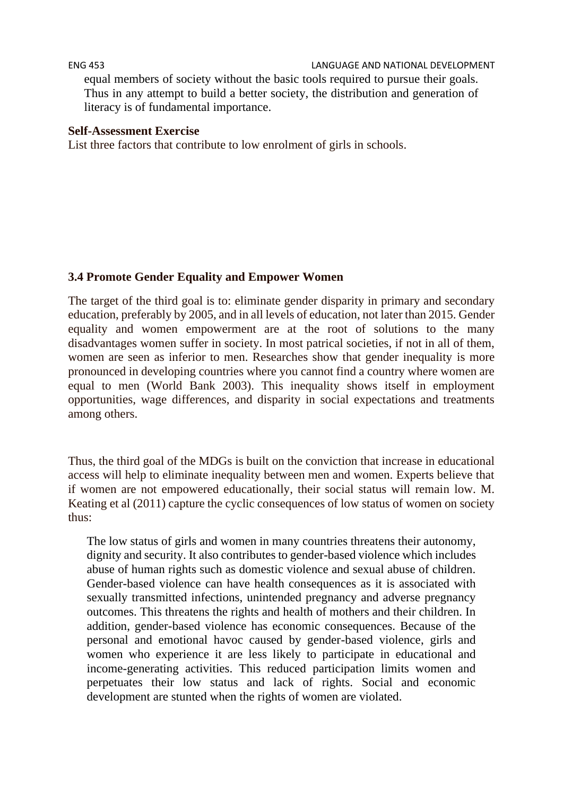#### ENG 453 LANGUAGE AND NATIONAL DEVELOPMENT

equal members of society without the basic tools required to pursue their goals. Thus in any attempt to build a better society, the distribution and generation of literacy is of fundamental importance.

#### **Self-Assessment Exercise**

List three factors that contribute to low enrolment of girls in schools.

#### **3.4 Promote Gender Equality and Empower Women**

The target of the third goal is to: eliminate gender disparity in primary and secondary education, preferably by 2005, and in all levels of education, not later than 2015. Gender equality and women empowerment are at the root of solutions to the many disadvantages women suffer in society. In most patrical societies, if not in all of them, women are seen as inferior to men. Researches show that gender inequality is more pronounced in developing countries where you cannot find a country where women are equal to men (World Bank 2003). This inequality shows itself in employment opportunities, wage differences, and disparity in social expectations and treatments among others.

Thus, the third goal of the MDGs is built on the conviction that increase in educational access will help to eliminate inequality between men and women. Experts believe that if women are not empowered educationally, their social status will remain low. M. Keating et al (2011) capture the cyclic consequences of low status of women on society thus:

The low status of girls and women in many countries threatens their autonomy, dignity and security. It also contributes to gender-based violence which includes abuse of human rights such as domestic violence and sexual abuse of children. Gender-based violence can have health consequences as it is associated with sexually transmitted infections, unintended pregnancy and adverse pregnancy outcomes. This threatens the rights and health of mothers and their children. In addition, gender-based violence has economic consequences. Because of the personal and emotional havoc caused by gender-based violence, girls and women who experience it are less likely to participate in educational and income-generating activities. This reduced participation limits women and perpetuates their low status and lack of rights. Social and economic development are stunted when the rights of women are violated.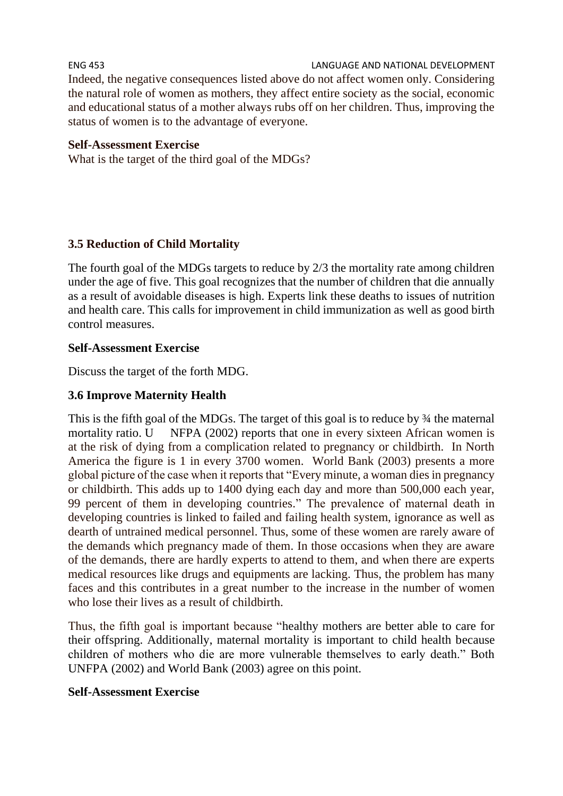ENG 453 LANGUAGE AND NATIONAL DEVELOPMENT Indeed, the negative consequences listed above do not affect women only. Considering the natural role of women as mothers, they affect entire society as the social, economic and educational status of a mother always rubs off on her children. Thus, improving the status of women is to the advantage of everyone.

#### **Self-Assessment Exercise**

What is the target of the third goal of the MDGs?

#### **3.5 Reduction of Child Mortality**

The fourth goal of the MDGs targets to reduce by 2/3 the mortality rate among children under the age of five. This goal recognizes that the number of children that die annually as a result of avoidable diseases is high. Experts link these deaths to issues of nutrition and health care. This calls for improvement in child immunization as well as good birth control measures.

#### **Self-Assessment Exercise**

Discuss the target of the forth MDG.

#### **3.6 Improve Maternity Health**

This is the fifth goal of the MDGs. The target of this goal is to reduce by ¾ the maternal mortality ratio. U NFPA (2002) reports that one in every sixteen African women is at the risk of dying from a complication related to pregnancy or childbirth. In North America the figure is 1 in every 3700 women. World Bank (2003) presents a more global picture of the case when it reports that "Every minute, a woman dies in pregnancy or childbirth. This adds up to 1400 dying each day and more than 500,000 each year, 99 percent of them in developing countries." The prevalence of maternal death in developing countries is linked to failed and failing health system, ignorance as well as dearth of untrained medical personnel. Thus, some of these women are rarely aware of the demands which pregnancy made of them. In those occasions when they are aware of the demands, there are hardly experts to attend to them, and when there are experts medical resources like drugs and equipments are lacking. Thus, the problem has many faces and this contributes in a great number to the increase in the number of women who lose their lives as a result of childbirth.

Thus, the fifth goal is important because "healthy mothers are better able to care for their offspring. Additionally, maternal mortality is important to child health because children of mothers who die are more vulnerable themselves to early death." Both UNFPA (2002) and World Bank (2003) agree on this point.

#### **Self-Assessment Exercise**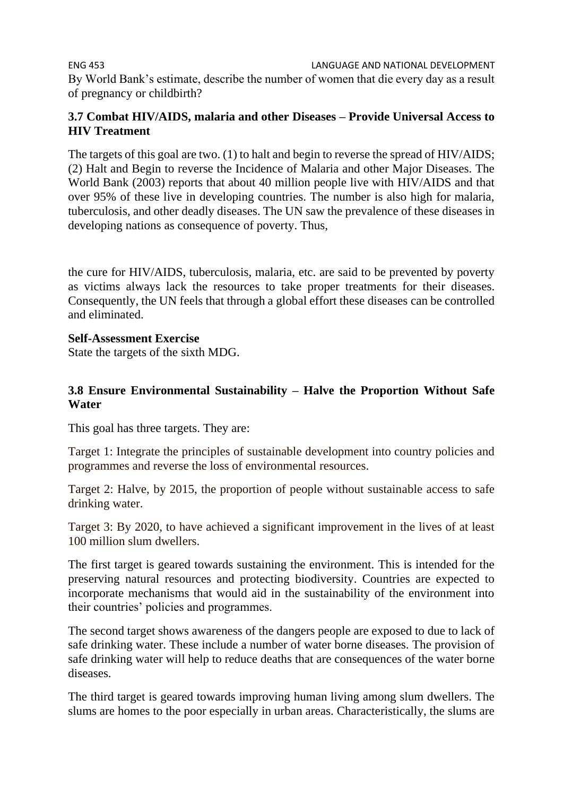ENG 453 LANGUAGE AND NATIONAL DEVELOPMENT By World Bank's estimate, describe the number of women that die every day as a result of pregnancy or childbirth?

#### **3.7 Combat HIV/AIDS, malaria and other Diseases – Provide Universal Access to HIV Treatment**

The targets of this goal are two. (1) to halt and begin to reverse the spread of HIV/AIDS; (2) Halt and Begin to reverse the Incidence of Malaria and other Major Diseases. The World Bank (2003) reports that about 40 million people live with HIV/AIDS and that over 95% of these live in developing countries. The number is also high for malaria, tuberculosis, and other deadly diseases. The UN saw the prevalence of these diseases in developing nations as consequence of poverty. Thus,

the cure for HIV/AIDS, tuberculosis, malaria, etc. are said to be prevented by poverty as victims always lack the resources to take proper treatments for their diseases. Consequently, the UN feels that through a global effort these diseases can be controlled and eliminated.

#### **Self-Assessment Exercise**

State the targets of the sixth MDG.

#### **3.8 Ensure Environmental Sustainability – Halve the Proportion Without Safe Water**

This goal has three targets. They are:

Target 1: Integrate the principles of sustainable development into country policies and programmes and reverse the loss of environmental resources.

Target 2: Halve, by 2015, the proportion of people without sustainable access to safe drinking water.

Target 3: By 2020, to have achieved a significant improvement in the lives of at least 100 million slum dwellers.

The first target is geared towards sustaining the environment. This is intended for the preserving natural resources and protecting biodiversity. Countries are expected to incorporate mechanisms that would aid in the sustainability of the environment into their countries' policies and programmes.

The second target shows awareness of the dangers people are exposed to due to lack of safe drinking water. These include a number of water borne diseases. The provision of safe drinking water will help to reduce deaths that are consequences of the water borne diseases.

The third target is geared towards improving human living among slum dwellers. The slums are homes to the poor especially in urban areas. Characteristically, the slums are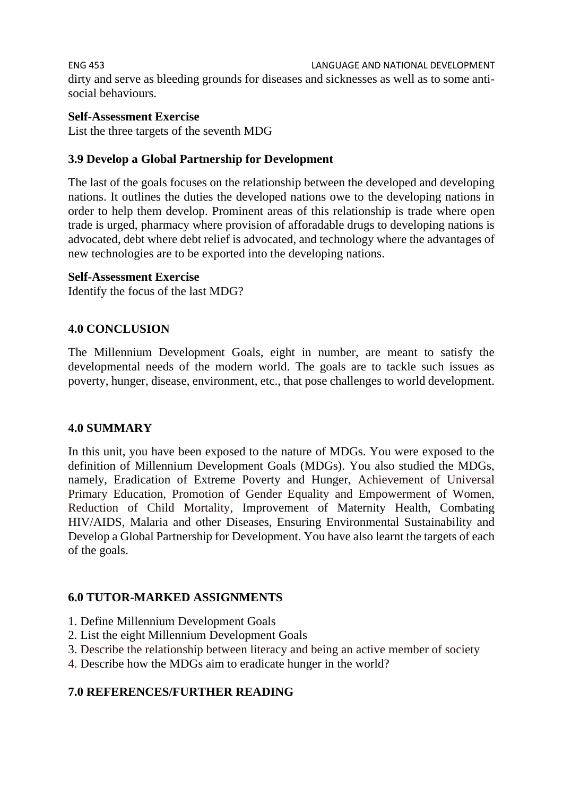ENG 453 LANGUAGE AND NATIONAL DEVELOPMENT dirty and serve as bleeding grounds for diseases and sicknesses as well as to some antisocial behaviours.

#### **Self-Assessment Exercise**

List the three targets of the seventh MDG

#### **3.9 Develop a Global Partnership for Development**

The last of the goals focuses on the relationship between the developed and developing nations. It outlines the duties the developed nations owe to the developing nations in order to help them develop. Prominent areas of this relationship is trade where open trade is urged, pharmacy where provision of afforadable drugs to developing nations is advocated, debt where debt relief is advocated, and technology where the advantages of new technologies are to be exported into the developing nations.

#### **Self-Assessment Exercise**

Identify the focus of the last MDG?

#### **4.0 CONCLUSION**

The Millennium Development Goals, eight in number, are meant to satisfy the developmental needs of the modern world. The goals are to tackle such issues as poverty, hunger, disease, environment, etc., that pose challenges to world development.

#### **4.0 SUMMARY**

In this unit, you have been exposed to the nature of MDGs. You were exposed to the definition of Millennium Development Goals (MDGs). You also studied the MDGs, namely, Eradication of Extreme Poverty and Hunger, Achievement of Universal Primary Education, Promotion of Gender Equality and Empowerment of Women, Reduction of Child Mortality, Improvement of Maternity Health, Combating HIV/AIDS, Malaria and other Diseases, Ensuring Environmental Sustainability and Develop a Global Partnership for Development. You have also learnt the targets of each of the goals.

#### **6.0 TUTOR-MARKED ASSIGNMENTS**

- 1. Define Millennium Development Goals
- 2. List the eight Millennium Development Goals
- 3. Describe the relationship between literacy and being an active member of society
- 4. Describe how the MDGs aim to eradicate hunger in the world?

### **7.0 REFERENCES/FURTHER READING**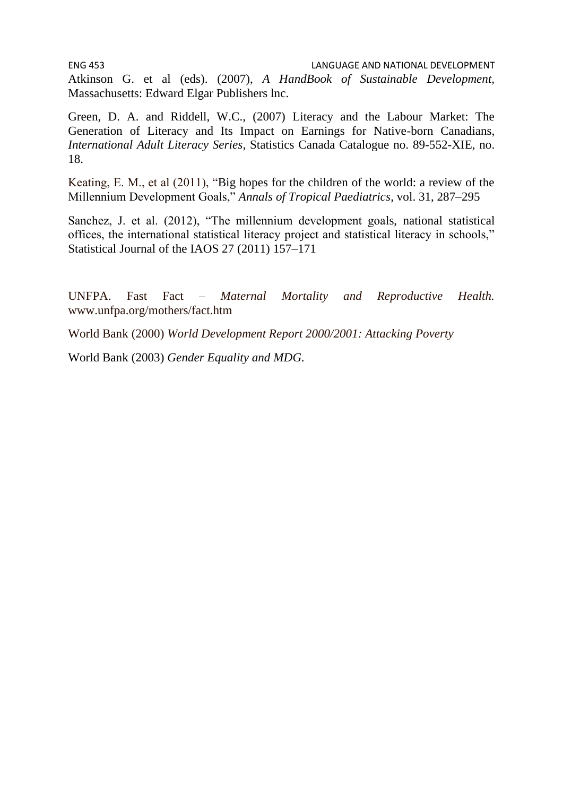Atkinson G. et al (eds). (2007), *A HandBook of Sustainable Development,*  Massachusetts: Edward Elgar Publishers lnc.

Green, D. A. and Riddell, W.C., (2007) Literacy and the Labour Market: The Generation of Literacy and Its Impact on Earnings for Native-born Canadians, *International Adult Literacy Series*, Statistics Canada Catalogue no. 89-552-XIE, no. 18.

Keating, E. M., et al (2011), "Big hopes for the children of the world: a review of the Millennium Development Goals," *Annals of Tropical Paediatrics*, vol. 31, 287–295

Sanchez, J. et al. (2012), "The millennium development goals, national statistical offices, the international statistical literacy project and statistical literacy in schools," Statistical Journal of the IAOS 27 (2011) 157–171

UNFPA. Fast Fact – *Maternal Mortality and Reproductive Health.*  www.unfpa.org/mothers/fact.htm

World Bank (2000) *World Development Report 2000/2001: Attacking Poverty*

World Bank (2003) *Gender Equality and MDG.*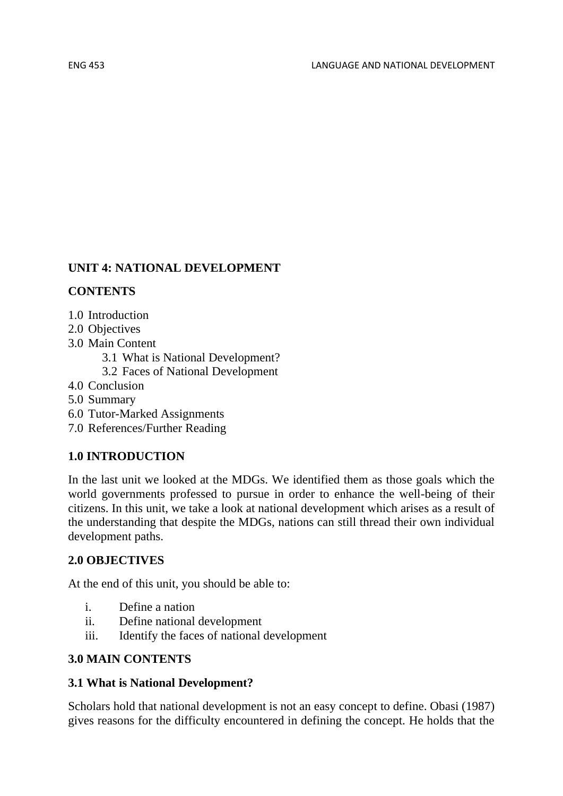# **UNIT 4: NATIONAL DEVELOPMENT**

### **CONTENTS**

- 1.0 Introduction
- 2.0 Objectives
- 3.0 Main Content
	- 3.1 What is National Development?
	- 3.2 Faces of National Development
- 4.0 Conclusion
- 5.0 Summary
- 6.0 Tutor-Marked Assignments
- 7.0 References/Further Reading

# **1.0 INTRODUCTION**

In the last unit we looked at the MDGs. We identified them as those goals which the world governments professed to pursue in order to enhance the well-being of their citizens. In this unit, we take a look at national development which arises as a result of the understanding that despite the MDGs, nations can still thread their own individual development paths.

# **2.0 OBJECTIVES**

At the end of this unit, you should be able to:

- i. Define a nation
- ii. Define national development
- iii. Identify the faces of national development

### **3.0 MAIN CONTENTS**

# **3.1 What is National Development?**

Scholars hold that national development is not an easy concept to define. Obasi (1987) gives reasons for the difficulty encountered in defining the concept. He holds that the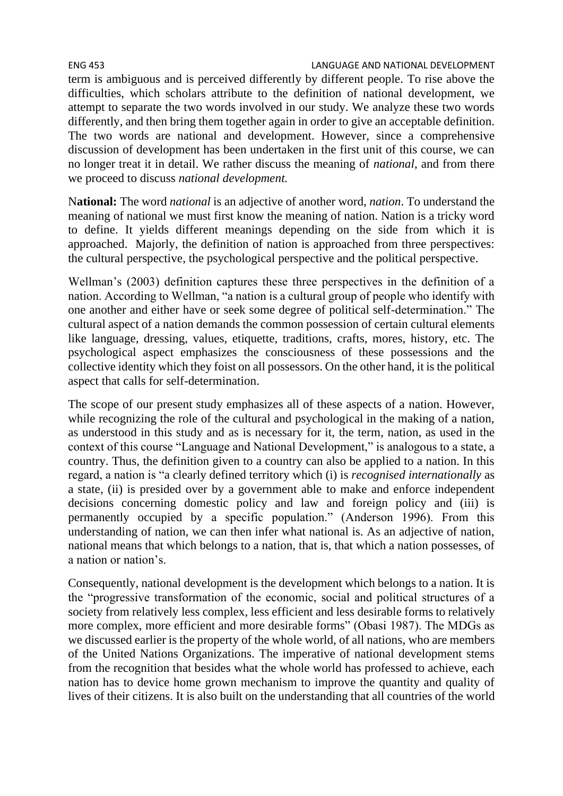ENG 453 LANGUAGE AND NATIONAL DEVELOPMENT term is ambiguous and is perceived differently by different people. To rise above the difficulties, which scholars attribute to the definition of national development, we attempt to separate the two words involved in our study. We analyze these two words differently, and then bring them together again in order to give an acceptable definition. The two words are national and development. However, since a comprehensive discussion of development has been undertaken in the first unit of this course, we can no longer treat it in detail. We rather discuss the meaning of *national*, and from there we proceed to discuss *national development.*

N**ational:** The word *national* is an adjective of another word, *nation*. To understand the meaning of national we must first know the meaning of nation. Nation is a tricky word to define. It yields different meanings depending on the side from which it is approached. Majorly, the definition of nation is approached from three perspectives: the cultural perspective, the psychological perspective and the political perspective.

Wellman's (2003) definition captures these three perspectives in the definition of a nation. According to Wellman, "a nation is a cultural group of people who identify with one another and either have or seek some degree of political self-determination." The cultural aspect of a nation demands the common possession of certain cultural elements like language, dressing, values, etiquette, traditions, crafts, mores, history, etc. The psychological aspect emphasizes the consciousness of these possessions and the collective identity which they foist on all possessors. On the other hand, it is the political aspect that calls for self-determination.

The scope of our present study emphasizes all of these aspects of a nation. However, while recognizing the role of the cultural and psychological in the making of a nation, as understood in this study and as is necessary for it, the term, nation, as used in the context of this course "Language and National Development," is analogous to a state, a country. Thus, the definition given to a country can also be applied to a nation. In this regard, a nation is "a clearly defined territory which (i) is *recognised internationally* as a state, (ii) is presided over by a government able to make and enforce independent decisions concerning domestic policy and law and foreign policy and (iii) is permanently occupied by a specific population." (Anderson 1996). From this understanding of nation, we can then infer what national is. As an adjective of nation, national means that which belongs to a nation, that is, that which a nation possesses, of a nation or nation's.

Consequently, national development is the development which belongs to a nation. It is the "progressive transformation of the economic, social and political structures of a society from relatively less complex, less efficient and less desirable forms to relatively more complex, more efficient and more desirable forms" (Obasi 1987). The MDGs as we discussed earlier is the property of the whole world, of all nations, who are members of the United Nations Organizations. The imperative of national development stems from the recognition that besides what the whole world has professed to achieve, each nation has to device home grown mechanism to improve the quantity and quality of lives of their citizens. It is also built on the understanding that all countries of the world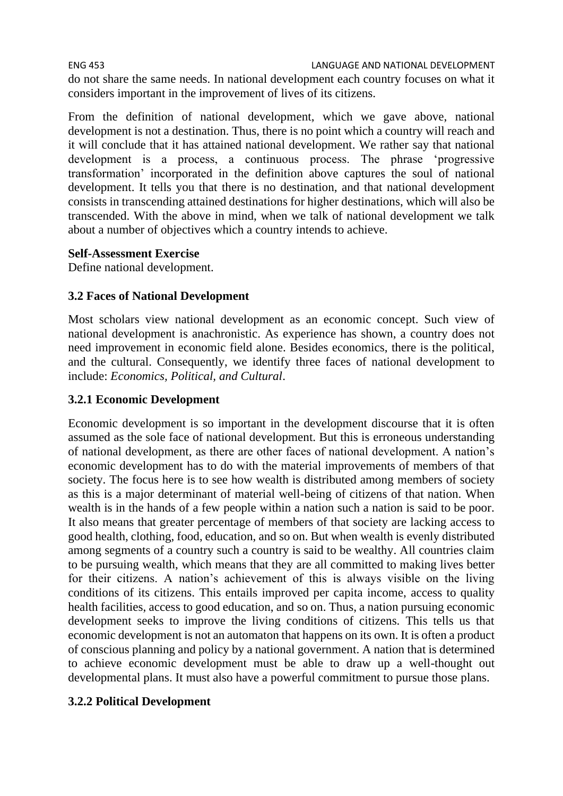ENG 453 LANGUAGE AND NATIONAL DEVELOPMENT

do not share the same needs. In national development each country focuses on what it considers important in the improvement of lives of its citizens.

From the definition of national development, which we gave above, national development is not a destination. Thus, there is no point which a country will reach and it will conclude that it has attained national development. We rather say that national development is a process, a continuous process. The phrase 'progressive transformation' incorporated in the definition above captures the soul of national development. It tells you that there is no destination, and that national development consists in transcending attained destinations for higher destinations, which will also be transcended. With the above in mind, when we talk of national development we talk about a number of objectives which a country intends to achieve.

#### **Self-Assessment Exercise**

Define national development.

### **3.2 Faces of National Development**

Most scholars view national development as an economic concept. Such view of national development is anachronistic. As experience has shown, a country does not need improvement in economic field alone. Besides economics, there is the political, and the cultural. Consequently, we identify three faces of national development to include: *Economics, Political, and Cultural*.

### **3.2.1 Economic Development**

Economic development is so important in the development discourse that it is often assumed as the sole face of national development. But this is erroneous understanding of national development, as there are other faces of national development. A nation's economic development has to do with the material improvements of members of that society. The focus here is to see how wealth is distributed among members of society as this is a major determinant of material well-being of citizens of that nation. When wealth is in the hands of a few people within a nation such a nation is said to be poor. It also means that greater percentage of members of that society are lacking access to good health, clothing, food, education, and so on. But when wealth is evenly distributed among segments of a country such a country is said to be wealthy. All countries claim to be pursuing wealth, which means that they are all committed to making lives better for their citizens. A nation's achievement of this is always visible on the living conditions of its citizens. This entails improved per capita income, access to quality health facilities, access to good education, and so on. Thus, a nation pursuing economic development seeks to improve the living conditions of citizens. This tells us that economic development is not an automaton that happens on its own. It is often a product of conscious planning and policy by a national government. A nation that is determined to achieve economic development must be able to draw up a well-thought out developmental plans. It must also have a powerful commitment to pursue those plans.

# **3.2.2 Political Development**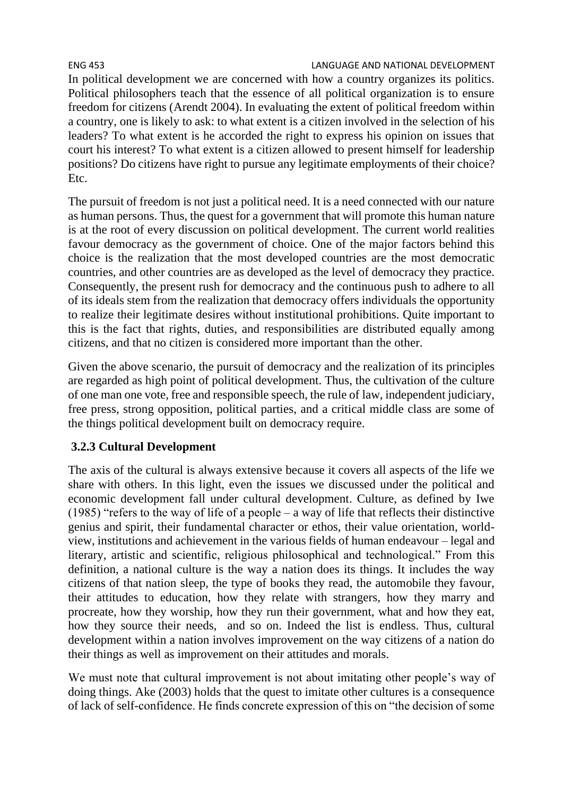#### ENG 453 LANGUAGE AND NATIONAL DEVELOPMENT

In political development we are concerned with how a country organizes its politics. Political philosophers teach that the essence of all political organization is to ensure freedom for citizens (Arendt 2004). In evaluating the extent of political freedom within a country, one is likely to ask: to what extent is a citizen involved in the selection of his leaders? To what extent is he accorded the right to express his opinion on issues that court his interest? To what extent is a citizen allowed to present himself for leadership positions? Do citizens have right to pursue any legitimate employments of their choice? Etc.

The pursuit of freedom is not just a political need. It is a need connected with our nature as human persons. Thus, the quest for a government that will promote this human nature is at the root of every discussion on political development. The current world realities favour democracy as the government of choice. One of the major factors behind this choice is the realization that the most developed countries are the most democratic countries, and other countries are as developed as the level of democracy they practice. Consequently, the present rush for democracy and the continuous push to adhere to all of its ideals stem from the realization that democracy offers individuals the opportunity to realize their legitimate desires without institutional prohibitions. Quite important to this is the fact that rights, duties, and responsibilities are distributed equally among citizens, and that no citizen is considered more important than the other.

Given the above scenario, the pursuit of democracy and the realization of its principles are regarded as high point of political development. Thus, the cultivation of the culture of one man one vote, free and responsible speech, the rule of law, independent judiciary, free press, strong opposition, political parties, and a critical middle class are some of the things political development built on democracy require.

# **3.2.3 Cultural Development**

The axis of the cultural is always extensive because it covers all aspects of the life we share with others. In this light, even the issues we discussed under the political and economic development fall under cultural development. Culture, as defined by Iwe (1985) "refers to the way of life of a people – a way of life that reflects their distinctive genius and spirit, their fundamental character or ethos, their value orientation, worldview, institutions and achievement in the various fields of human endeavour – legal and literary, artistic and scientific, religious philosophical and technological." From this definition, a national culture is the way a nation does its things. It includes the way citizens of that nation sleep, the type of books they read, the automobile they favour, their attitudes to education, how they relate with strangers, how they marry and procreate, how they worship, how they run their government, what and how they eat, how they source their needs, and so on. Indeed the list is endless. Thus, cultural development within a nation involves improvement on the way citizens of a nation do their things as well as improvement on their attitudes and morals.

We must note that cultural improvement is not about imitating other people's way of doing things. Ake (2003) holds that the quest to imitate other cultures is a consequence of lack of self-confidence. He finds concrete expression of this on "the decision of some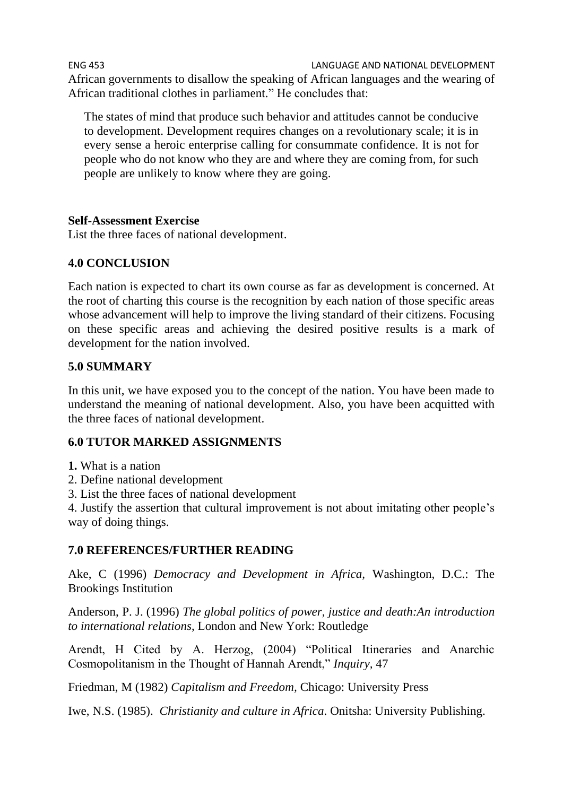ENG 453 LANGUAGE AND NATIONAL DEVELOPMENT African governments to disallow the speaking of African languages and the wearing of African traditional clothes in parliament." He concludes that:

The states of mind that produce such behavior and attitudes cannot be conducive to development. Development requires changes on a revolutionary scale; it is in every sense a heroic enterprise calling for consummate confidence. It is not for people who do not know who they are and where they are coming from, for such people are unlikely to know where they are going.

### **Self-Assessment Exercise**

List the three faces of national development.

# **4.0 CONCLUSION**

Each nation is expected to chart its own course as far as development is concerned. At the root of charting this course is the recognition by each nation of those specific areas whose advancement will help to improve the living standard of their citizens. Focusing on these specific areas and achieving the desired positive results is a mark of development for the nation involved.

# **5.0 SUMMARY**

In this unit, we have exposed you to the concept of the nation. You have been made to understand the meaning of national development. Also, you have been acquitted with the three faces of national development.

# **6.0 TUTOR MARKED ASSIGNMENTS**

**1.** What is a nation

- 2. Define national development
- 3. List the three faces of national development

4. Justify the assertion that cultural improvement is not about imitating other people's way of doing things.

# **7.0 REFERENCES/FURTHER READING**

Ake, C (1996) *Democracy and Development in Africa,* Washington, D.C.: The Brookings Institution

Anderson, P. J. (1996) *The global politics of power, justice and death:An introduction to international relations*, London and New York: Routledge

Arendt, H Cited by A. Herzog, (2004) "Political Itineraries and Anarchic Cosmopolitanism in the Thought of Hannah Arendt," *Inquiry,* 47

Friedman, M (1982) *Capitalism and Freedom,* Chicago: University Press

Iwe, N.S. (1985). *Christianity and culture in Africa*. Onitsha: University Publishing.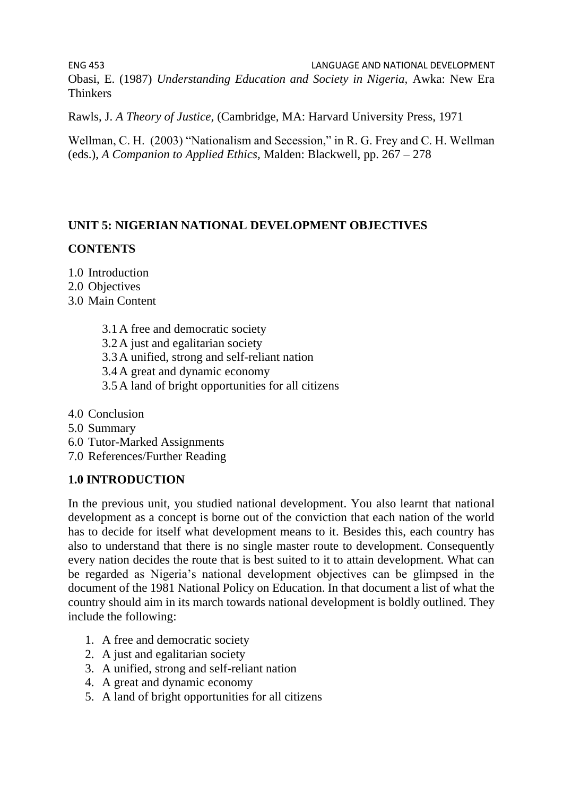ENG 453 LANGUAGE AND NATIONAL DEVELOPMENT Obasi, E. (1987) *Understanding Education and Society in Nigeria,* Awka: New Era Thinkers

Rawls, J. *A Theory of Justice,* (Cambridge, MA: Harvard University Press, 1971

Wellman, C. H. (2003) "Nationalism and Secession," in R. G. Frey and C. H. Wellman (eds.), *A Companion to Applied Ethics,* Malden: Blackwell, pp. 267 – 278

### **UNIT 5: NIGERIAN NATIONAL DEVELOPMENT OBJECTIVES**

### **CONTENTS**

- 1.0 Introduction
- 2.0 Objectives
- 3.0 Main Content
	- 3.1A free and democratic society
	- 3.2A just and egalitarian society
	- 3.3A unified, strong and self-reliant nation
	- 3.4A great and dynamic economy
	- 3.5A land of bright opportunities for all citizens
- 4.0 Conclusion
- 5.0 Summary
- 6.0 Tutor-Marked Assignments
- 7.0 References/Further Reading

#### **1.0 INTRODUCTION**

In the previous unit, you studied national development. You also learnt that national development as a concept is borne out of the conviction that each nation of the world has to decide for itself what development means to it. Besides this, each country has also to understand that there is no single master route to development. Consequently every nation decides the route that is best suited to it to attain development. What can be regarded as Nigeria's national development objectives can be glimpsed in the document of the 1981 National Policy on Education. In that document a list of what the country should aim in its march towards national development is boldly outlined. They include the following:

- 1. A free and democratic society
- 2. A just and egalitarian society
- 3. A unified, strong and self-reliant nation
- 4. A great and dynamic economy
- 5. A land of bright opportunities for all citizens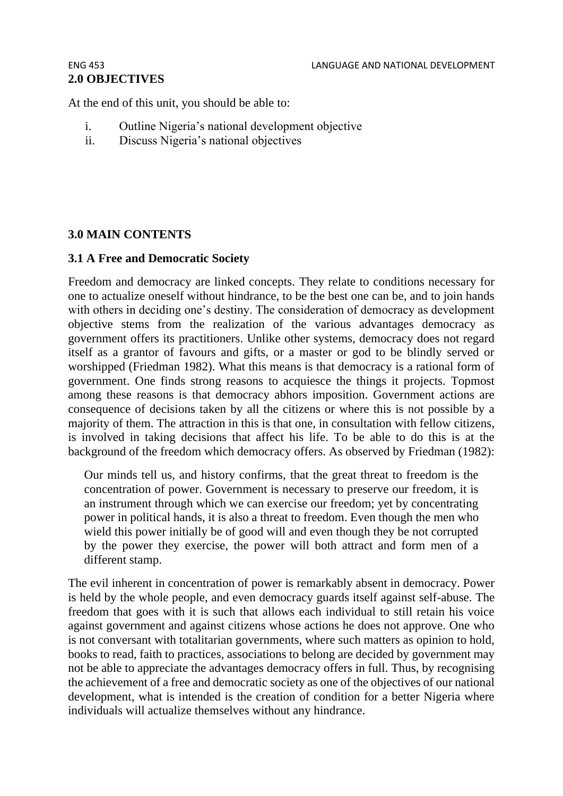# **2.0 OBJECTIVES**

At the end of this unit, you should be able to:

- i. Outline Nigeria's national development objective
- ii. Discuss Nigeria's national objectives

# **3.0 MAIN CONTENTS**

### **3.1 A Free and Democratic Society**

Freedom and democracy are linked concepts. They relate to conditions necessary for one to actualize oneself without hindrance, to be the best one can be, and to join hands with others in deciding one's destiny. The consideration of democracy as development objective stems from the realization of the various advantages democracy as government offers its practitioners. Unlike other systems, democracy does not regard itself as a grantor of favours and gifts, or a master or god to be blindly served or worshipped (Friedman 1982). What this means is that democracy is a rational form of government. One finds strong reasons to acquiesce the things it projects. Topmost among these reasons is that democracy abhors imposition. Government actions are consequence of decisions taken by all the citizens or where this is not possible by a majority of them. The attraction in this is that one, in consultation with fellow citizens, is involved in taking decisions that affect his life. To be able to do this is at the background of the freedom which democracy offers. As observed by Friedman (1982):

Our minds tell us, and history confirms, that the great threat to freedom is the concentration of power. Government is necessary to preserve our freedom, it is an instrument through which we can exercise our freedom; yet by concentrating power in political hands, it is also a threat to freedom. Even though the men who wield this power initially be of good will and even though they be not corrupted by the power they exercise, the power will both attract and form men of a different stamp.

The evil inherent in concentration of power is remarkably absent in democracy. Power is held by the whole people, and even democracy guards itself against self-abuse. The freedom that goes with it is such that allows each individual to still retain his voice against government and against citizens whose actions he does not approve. One who is not conversant with totalitarian governments, where such matters as opinion to hold, books to read, faith to practices, associations to belong are decided by government may not be able to appreciate the advantages democracy offers in full. Thus, by recognising the achievement of a free and democratic society as one of the objectives of our national development, what is intended is the creation of condition for a better Nigeria where individuals will actualize themselves without any hindrance.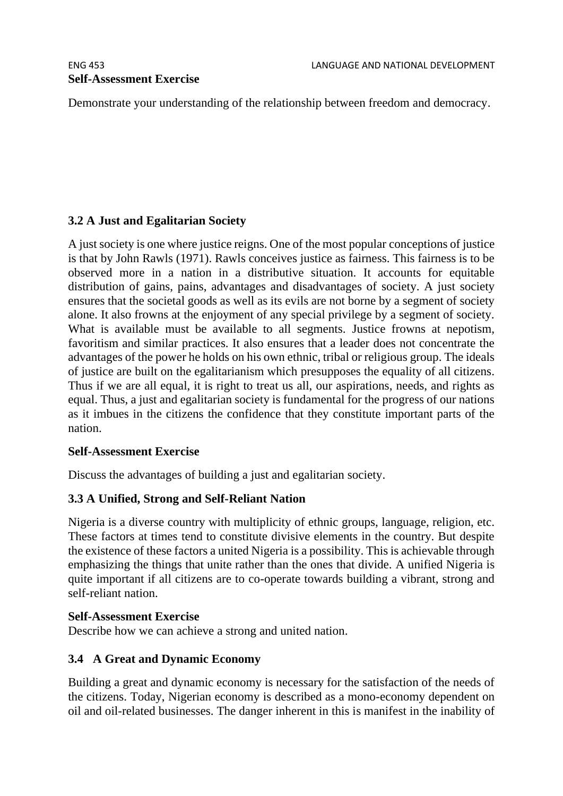Demonstrate your understanding of the relationship between freedom and democracy.

# **3.2 A Just and Egalitarian Society**

A just society is one where justice reigns. One of the most popular conceptions of justice is that by John Rawls (1971). Rawls conceives justice as fairness. This fairness is to be observed more in a nation in a distributive situation. It accounts for equitable distribution of gains, pains, advantages and disadvantages of society. A just society ensures that the societal goods as well as its evils are not borne by a segment of society alone. It also frowns at the enjoyment of any special privilege by a segment of society. What is available must be available to all segments. Justice frowns at nepotism, favoritism and similar practices. It also ensures that a leader does not concentrate the advantages of the power he holds on his own ethnic, tribal or religious group. The ideals of justice are built on the egalitarianism which presupposes the equality of all citizens. Thus if we are all equal, it is right to treat us all, our aspirations, needs, and rights as equal. Thus, a just and egalitarian society is fundamental for the progress of our nations as it imbues in the citizens the confidence that they constitute important parts of the nation.

### **Self-Assessment Exercise**

Discuss the advantages of building a just and egalitarian society.

# **3.3 A Unified, Strong and Self-Reliant Nation**

Nigeria is a diverse country with multiplicity of ethnic groups, language, religion, etc. These factors at times tend to constitute divisive elements in the country. But despite the existence of these factors a united Nigeria is a possibility. This is achievable through emphasizing the things that unite rather than the ones that divide. A unified Nigeria is quite important if all citizens are to co-operate towards building a vibrant, strong and self-reliant nation.

#### **Self-Assessment Exercise**

Describe how we can achieve a strong and united nation.

### **3.4 A Great and Dynamic Economy**

Building a great and dynamic economy is necessary for the satisfaction of the needs of the citizens. Today, Nigerian economy is described as a mono-economy dependent on oil and oil-related businesses. The danger inherent in this is manifest in the inability of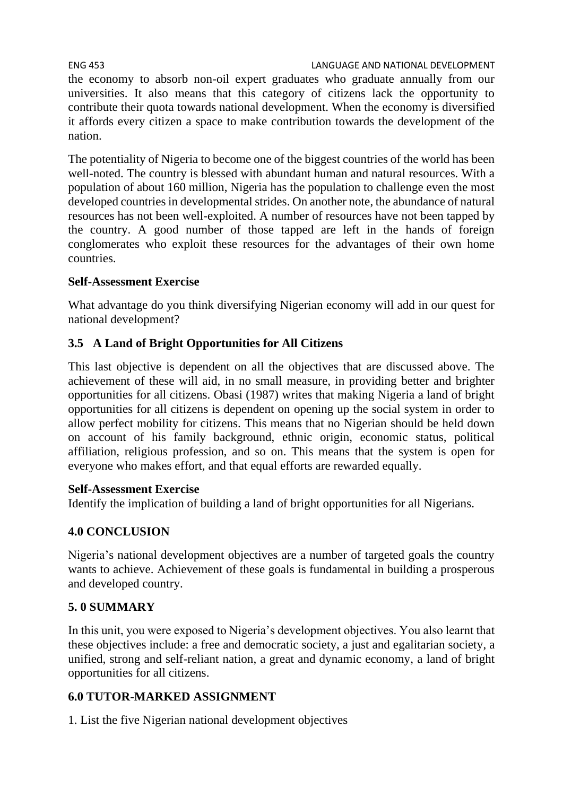ENG 453 LANGUAGE AND NATIONAL DEVELOPMENT the economy to absorb non-oil expert graduates who graduate annually from our universities. It also means that this category of citizens lack the opportunity to contribute their quota towards national development. When the economy is diversified it affords every citizen a space to make contribution towards the development of the nation.

The potentiality of Nigeria to become one of the biggest countries of the world has been well-noted. The country is blessed with abundant human and natural resources. With a population of about 160 million, Nigeria has the population to challenge even the most developed countries in developmental strides. On another note, the abundance of natural resources has not been well-exploited. A number of resources have not been tapped by the country. A good number of those tapped are left in the hands of foreign conglomerates who exploit these resources for the advantages of their own home countries.

# **Self-Assessment Exercise**

What advantage do you think diversifying Nigerian economy will add in our quest for national development?

# **3.5 A Land of Bright Opportunities for All Citizens**

This last objective is dependent on all the objectives that are discussed above. The achievement of these will aid, in no small measure, in providing better and brighter opportunities for all citizens. Obasi (1987) writes that making Nigeria a land of bright opportunities for all citizens is dependent on opening up the social system in order to allow perfect mobility for citizens. This means that no Nigerian should be held down on account of his family background, ethnic origin, economic status, political affiliation, religious profession, and so on. This means that the system is open for everyone who makes effort, and that equal efforts are rewarded equally.

# **Self-Assessment Exercise**

Identify the implication of building a land of bright opportunities for all Nigerians.

# **4.0 CONCLUSION**

Nigeria's national development objectives are a number of targeted goals the country wants to achieve. Achievement of these goals is fundamental in building a prosperous and developed country.

# **5. 0 SUMMARY**

In this unit, you were exposed to Nigeria's development objectives. You also learnt that these objectives include: a free and democratic society, a just and egalitarian society, a unified, strong and self-reliant nation, a great and dynamic economy, a land of bright opportunities for all citizens.

# **6.0 TUTOR-MARKED ASSIGNMENT**

1. List the five Nigerian national development objectives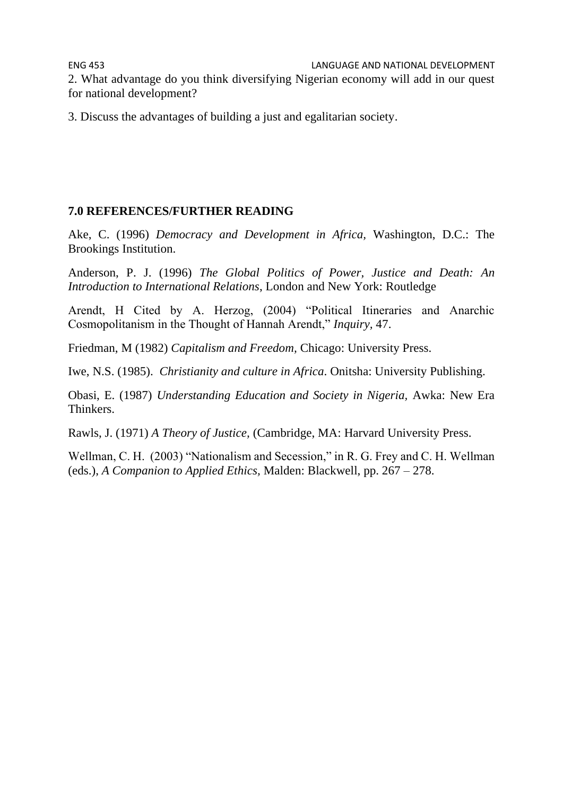2. What advantage do you think diversifying Nigerian economy will add in our quest for national development?

3. Discuss the advantages of building a just and egalitarian society.

### **7.0 REFERENCES/FURTHER READING**

Ake, C. (1996) *Democracy and Development in Africa,* Washington, D.C.: The Brookings Institution.

Anderson, P. J. (1996) *The Global Politics of Power, Justice and Death: An Introduction to International Relations*, London and New York: Routledge

Arendt, H Cited by A. Herzog, (2004) "Political Itineraries and Anarchic Cosmopolitanism in the Thought of Hannah Arendt," *Inquiry,* 47.

Friedman, M (1982) *Capitalism and Freedom,* Chicago: University Press.

Iwe, N.S. (1985). *Christianity and culture in Africa*. Onitsha: University Publishing.

Obasi, E. (1987) *Understanding Education and Society in Nigeria,* Awka: New Era Thinkers.

Rawls, J. (1971) *A Theory of Justice,* (Cambridge, MA: Harvard University Press.

Wellman, C. H. (2003) "Nationalism and Secession," in R. G. Frey and C. H. Wellman (eds.), *A Companion to Applied Ethics,* Malden: Blackwell, pp. 267 – 278.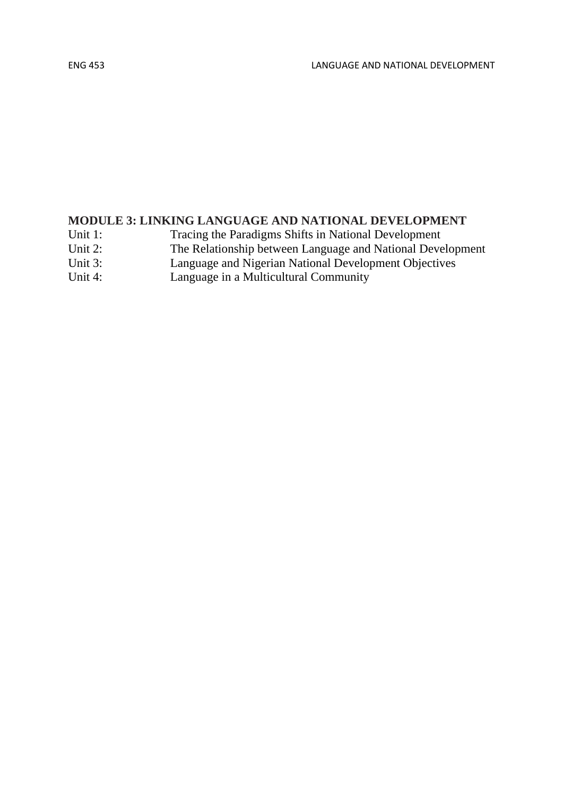# **MODULE 3: LINKING LANGUAGE AND NATIONAL DEVELOPMENT**

Unit 1: Tracing the Paradigms Shifts in National Development

- Unit 2: The Relationship between Language and National Development
- Unit 3: Language and Nigerian National Development Objectives
- Unit 4: Language in a Multicultural Community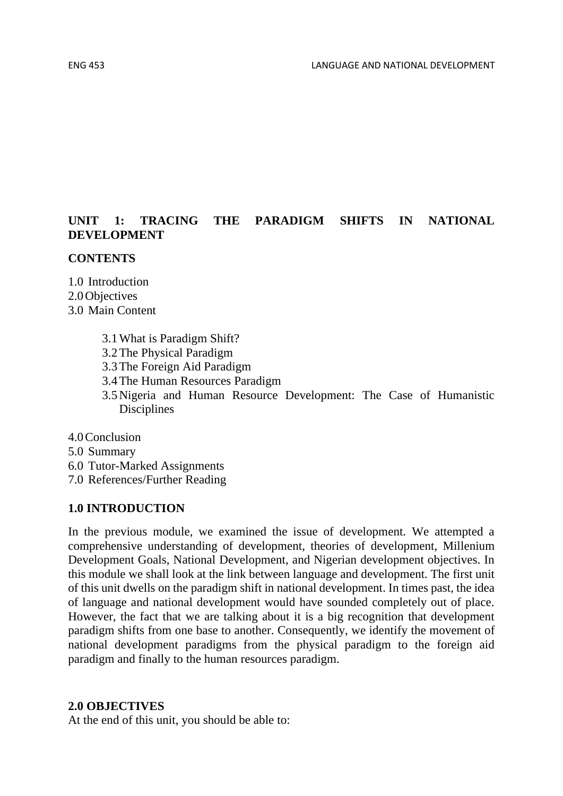## **UNIT 1: TRACING THE PARADIGM SHIFTS IN NATIONAL DEVELOPMENT**

#### **CONTENTS**

1.0 Introduction 2.0Objectives 3.0 Main Content

- 3.1What is Paradigm Shift?
- 3.2The Physical Paradigm
- 3.3The Foreign Aid Paradigm
- 3.4The Human Resources Paradigm
- 3.5Nigeria and Human Resource Development: The Case of Humanistic Disciplines
- 4.0Conclusion
- 5.0 Summary
- 6.0 Tutor-Marked Assignments
- 7.0 References/Further Reading

#### **1.0 INTRODUCTION**

In the previous module, we examined the issue of development. We attempted a comprehensive understanding of development, theories of development, Millenium Development Goals, National Development, and Nigerian development objectives. In this module we shall look at the link between language and development. The first unit of this unit dwells on the paradigm shift in national development. In times past, the idea of language and national development would have sounded completely out of place. However, the fact that we are talking about it is a big recognition that development paradigm shifts from one base to another. Consequently, we identify the movement of national development paradigms from the physical paradigm to the foreign aid paradigm and finally to the human resources paradigm.

#### **2.0 OBJECTIVES**

At the end of this unit, you should be able to: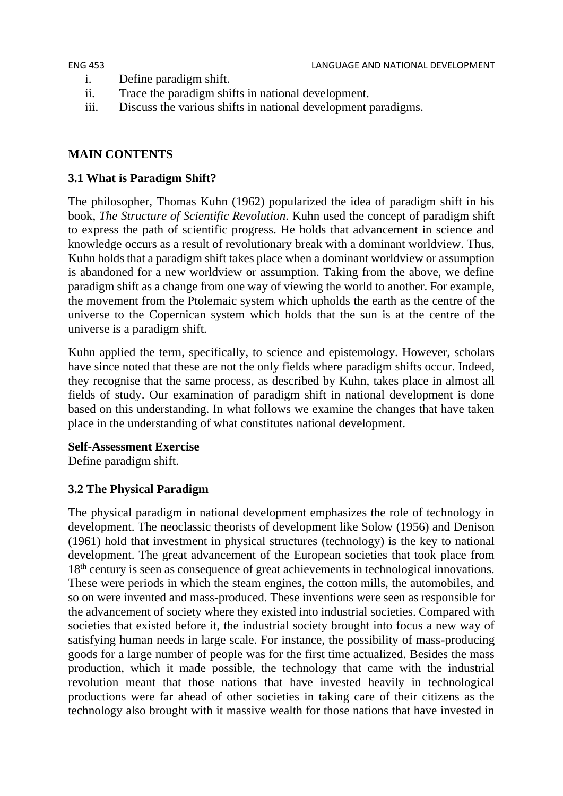- i. Define paradigm shift.
- ii. Trace the paradigm shifts in national development.
- iii. Discuss the various shifts in national development paradigms.

# **MAIN CONTENTS**

# **3.1 What is Paradigm Shift?**

The philosopher, Thomas Kuhn (1962) popularized the idea of paradigm shift in his book, *The Structure of Scientific Revolution*. Kuhn used the concept of paradigm shift to express the path of scientific progress. He holds that advancement in science and knowledge occurs as a result of revolutionary break with a dominant worldview. Thus, Kuhn holds that a paradigm shift takes place when a dominant worldview or assumption is abandoned for a new worldview or assumption. Taking from the above, we define paradigm shift as a change from one way of viewing the world to another. For example, the movement from the Ptolemaic system which upholds the earth as the centre of the universe to the Copernican system which holds that the sun is at the centre of the universe is a paradigm shift.

Kuhn applied the term, specifically, to science and epistemology. However, scholars have since noted that these are not the only fields where paradigm shifts occur. Indeed, they recognise that the same process, as described by Kuhn, takes place in almost all fields of study. Our examination of paradigm shift in national development is done based on this understanding. In what follows we examine the changes that have taken place in the understanding of what constitutes national development.

# **Self-Assessment Exercise**

Define paradigm shift.

# **3.2 The Physical Paradigm**

The physical paradigm in national development emphasizes the role of technology in development. The neoclassic theorists of development like Solow (1956) and Denison (1961) hold that investment in physical structures (technology) is the key to national development. The great advancement of the European societies that took place from 18<sup>th</sup> century is seen as consequence of great achievements in technological innovations. These were periods in which the steam engines, the cotton mills, the automobiles, and so on were invented and mass-produced. These inventions were seen as responsible for the advancement of society where they existed into industrial societies. Compared with societies that existed before it, the industrial society brought into focus a new way of satisfying human needs in large scale. For instance, the possibility of mass-producing goods for a large number of people was for the first time actualized. Besides the mass production, which it made possible, the technology that came with the industrial revolution meant that those nations that have invested heavily in technological productions were far ahead of other societies in taking care of their citizens as the technology also brought with it massive wealth for those nations that have invested in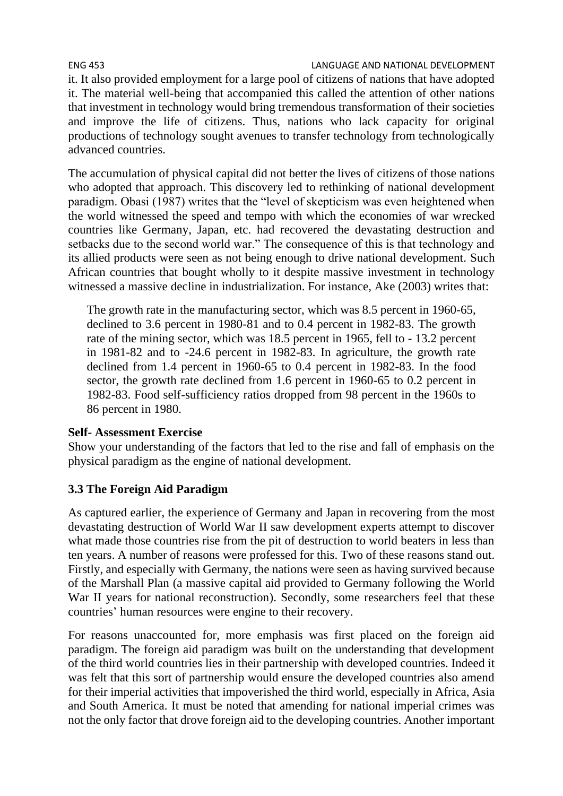#### ENG 453 LANGUAGE AND NATIONAL DEVELOPMENT

it. It also provided employment for a large pool of citizens of nations that have adopted it. The material well-being that accompanied this called the attention of other nations that investment in technology would bring tremendous transformation of their societies and improve the life of citizens. Thus, nations who lack capacity for original productions of technology sought avenues to transfer technology from technologically advanced countries.

The accumulation of physical capital did not better the lives of citizens of those nations who adopted that approach. This discovery led to rethinking of national development paradigm. Obasi (1987) writes that the "level of skepticism was even heightened when the world witnessed the speed and tempo with which the economies of war wrecked countries like Germany, Japan, etc. had recovered the devastating destruction and setbacks due to the second world war." The consequence of this is that technology and its allied products were seen as not being enough to drive national development. Such African countries that bought wholly to it despite massive investment in technology witnessed a massive decline in industrialization. For instance, Ake (2003) writes that:

The growth rate in the manufacturing sector, which was 8.5 percent in 1960-65, declined to 3.6 percent in 1980-81 and to 0.4 percent in 1982-83. The growth rate of the mining sector, which was 18.5 percent in 1965, fell to - 13.2 percent in 1981-82 and to -24.6 percent in 1982-83. In agriculture, the growth rate declined from 1.4 percent in 1960-65 to 0.4 percent in 1982-83. In the food sector, the growth rate declined from 1.6 percent in 1960-65 to 0.2 percent in 1982-83. Food self-sufficiency ratios dropped from 98 percent in the 1960s to 86 percent in 1980.

#### **Self- Assessment Exercise**

Show your understanding of the factors that led to the rise and fall of emphasis on the physical paradigm as the engine of national development.

### **3.3 The Foreign Aid Paradigm**

As captured earlier, the experience of Germany and Japan in recovering from the most devastating destruction of World War II saw development experts attempt to discover what made those countries rise from the pit of destruction to world beaters in less than ten years. A number of reasons were professed for this. Two of these reasons stand out. Firstly, and especially with Germany, the nations were seen as having survived because of the Marshall Plan (a massive capital aid provided to Germany following the World War II years for national reconstruction). Secondly, some researchers feel that these countries' human resources were engine to their recovery.

For reasons unaccounted for, more emphasis was first placed on the foreign aid paradigm. The foreign aid paradigm was built on the understanding that development of the third world countries lies in their partnership with developed countries. Indeed it was felt that this sort of partnership would ensure the developed countries also amend for their imperial activities that impoverished the third world, especially in Africa, Asia and South America. It must be noted that amending for national imperial crimes was not the only factor that drove foreign aid to the developing countries. Another important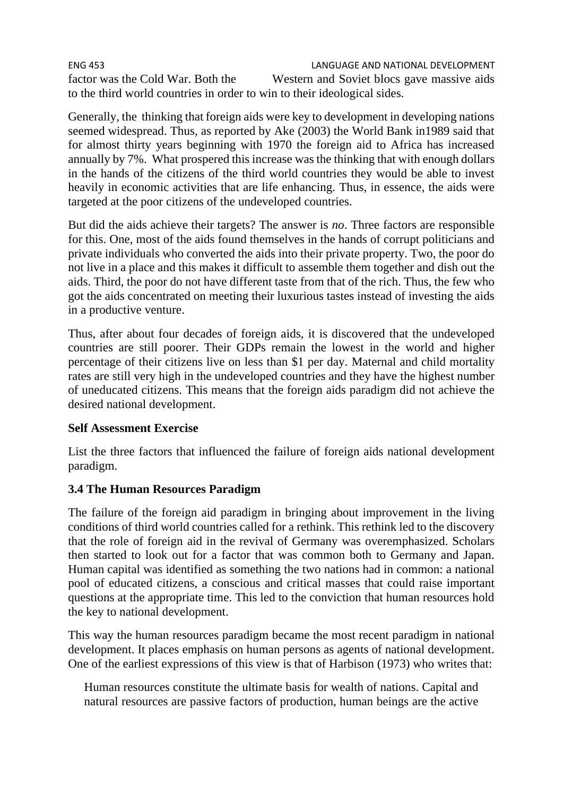ENG 453 LANGUAGE AND NATIONAL DEVELOPMENT factor was the Cold War. Both the Western and Soviet blocs gave massive aids to the third world countries in order to win to their ideological sides.

Generally, the thinking that foreign aids were key to development in developing nations seemed widespread. Thus, as reported by Ake (2003) the World Bank in1989 said that for almost thirty years beginning with 1970 the foreign aid to Africa has increased annually by 7%. What prospered this increase was the thinking that with enough dollars in the hands of the citizens of the third world countries they would be able to invest heavily in economic activities that are life enhancing. Thus, in essence, the aids were targeted at the poor citizens of the undeveloped countries.

But did the aids achieve their targets? The answer is *no*. Three factors are responsible for this. One, most of the aids found themselves in the hands of corrupt politicians and private individuals who converted the aids into their private property. Two, the poor do not live in a place and this makes it difficult to assemble them together and dish out the aids. Third, the poor do not have different taste from that of the rich. Thus, the few who got the aids concentrated on meeting their luxurious tastes instead of investing the aids in a productive venture.

Thus, after about four decades of foreign aids, it is discovered that the undeveloped countries are still poorer. Their GDPs remain the lowest in the world and higher percentage of their citizens live on less than \$1 per day. Maternal and child mortality rates are still very high in the undeveloped countries and they have the highest number of uneducated citizens. This means that the foreign aids paradigm did not achieve the desired national development.

### **Self Assessment Exercise**

List the three factors that influenced the failure of foreign aids national development paradigm.

# **3.4 The Human Resources Paradigm**

The failure of the foreign aid paradigm in bringing about improvement in the living conditions of third world countries called for a rethink. This rethink led to the discovery that the role of foreign aid in the revival of Germany was overemphasized. Scholars then started to look out for a factor that was common both to Germany and Japan. Human capital was identified as something the two nations had in common: a national pool of educated citizens, a conscious and critical masses that could raise important questions at the appropriate time. This led to the conviction that human resources hold the key to national development.

This way the human resources paradigm became the most recent paradigm in national development. It places emphasis on human persons as agents of national development. One of the earliest expressions of this view is that of Harbison (1973) who writes that:

Human resources constitute the ultimate basis for wealth of nations. Capital and natural resources are passive factors of production, human beings are the active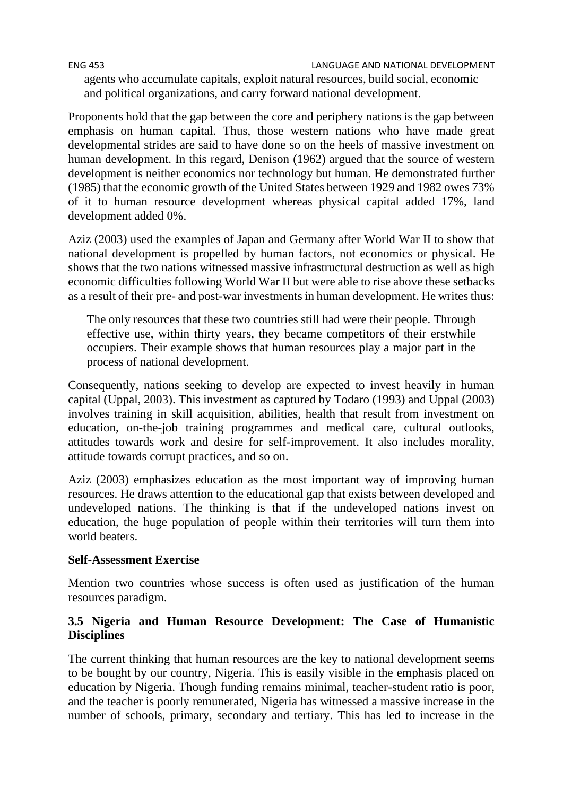ENG 453 LANGUAGE AND NATIONAL DEVELOPMENT

agents who accumulate capitals, exploit natural resources, build social, economic and political organizations, and carry forward national development.

Proponents hold that the gap between the core and periphery nations is the gap between emphasis on human capital. Thus, those western nations who have made great developmental strides are said to have done so on the heels of massive investment on human development. In this regard, Denison (1962) argued that the source of western development is neither economics nor technology but human. He demonstrated further (1985) that the economic growth of the United States between 1929 and 1982 owes 73% of it to human resource development whereas physical capital added 17%, land development added 0%.

Aziz (2003) used the examples of Japan and Germany after World War II to show that national development is propelled by human factors, not economics or physical. He shows that the two nations witnessed massive infrastructural destruction as well as high economic difficulties following World War II but were able to rise above these setbacks as a result of their pre- and post-war investments in human development. He writes thus:

The only resources that these two countries still had were their people. Through effective use, within thirty years, they became competitors of their erstwhile occupiers. Their example shows that human resources play a major part in the process of national development.

Consequently, nations seeking to develop are expected to invest heavily in human capital (Uppal, 2003). This investment as captured by Todaro (1993) and Uppal (2003) involves training in skill acquisition, abilities, health that result from investment on education, on-the-job training programmes and medical care, cultural outlooks, attitudes towards work and desire for self-improvement. It also includes morality, attitude towards corrupt practices, and so on.

Aziz (2003) emphasizes education as the most important way of improving human resources. He draws attention to the educational gap that exists between developed and undeveloped nations. The thinking is that if the undeveloped nations invest on education, the huge population of people within their territories will turn them into world beaters.

### **Self-Assessment Exercise**

Mention two countries whose success is often used as justification of the human resources paradigm.

### **3.5 Nigeria and Human Resource Development: The Case of Humanistic Disciplines**

The current thinking that human resources are the key to national development seems to be bought by our country, Nigeria. This is easily visible in the emphasis placed on education by Nigeria. Though funding remains minimal, teacher-student ratio is poor, and the teacher is poorly remunerated, Nigeria has witnessed a massive increase in the number of schools, primary, secondary and tertiary. This has led to increase in the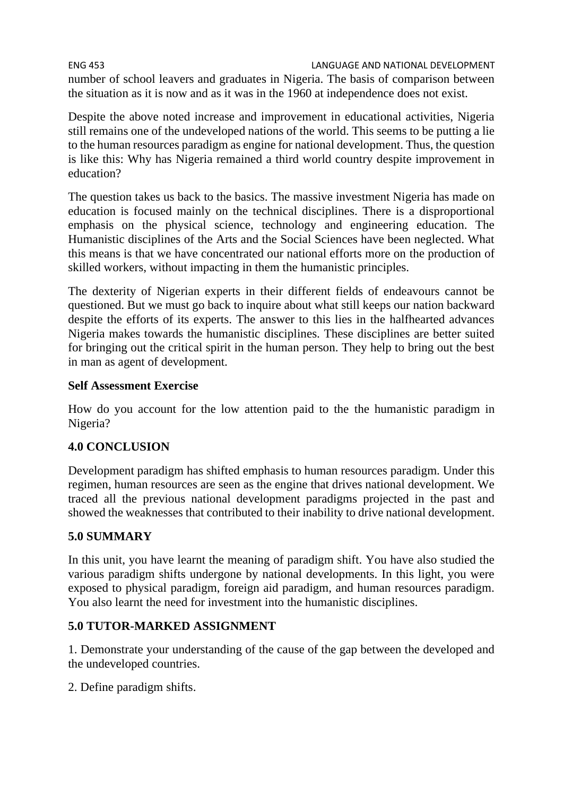ENG 453 LANGUAGE AND NATIONAL DEVELOPMENT number of school leavers and graduates in Nigeria. The basis of comparison between the situation as it is now and as it was in the 1960 at independence does not exist.

Despite the above noted increase and improvement in educational activities, Nigeria still remains one of the undeveloped nations of the world. This seems to be putting a lie to the human resources paradigm as engine for national development. Thus, the question is like this: Why has Nigeria remained a third world country despite improvement in education?

The question takes us back to the basics. The massive investment Nigeria has made on education is focused mainly on the technical disciplines. There is a disproportional emphasis on the physical science, technology and engineering education. The Humanistic disciplines of the Arts and the Social Sciences have been neglected. What this means is that we have concentrated our national efforts more on the production of skilled workers, without impacting in them the humanistic principles.

The dexterity of Nigerian experts in their different fields of endeavours cannot be questioned. But we must go back to inquire about what still keeps our nation backward despite the efforts of its experts. The answer to this lies in the halfhearted advances Nigeria makes towards the humanistic disciplines. These disciplines are better suited for bringing out the critical spirit in the human person. They help to bring out the best in man as agent of development.

### **Self Assessment Exercise**

How do you account for the low attention paid to the the humanistic paradigm in Nigeria?

# **4.0 CONCLUSION**

Development paradigm has shifted emphasis to human resources paradigm. Under this regimen, human resources are seen as the engine that drives national development. We traced all the previous national development paradigms projected in the past and showed the weaknesses that contributed to their inability to drive national development.

### **5.0 SUMMARY**

In this unit, you have learnt the meaning of paradigm shift. You have also studied the various paradigm shifts undergone by national developments. In this light, you were exposed to physical paradigm, foreign aid paradigm, and human resources paradigm. You also learnt the need for investment into the humanistic disciplines.

### **5.0 TUTOR-MARKED ASSIGNMENT**

1. Demonstrate your understanding of the cause of the gap between the developed and the undeveloped countries.

2. Define paradigm shifts.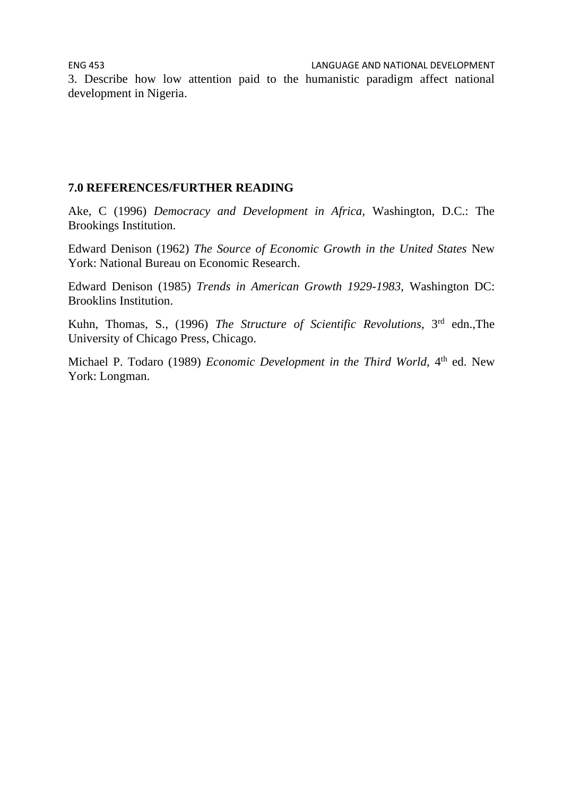3. Describe how low attention paid to the humanistic paradigm affect national development in Nigeria.

#### **7.0 REFERENCES/FURTHER READING**

Ake, C (1996) *Democracy and Development in Africa,* Washington, D.C.: The Brookings Institution.

Edward Denison (1962) *The Source of Economic Growth in the United States* New York: National Bureau on Economic Research.

Edward Denison (1985) *Trends in American Growth 1929-1983,* Washington DC: Brooklins Institution.

Kuhn, Thomas, S., (1996) *The Structure of Scientific Revolutions*, 3rd edn.,The University of Chicago Press, Chicago.

Michael P. Todaro (1989) *Economic Development in the Third World*, 4<sup>th</sup> ed. New York: Longman.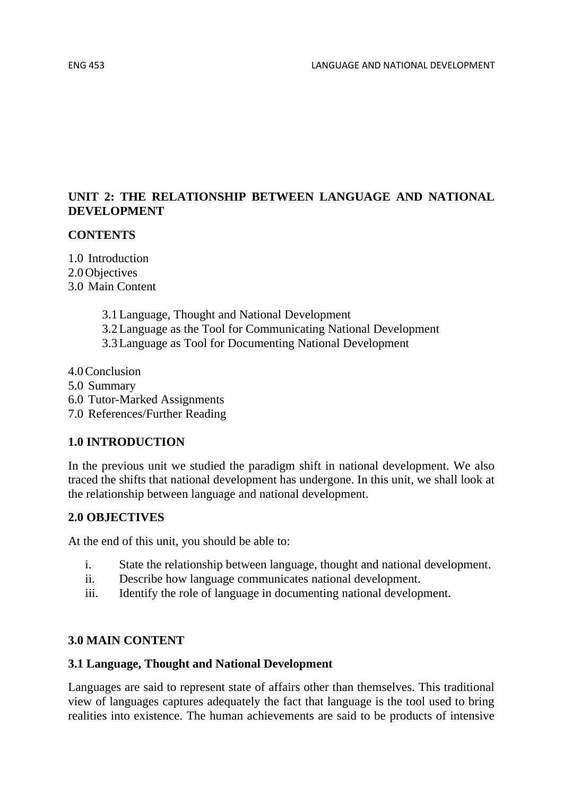## **UNIT 2: THE RELATIONSHIP BETWEEN LANGUAGE AND NATIONAL DEVELOPMENT**

### **CONTENTS**

1.0 Introduction 2.0Objectives 3.0 Main Content

- 3.1Language, Thought and National Development
- 3.2Language as the Tool for Communicating National Development
- 3.3Language as Tool for Documenting National Development
- 4.0Conclusion
- 5.0 Summary
- 6.0 Tutor-Marked Assignments
- 7.0 References/Further Reading

#### **1.0 INTRODUCTION**

In the previous unit we studied the paradigm shift in national development. We also traced the shifts that national development has undergone. In this unit, we shall look at the relationship between language and national development.

#### **2.0 OBJECTIVES**

At the end of this unit, you should be able to:

- i. State the relationship between language, thought and national development.
- ii. Describe how language communicates national development.
- iii. Identify the role of language in documenting national development.

#### **3.0 MAIN CONTENT**

#### **3.1 Language, Thought and National Development**

Languages are said to represent state of affairs other than themselves. This traditional view of languages captures adequately the fact that language is the tool used to bring realities into existence. The human achievements are said to be products of intensive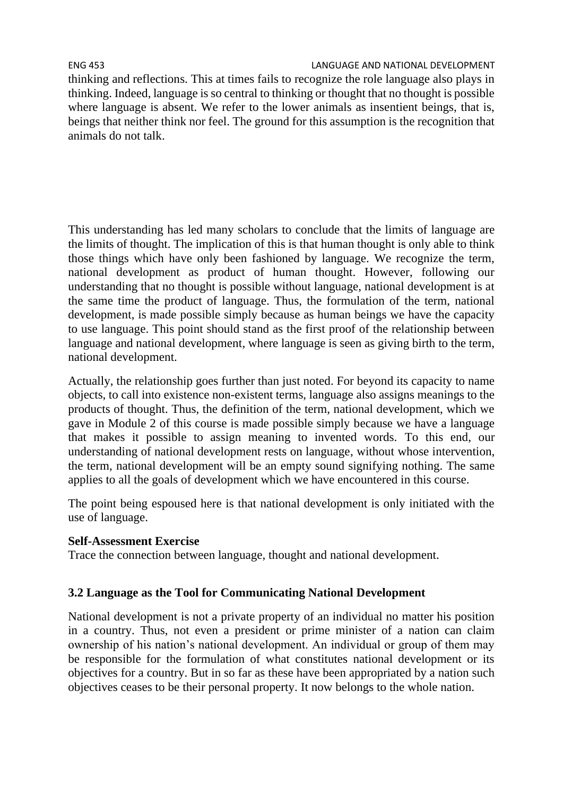thinking and reflections. This at times fails to recognize the role language also plays in thinking. Indeed, language is so central to thinking or thought that no thought is possible where language is absent. We refer to the lower animals as insentient beings, that is, beings that neither think nor feel. The ground for this assumption is the recognition that animals do not talk.

This understanding has led many scholars to conclude that the limits of language are the limits of thought. The implication of this is that human thought is only able to think those things which have only been fashioned by language. We recognize the term, national development as product of human thought. However, following our understanding that no thought is possible without language, national development is at the same time the product of language. Thus, the formulation of the term, national development, is made possible simply because as human beings we have the capacity to use language. This point should stand as the first proof of the relationship between language and national development, where language is seen as giving birth to the term, national development.

Actually, the relationship goes further than just noted. For beyond its capacity to name objects, to call into existence non-existent terms, language also assigns meanings to the products of thought. Thus, the definition of the term, national development, which we gave in Module 2 of this course is made possible simply because we have a language that makes it possible to assign meaning to invented words. To this end, our understanding of national development rests on language, without whose intervention, the term, national development will be an empty sound signifying nothing. The same applies to all the goals of development which we have encountered in this course.

The point being espoused here is that national development is only initiated with the use of language.

### **Self-Assessment Exercise**

Trace the connection between language, thought and national development.

### **3.2 Language as the Tool for Communicating National Development**

National development is not a private property of an individual no matter his position in a country. Thus, not even a president or prime minister of a nation can claim ownership of his nation's national development. An individual or group of them may be responsible for the formulation of what constitutes national development or its objectives for a country. But in so far as these have been appropriated by a nation such objectives ceases to be their personal property. It now belongs to the whole nation.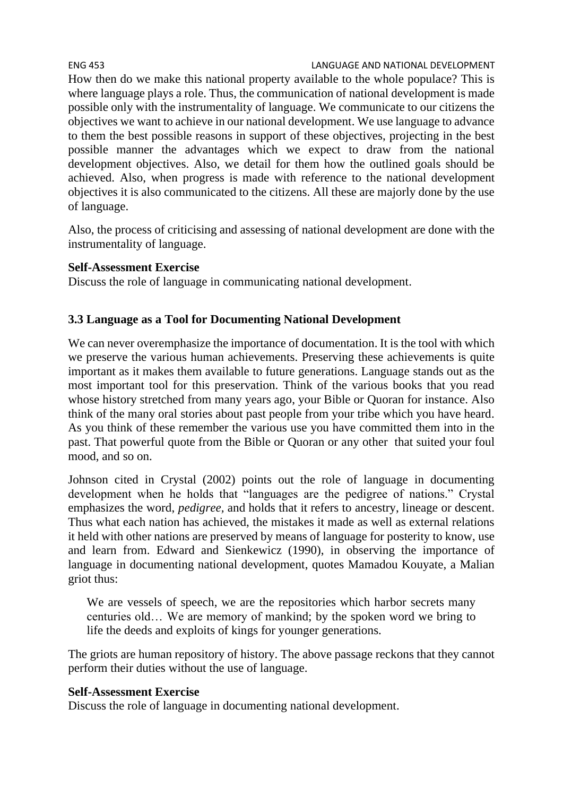ENG 453 LANGUAGE AND NATIONAL DEVELOPMENT How then do we make this national property available to the whole populace? This is where language plays a role. Thus, the communication of national development is made possible only with the instrumentality of language. We communicate to our citizens the objectives we want to achieve in our national development. We use language to advance to them the best possible reasons in support of these objectives, projecting in the best possible manner the advantages which we expect to draw from the national development objectives. Also, we detail for them how the outlined goals should be achieved. Also, when progress is made with reference to the national development objectives it is also communicated to the citizens. All these are majorly done by the use of language.

Also, the process of criticising and assessing of national development are done with the instrumentality of language.

### **Self-Assessment Exercise**

Discuss the role of language in communicating national development.

# **3.3 Language as a Tool for Documenting National Development**

We can never overemphasize the importance of documentation. It is the tool with which we preserve the various human achievements. Preserving these achievements is quite important as it makes them available to future generations. Language stands out as the most important tool for this preservation. Think of the various books that you read whose history stretched from many years ago, your Bible or Quoran for instance. Also think of the many oral stories about past people from your tribe which you have heard. As you think of these remember the various use you have committed them into in the past. That powerful quote from the Bible or Quoran or any other that suited your foul mood, and so on.

Johnson cited in Crystal (2002) points out the role of language in documenting development when he holds that "languages are the pedigree of nations." Crystal emphasizes the word, *pedigree,* and holds that it refers to ancestry, lineage or descent. Thus what each nation has achieved, the mistakes it made as well as external relations it held with other nations are preserved by means of language for posterity to know, use and learn from. Edward and Sienkewicz (1990), in observing the importance of language in documenting national development, quotes Mamadou Kouyate, a Malian griot thus:

We are vessels of speech, we are the repositories which harbor secrets many centuries old… We are memory of mankind; by the spoken word we bring to life the deeds and exploits of kings for younger generations.

The griots are human repository of history. The above passage reckons that they cannot perform their duties without the use of language.

### **Self-Assessment Exercise**

Discuss the role of language in documenting national development.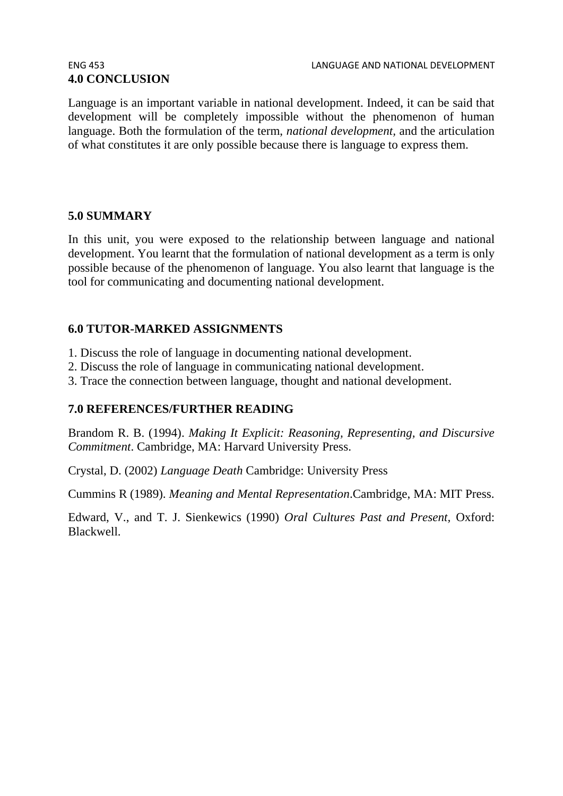# **4.0 CONCLUSION**

Language is an important variable in national development. Indeed, it can be said that development will be completely impossible without the phenomenon of human language. Both the formulation of the term, *national development,* and the articulation of what constitutes it are only possible because there is language to express them.

#### **5.0 SUMMARY**

In this unit, you were exposed to the relationship between language and national development. You learnt that the formulation of national development as a term is only possible because of the phenomenon of language. You also learnt that language is the tool for communicating and documenting national development.

### **6.0 TUTOR-MARKED ASSIGNMENTS**

- 1. Discuss the role of language in documenting national development.
- 2. Discuss the role of language in communicating national development.
- 3. Trace the connection between language, thought and national development.

### **7.0 REFERENCES/FURTHER READING**

Brandom R. B. (1994). *Making It Explicit: Reasoning, Representing, and Discursive Commitment*. Cambridge, MA: Harvard University Press.

Crystal, D. (2002) *Language Death* Cambridge: University Press

Cummins R (1989). *Meaning and Mental Representation*.Cambridge, MA: MIT Press.

Edward, V., and T. J. Sienkewics (1990) *Oral Cultures Past and Present,* Oxford: Blackwell.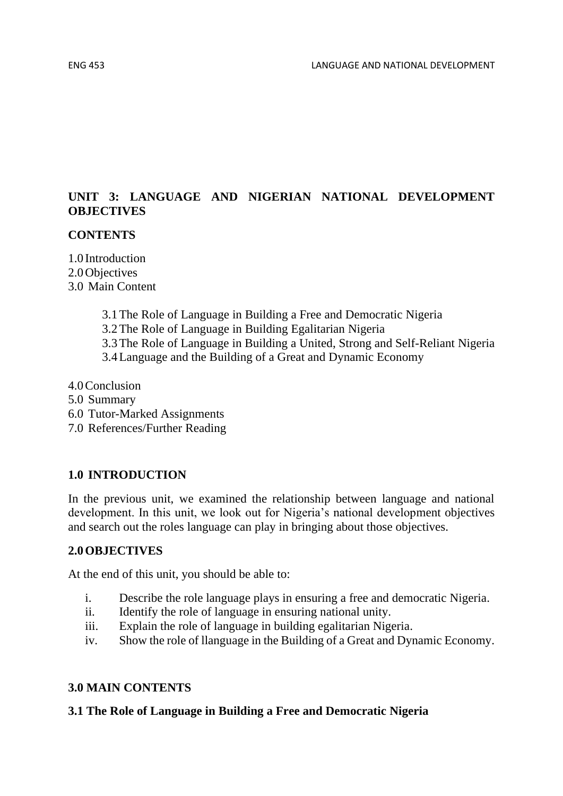# **UNIT 3: LANGUAGE AND NIGERIAN NATIONAL DEVELOPMENT OBJECTIVES**

### **CONTENTS**

1.0 Introduction 2.0Objectives 3.0 Main Content

- 3.1The Role of Language in Building a Free and Democratic Nigeria
- 3.2The Role of Language in Building Egalitarian Nigeria
- 3.3The Role of Language in Building a United, Strong and Self-Reliant Nigeria
- 3.4Language and the Building of a Great and Dynamic Economy
- 4.0Conclusion
- 5.0 Summary
- 6.0 Tutor-Marked Assignments
- 7.0 References/Further Reading

### **1.0 INTRODUCTION**

In the previous unit, we examined the relationship between language and national development. In this unit, we look out for Nigeria's national development objectives and search out the roles language can play in bringing about those objectives.

#### **2.0OBJECTIVES**

At the end of this unit, you should be able to:

- i. Describe the role language plays in ensuring a free and democratic Nigeria.
- ii. Identify the role of language in ensuring national unity.
- iii. Explain the role of language in building egalitarian Nigeria.
- iv. Show the role of llanguage in the Building of a Great and Dynamic Economy.

#### **3.0 MAIN CONTENTS**

#### **3.1 The Role of Language in Building a Free and Democratic Nigeria**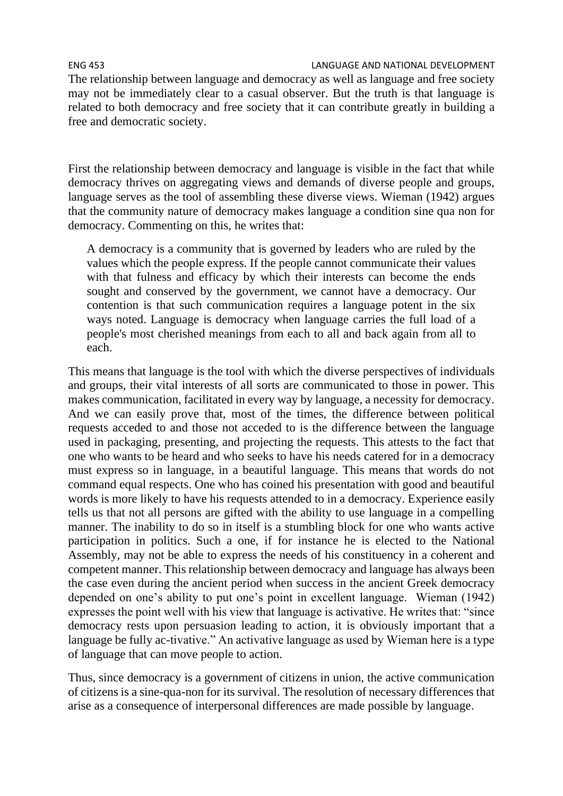ENG 453 LANGUAGE AND NATIONAL DEVELOPMENT The relationship between language and democracy as well as language and free society may not be immediately clear to a casual observer. But the truth is that language is related to both democracy and free society that it can contribute greatly in building a free and democratic society.

First the relationship between democracy and language is visible in the fact that while democracy thrives on aggregating views and demands of diverse people and groups, language serves as the tool of assembling these diverse views. Wieman (1942) argues that the community nature of democracy makes language a condition sine qua non for democracy. Commenting on this, he writes that:

A democracy is a community that is governed by leaders who are ruled by the values which the people express. If the people cannot communicate their values with that fulness and efficacy by which their interests can become the ends sought and conserved by the government, we cannot have a democracy. Our contention is that such communication requires a language potent in the six ways noted. Language is democracy when language carries the full load of a people's most cherished meanings from each to all and back again from all to each.

This means that language is the tool with which the diverse perspectives of individuals and groups, their vital interests of all sorts are communicated to those in power. This makes communication, facilitated in every way by language, a necessity for democracy. And we can easily prove that, most of the times, the difference between political requests acceded to and those not acceded to is the difference between the language used in packaging, presenting, and projecting the requests. This attests to the fact that one who wants to be heard and who seeks to have his needs catered for in a democracy must express so in language, in a beautiful language. This means that words do not command equal respects. One who has coined his presentation with good and beautiful words is more likely to have his requests attended to in a democracy. Experience easily tells us that not all persons are gifted with the ability to use language in a compelling manner. The inability to do so in itself is a stumbling block for one who wants active participation in politics. Such a one, if for instance he is elected to the National Assembly, may not be able to express the needs of his constituency in a coherent and competent manner. This relationship between democracy and language has always been the case even during the ancient period when success in the ancient Greek democracy depended on one's ability to put one's point in excellent language. Wieman (1942) expresses the point well with his view that language is activative. He writes that: "since democracy rests upon persuasion leading to action, it is obviously important that a language be fully ac-tivative." An activative language as used by Wieman here is a type of language that can move people to action.

Thus, since democracy is a government of citizens in union, the active communication of citizens is a sine-qua-non for its survival. The resolution of necessary differences that arise as a consequence of interpersonal differences are made possible by language.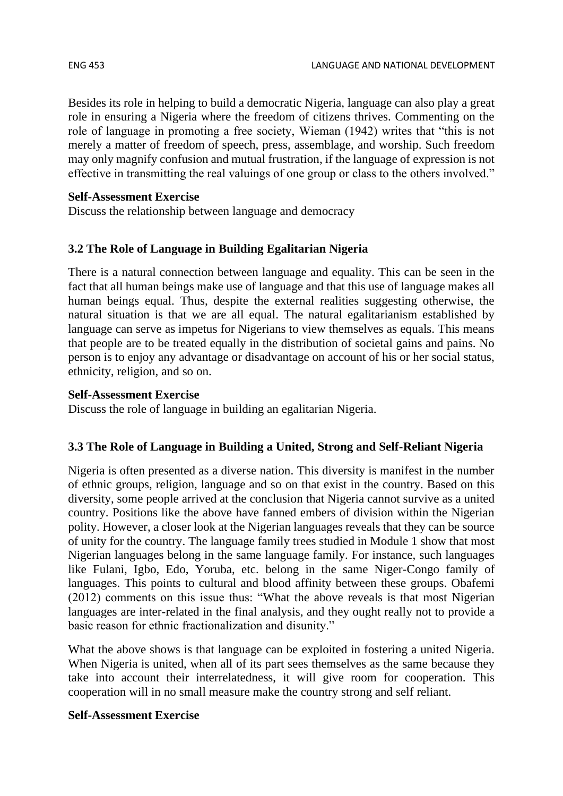Besides its role in helping to build a democratic Nigeria, language can also play a great role in ensuring a Nigeria where the freedom of citizens thrives. Commenting on the role of language in promoting a free society, Wieman (1942) writes that "this is not merely a matter of freedom of speech, press, assemblage, and worship. Such freedom may only magnify confusion and mutual frustration, if the language of expression is not effective in transmitting the real valuings of one group or class to the others involved."

# **Self-Assessment Exercise**

Discuss the relationship between language and democracy

# **3.2 The Role of Language in Building Egalitarian Nigeria**

There is a natural connection between language and equality. This can be seen in the fact that all human beings make use of language and that this use of language makes all human beings equal. Thus, despite the external realities suggesting otherwise, the natural situation is that we are all equal. The natural egalitarianism established by language can serve as impetus for Nigerians to view themselves as equals. This means that people are to be treated equally in the distribution of societal gains and pains. No person is to enjoy any advantage or disadvantage on account of his or her social status, ethnicity, religion, and so on.

# **Self-Assessment Exercise**

Discuss the role of language in building an egalitarian Nigeria.

# **3.3 The Role of Language in Building a United, Strong and Self-Reliant Nigeria**

Nigeria is often presented as a diverse nation. This diversity is manifest in the number of ethnic groups, religion, language and so on that exist in the country. Based on this diversity, some people arrived at the conclusion that Nigeria cannot survive as a united country. Positions like the above have fanned embers of division within the Nigerian polity. However, a closer look at the Nigerian languages reveals that they can be source of unity for the country. The language family trees studied in Module 1 show that most Nigerian languages belong in the same language family. For instance, such languages like Fulani, Igbo, Edo, Yoruba, etc. belong in the same Niger-Congo family of languages. This points to cultural and blood affinity between these groups. Obafemi (2012) comments on this issue thus: "What the above reveals is that most Nigerian languages are inter-related in the final analysis, and they ought really not to provide a basic reason for ethnic fractionalization and disunity."

What the above shows is that language can be exploited in fostering a united Nigeria. When Nigeria is united, when all of its part sees themselves as the same because they take into account their interrelatedness, it will give room for cooperation. This cooperation will in no small measure make the country strong and self reliant.

# **Self-Assessment Exercise**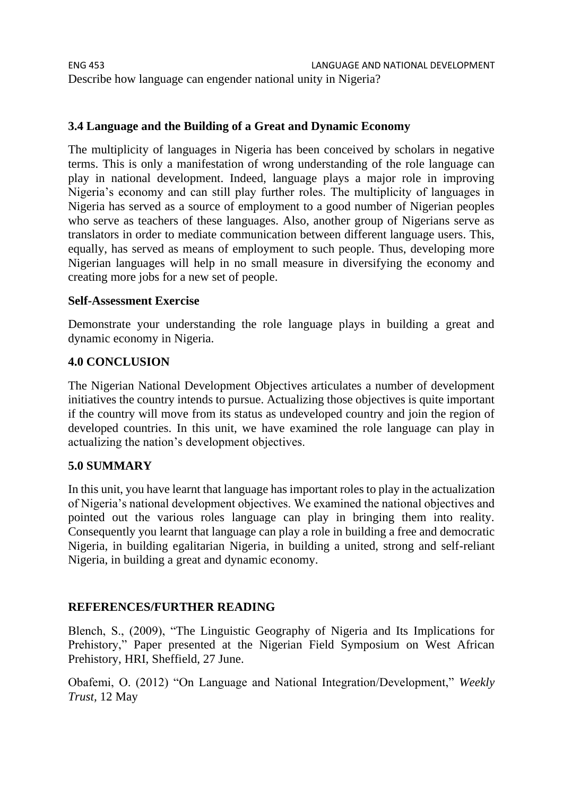ENG 453 LANGUAGE AND NATIONAL DEVELOPMENT Describe how language can engender national unity in Nigeria?

### **3.4 Language and the Building of a Great and Dynamic Economy**

The multiplicity of languages in Nigeria has been conceived by scholars in negative terms. This is only a manifestation of wrong understanding of the role language can play in national development. Indeed, language plays a major role in improving Nigeria's economy and can still play further roles. The multiplicity of languages in Nigeria has served as a source of employment to a good number of Nigerian peoples who serve as teachers of these languages. Also, another group of Nigerians serve as translators in order to mediate communication between different language users. This, equally, has served as means of employment to such people. Thus, developing more Nigerian languages will help in no small measure in diversifying the economy and creating more jobs for a new set of people.

#### **Self-Assessment Exercise**

Demonstrate your understanding the role language plays in building a great and dynamic economy in Nigeria.

#### **4.0 CONCLUSION**

The Nigerian National Development Objectives articulates a number of development initiatives the country intends to pursue. Actualizing those objectives is quite important if the country will move from its status as undeveloped country and join the region of developed countries. In this unit, we have examined the role language can play in actualizing the nation's development objectives.

#### **5.0 SUMMARY**

In this unit, you have learnt that language has important roles to play in the actualization of Nigeria's national development objectives. We examined the national objectives and pointed out the various roles language can play in bringing them into reality. Consequently you learnt that language can play a role in building a free and democratic Nigeria, in building egalitarian Nigeria, in building a united, strong and self-reliant Nigeria, in building a great and dynamic economy.

#### **REFERENCES/FURTHER READING**

Blench, S., (2009), "The Linguistic Geography of Nigeria and Its Implications for Prehistory," Paper presented at the Nigerian Field Symposium on West African Prehistory, HRI, Sheffield, 27 June.

Obafemi, O. (2012) "On Language and National Integration/Development," *Weekly Trust,* 12 May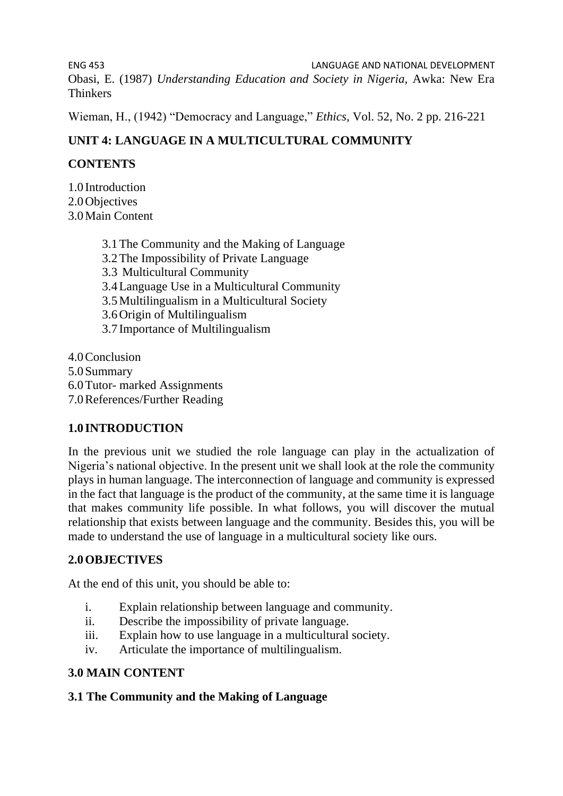ENG 453 LANGUAGE AND NATIONAL DEVELOPMENT Obasi, E. (1987) *Understanding Education and Society in Nigeria,* Awka: New Era Thinkers

Wieman, H., (1942) "Democracy and Language," *Ethics*, Vol. 52, No. 2 pp. 216-221

# **UNIT 4: LANGUAGE IN A MULTICULTURAL COMMUNITY**

# **CONTENTS**

1.0 Introduction 2.0Objectives 3.0Main Content

> 3.1The Community and the Making of Language 3.2The Impossibility of Private Language 3.3 Multicultural Community 3.4Language Use in a Multicultural Community 3.5Multilingualism in a Multicultural Society 3.6Origin of Multilingualism 3.7 Importance of Multilingualism

4.0Conclusion 5.0Summary 6.0Tutor- marked Assignments 7.0References/Further Reading

# **1.0 INTRODUCTION**

In the previous unit we studied the role language can play in the actualization of Nigeria's national objective. In the present unit we shall look at the role the community plays in human language. The interconnection of language and community is expressed in the fact that language is the product of the community, at the same time it is language that makes community life possible. In what follows, you will discover the mutual relationship that exists between language and the community. Besides this, you will be made to understand the use of language in a multicultural society like ours.

# **2.0OBJECTIVES**

At the end of this unit, you should be able to:

- i. Explain relationship between language and community.
- ii. Describe the impossibility of private language.
- iii. Explain how to use language in a multicultural society.
- iv. Articulate the importance of multilingualism.

# **3.0 MAIN CONTENT**

### **3.1 The Community and the Making of Language**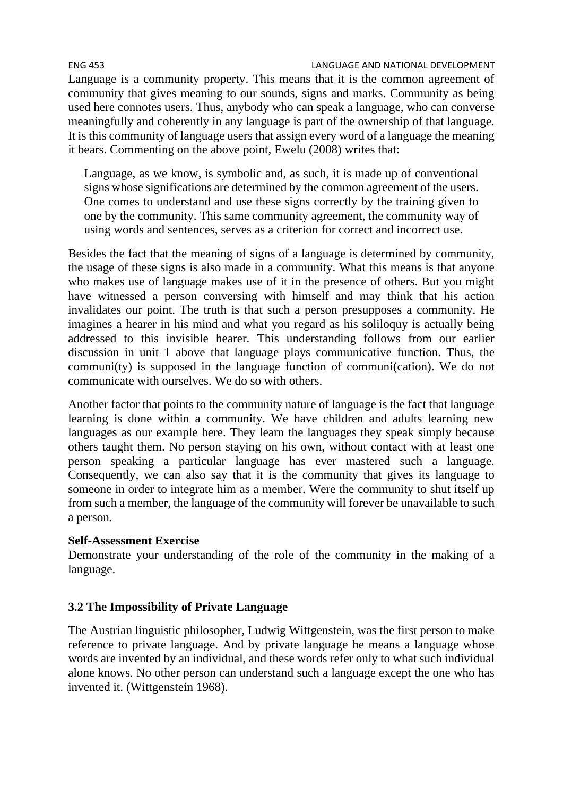ENG 453 LANGUAGE AND NATIONAL DEVELOPMENT Language is a community property. This means that it is the common agreement of community that gives meaning to our sounds, signs and marks. Community as being used here connotes users. Thus, anybody who can speak a language, who can converse meaningfully and coherently in any language is part of the ownership of that language. It is this community of language users that assign every word of a language the meaning it bears. Commenting on the above point, Ewelu (2008) writes that:

Language, as we know, is symbolic and, as such, it is made up of conventional signs whose significations are determined by the common agreement of the users. One comes to understand and use these signs correctly by the training given to one by the community. This same community agreement, the community way of using words and sentences, serves as a criterion for correct and incorrect use.

Besides the fact that the meaning of signs of a language is determined by community, the usage of these signs is also made in a community. What this means is that anyone who makes use of language makes use of it in the presence of others. But you might have witnessed a person conversing with himself and may think that his action invalidates our point. The truth is that such a person presupposes a community. He imagines a hearer in his mind and what you regard as his soliloquy is actually being addressed to this invisible hearer. This understanding follows from our earlier discussion in unit 1 above that language plays communicative function. Thus, the communi(ty) is supposed in the language function of communi(cation). We do not communicate with ourselves. We do so with others.

Another factor that points to the community nature of language is the fact that language learning is done within a community. We have children and adults learning new languages as our example here. They learn the languages they speak simply because others taught them. No person staying on his own, without contact with at least one person speaking a particular language has ever mastered such a language. Consequently, we can also say that it is the community that gives its language to someone in order to integrate him as a member. Were the community to shut itself up from such a member, the language of the community will forever be unavailable to such a person.

### **Self-Assessment Exercise**

Demonstrate your understanding of the role of the community in the making of a language.

### **3.2 The Impossibility of Private Language**

The Austrian linguistic philosopher, Ludwig Wittgenstein, was the first person to make reference to private language. And by private language he means a language whose words are invented by an individual, and these words refer only to what such individual alone knows. No other person can understand such a language except the one who has invented it. (Wittgenstein 1968).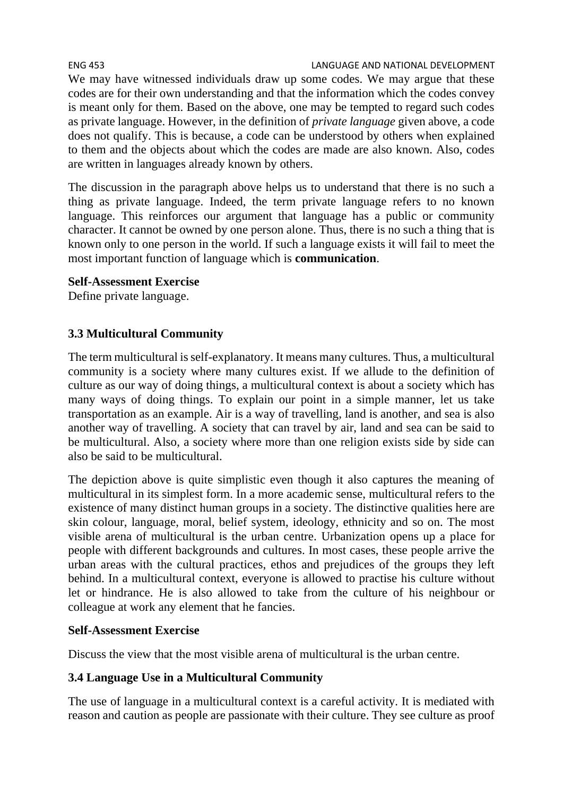ENG 453 LANGUAGE AND NATIONAL DEVELOPMENT We may have witnessed individuals draw up some codes. We may argue that these codes are for their own understanding and that the information which the codes convey is meant only for them. Based on the above, one may be tempted to regard such codes as private language. However, in the definition of *private language* given above, a code does not qualify. This is because, a code can be understood by others when explained to them and the objects about which the codes are made are also known. Also, codes are written in languages already known by others.

The discussion in the paragraph above helps us to understand that there is no such a thing as private language. Indeed, the term private language refers to no known language. This reinforces our argument that language has a public or community character. It cannot be owned by one person alone. Thus, there is no such a thing that is known only to one person in the world. If such a language exists it will fail to meet the most important function of language which is **communication**.

#### **Self-Assessment Exercise**

Define private language.

### **3.3 Multicultural Community**

The term multicultural is self-explanatory. It means many cultures. Thus, a multicultural community is a society where many cultures exist. If we allude to the definition of culture as our way of doing things, a multicultural context is about a society which has many ways of doing things. To explain our point in a simple manner, let us take transportation as an example. Air is a way of travelling, land is another, and sea is also another way of travelling. A society that can travel by air, land and sea can be said to be multicultural. Also, a society where more than one religion exists side by side can also be said to be multicultural.

The depiction above is quite simplistic even though it also captures the meaning of multicultural in its simplest form. In a more academic sense, multicultural refers to the existence of many distinct human groups in a society. The distinctive qualities here are skin colour, language, moral, belief system, ideology, ethnicity and so on. The most visible arena of multicultural is the urban centre. Urbanization opens up a place for people with different backgrounds and cultures. In most cases, these people arrive the urban areas with the cultural practices, ethos and prejudices of the groups they left behind. In a multicultural context, everyone is allowed to practise his culture without let or hindrance. He is also allowed to take from the culture of his neighbour or colleague at work any element that he fancies.

#### **Self-Assessment Exercise**

Discuss the view that the most visible arena of multicultural is the urban centre.

### **3.4 Language Use in a Multicultural Community**

The use of language in a multicultural context is a careful activity. It is mediated with reason and caution as people are passionate with their culture. They see culture as proof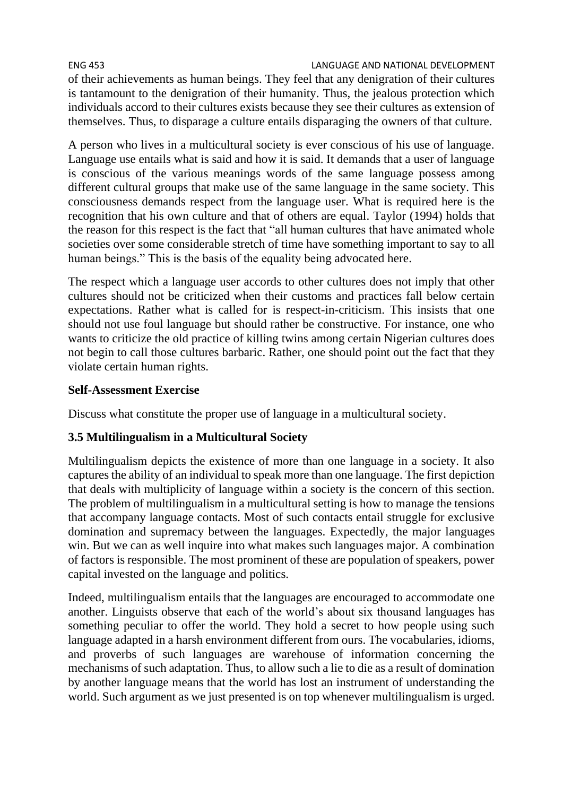ENG 453 LANGUAGE AND NATIONAL DEVELOPMENT of their achievements as human beings. They feel that any denigration of their cultures is tantamount to the denigration of their humanity. Thus, the jealous protection which individuals accord to their cultures exists because they see their cultures as extension of themselves. Thus, to disparage a culture entails disparaging the owners of that culture.

A person who lives in a multicultural society is ever conscious of his use of language. Language use entails what is said and how it is said. It demands that a user of language is conscious of the various meanings words of the same language possess among different cultural groups that make use of the same language in the same society. This consciousness demands respect from the language user. What is required here is the recognition that his own culture and that of others are equal. Taylor (1994) holds that the reason for this respect is the fact that "all human cultures that have animated whole societies over some considerable stretch of time have something important to say to all human beings." This is the basis of the equality being advocated here.

The respect which a language user accords to other cultures does not imply that other cultures should not be criticized when their customs and practices fall below certain expectations. Rather what is called for is respect-in-criticism. This insists that one should not use foul language but should rather be constructive. For instance, one who wants to criticize the old practice of killing twins among certain Nigerian cultures does not begin to call those cultures barbaric. Rather, one should point out the fact that they violate certain human rights.

#### **Self-Assessment Exercise**

Discuss what constitute the proper use of language in a multicultural society.

# **3.5 Multilingualism in a Multicultural Society**

Multilingualism depicts the existence of more than one language in a society. It also captures the ability of an individual to speak more than one language. The first depiction that deals with multiplicity of language within a society is the concern of this section. The problem of multilingualism in a multicultural setting is how to manage the tensions that accompany language contacts. Most of such contacts entail struggle for exclusive domination and supremacy between the languages. Expectedly, the major languages win. But we can as well inquire into what makes such languages major. A combination of factors is responsible. The most prominent of these are population of speakers, power capital invested on the language and politics.

Indeed, multilingualism entails that the languages are encouraged to accommodate one another. Linguists observe that each of the world's about six thousand languages has something peculiar to offer the world. They hold a secret to how people using such language adapted in a harsh environment different from ours. The vocabularies, idioms, and proverbs of such languages are warehouse of information concerning the mechanisms of such adaptation. Thus, to allow such a lie to die as a result of domination by another language means that the world has lost an instrument of understanding the world. Such argument as we just presented is on top whenever multilingualism is urged.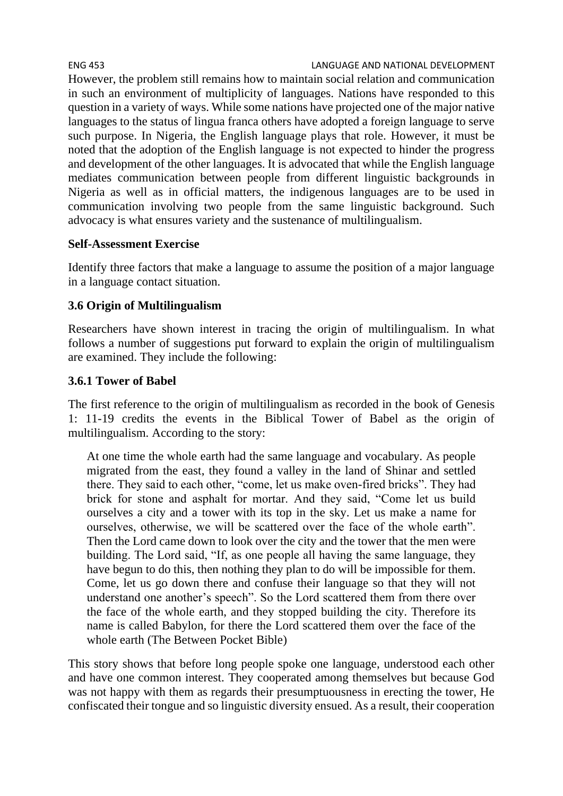ENG 453 LANGUAGE AND NATIONAL DEVELOPMENT However, the problem still remains how to maintain social relation and communication in such an environment of multiplicity of languages. Nations have responded to this question in a variety of ways. While some nations have projected one of the major native languages to the status of lingua franca others have adopted a foreign language to serve such purpose. In Nigeria, the English language plays that role. However, it must be noted that the adoption of the English language is not expected to hinder the progress and development of the other languages. It is advocated that while the English language mediates communication between people from different linguistic backgrounds in Nigeria as well as in official matters, the indigenous languages are to be used in communication involving two people from the same linguistic background. Such advocacy is what ensures variety and the sustenance of multilingualism.

### **Self-Assessment Exercise**

Identify three factors that make a language to assume the position of a major language in a language contact situation.

# **3.6 Origin of Multilingualism**

Researchers have shown interest in tracing the origin of multilingualism. In what follows a number of suggestions put forward to explain the origin of multilingualism are examined. They include the following:

# **3.6.1 Tower of Babel**

The first reference to the origin of multilingualism as recorded in the book of Genesis 1: 11-19 credits the events in the Biblical Tower of Babel as the origin of multilingualism. According to the story:

At one time the whole earth had the same language and vocabulary. As people migrated from the east, they found a valley in the land of Shinar and settled there. They said to each other, "come, let us make oven-fired bricks". They had brick for stone and asphalt for mortar. And they said, "Come let us build ourselves a city and a tower with its top in the sky. Let us make a name for ourselves, otherwise, we will be scattered over the face of the whole earth". Then the Lord came down to look over the city and the tower that the men were building. The Lord said, "If, as one people all having the same language, they have begun to do this, then nothing they plan to do will be impossible for them. Come, let us go down there and confuse their language so that they will not understand one another's speech". So the Lord scattered them from there over the face of the whole earth, and they stopped building the city. Therefore its name is called Babylon, for there the Lord scattered them over the face of the whole earth (The Between Pocket Bible)

This story shows that before long people spoke one language, understood each other and have one common interest. They cooperated among themselves but because God was not happy with them as regards their presumptuousness in erecting the tower, He confiscated their tongue and so linguistic diversity ensued. As a result, their cooperation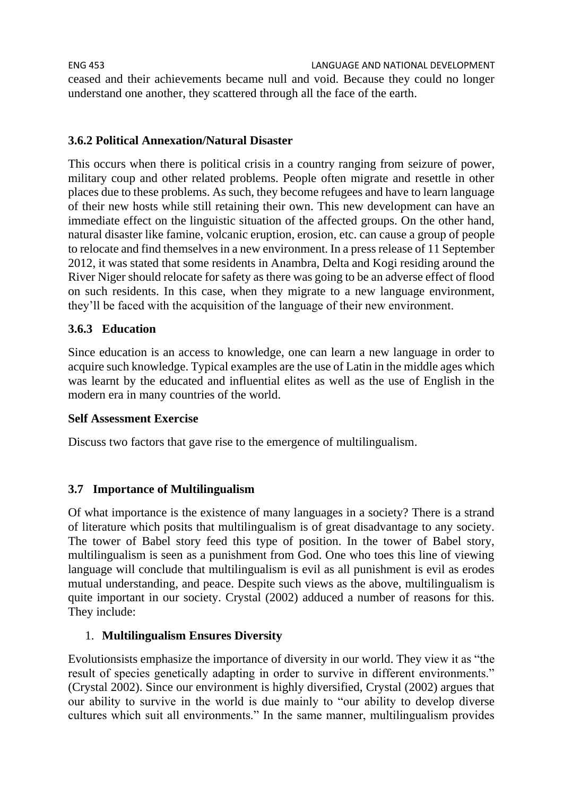ENG 453 LANGUAGE AND NATIONAL DEVELOPMENT ceased and their achievements became null and void. Because they could no longer understand one another, they scattered through all the face of the earth.

## **3.6.2 Political Annexation/Natural Disaster**

This occurs when there is political crisis in a country ranging from seizure of power, military coup and other related problems. People often migrate and resettle in other places due to these problems. As such, they become refugees and have to learn language of their new hosts while still retaining their own. This new development can have an immediate effect on the linguistic situation of the affected groups. On the other hand, natural disaster like famine, volcanic eruption, erosion, etc. can cause a group of people to relocate and find themselves in a new environment. In a press release of 11 September 2012, it was stated that some residents in Anambra, Delta and Kogi residing around the River Niger should relocate for safety as there was going to be an adverse effect of flood on such residents. In this case, when they migrate to a new language environment, they'll be faced with the acquisition of the language of their new environment.

### **3.6.3 Education**

Since education is an access to knowledge, one can learn a new language in order to acquire such knowledge. Typical examples are the use of Latin in the middle ages which was learnt by the educated and influential elites as well as the use of English in the modern era in many countries of the world.

### **Self Assessment Exercise**

Discuss two factors that gave rise to the emergence of multilingualism.

### **3.7 Importance of Multilingualism**

Of what importance is the existence of many languages in a society? There is a strand of literature which posits that multilingualism is of great disadvantage to any society. The tower of Babel story feed this type of position. In the tower of Babel story, multilingualism is seen as a punishment from God. One who toes this line of viewing language will conclude that multilingualism is evil as all punishment is evil as erodes mutual understanding, and peace. Despite such views as the above, multilingualism is quite important in our society. Crystal (2002) adduced a number of reasons for this. They include:

### 1. **Multilingualism Ensures Diversity**

Evolutionsists emphasize the importance of diversity in our world. They view it as "the result of species genetically adapting in order to survive in different environments." (Crystal 2002). Since our environment is highly diversified, Crystal (2002) argues that our ability to survive in the world is due mainly to "our ability to develop diverse cultures which suit all environments." In the same manner, multilingualism provides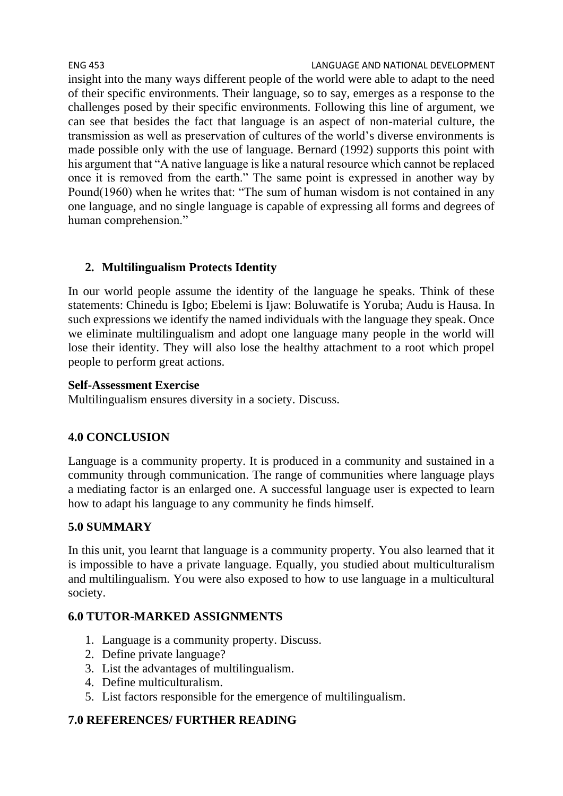ENG 453 LANGUAGE AND NATIONAL DEVELOPMENT insight into the many ways different people of the world were able to adapt to the need of their specific environments. Their language, so to say, emerges as a response to the challenges posed by their specific environments. Following this line of argument, we can see that besides the fact that language is an aspect of non-material culture, the transmission as well as preservation of cultures of the world's diverse environments is made possible only with the use of language. Bernard (1992) supports this point with his argument that "A native language is like a natural resource which cannot be replaced once it is removed from the earth." The same point is expressed in another way by Pound(1960) when he writes that: "The sum of human wisdom is not contained in any one language, and no single language is capable of expressing all forms and degrees of human comprehension."

# **2. Multilingualism Protects Identity**

In our world people assume the identity of the language he speaks. Think of these statements: Chinedu is Igbo; Ebelemi is Ijaw: Boluwatife is Yoruba; Audu is Hausa. In such expressions we identify the named individuals with the language they speak. Once we eliminate multilingualism and adopt one language many people in the world will lose their identity. They will also lose the healthy attachment to a root which propel people to perform great actions.

### **Self-Assessment Exercise**

Multilingualism ensures diversity in a society. Discuss.

# **4.0 CONCLUSION**

Language is a community property. It is produced in a community and sustained in a community through communication. The range of communities where language plays a mediating factor is an enlarged one. A successful language user is expected to learn how to adapt his language to any community he finds himself.

# **5.0 SUMMARY**

In this unit, you learnt that language is a community property. You also learned that it is impossible to have a private language. Equally, you studied about multiculturalism and multilingualism. You were also exposed to how to use language in a multicultural society.

# **6.0 TUTOR-MARKED ASSIGNMENTS**

- 1. Language is a community property. Discuss.
- 2. Define private language?
- 3. List the advantages of multilingualism.
- 4. Define multiculturalism.
- 5. List factors responsible for the emergence of multilingualism.

# **7.0 REFERENCES/ FURTHER READING**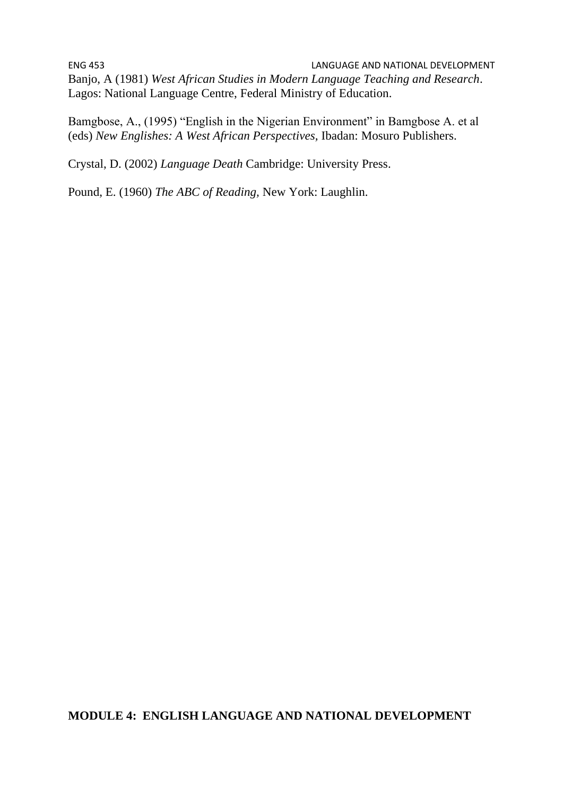ENG 453 LANGUAGE AND NATIONAL DEVELOPMENT Banjo, A (1981) *West African Studies in Modern Language Teaching and Research*. Lagos: National Language Centre, Federal Ministry of Education.

Bamgbose, A., (1995) "English in the Nigerian Environment" in Bamgbose A. et al (eds) *New Englishes: A West African Perspectives,* Ibadan: Mosuro Publishers.

Crystal, D. (2002) *Language Death* Cambridge: University Press.

Pound, E. (1960) *The ABC of Reading,* New York: Laughlin.

### **MODULE 4: ENGLISH LANGUAGE AND NATIONAL DEVELOPMENT**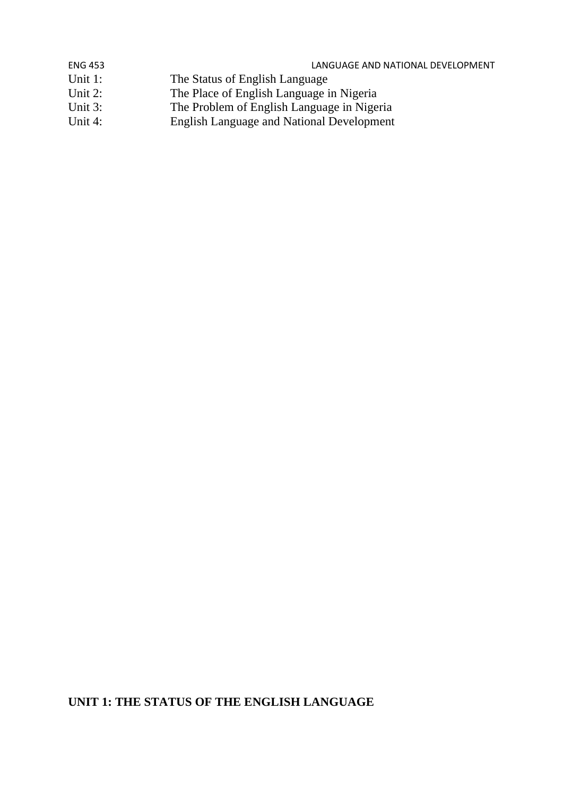| <b>ENG 453</b> | LANGUAGE AND NATIONAL DEVELOPMENT                |
|----------------|--------------------------------------------------|
| Unit $1$ :     | The Status of English Language                   |
| Unit $2$ :     | The Place of English Language in Nigeria         |
| Unit $3$ :     | The Problem of English Language in Nigeria       |
| Unit $4$ :     | <b>English Language and National Development</b> |

# **UNIT 1: THE STATUS OF THE ENGLISH LANGUAGE**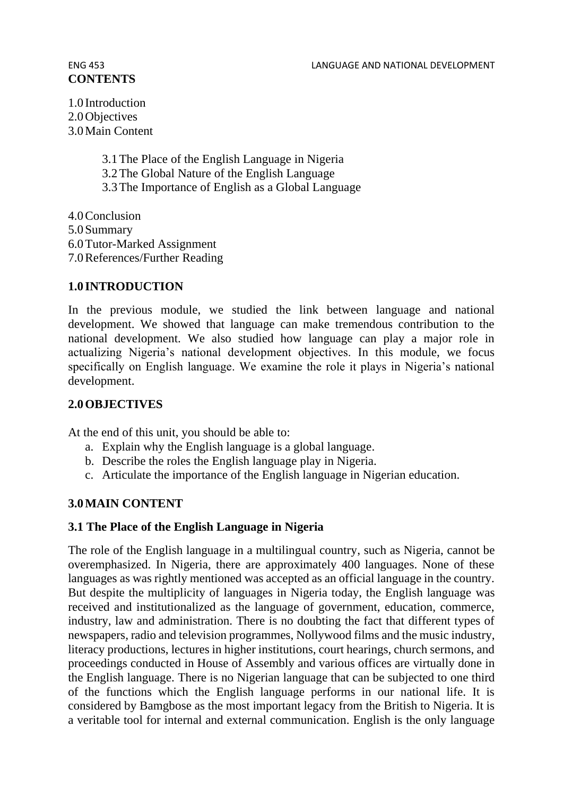# **CONTENTS**

1.0 Introduction 2.0 Objectives 3.0Main Content

> 3.1The Place of the English Language in Nigeria 3.2The Global Nature of the English Language 3.3The Importance of English as a Global Language

4.0Conclusion 5.0Summary 6.0Tutor-Marked Assignment 7.0References/Further Reading

### **1.0 INTRODUCTION**

In the previous module, we studied the link between language and national development. We showed that language can make tremendous contribution to the national development. We also studied how language can play a major role in actualizing Nigeria's national development objectives. In this module, we focus specifically on English language. We examine the role it plays in Nigeria's national development.

### **2.0OBJECTIVES**

At the end of this unit, you should be able to:

- a. Explain why the English language is a global language.
- b. Describe the roles the English language play in Nigeria.
- c. Articulate the importance of the English language in Nigerian education.

# **3.0MAIN CONTENT**

### **3.1 The Place of the English Language in Nigeria**

The role of the English language in a multilingual country, such as Nigeria, cannot be overemphasized. In Nigeria, there are approximately 400 languages. None of these languages as was rightly mentioned was accepted as an official language in the country. But despite the multiplicity of languages in Nigeria today, the English language was received and institutionalized as the language of government, education, commerce, industry, law and administration. There is no doubting the fact that different types of newspapers, radio and television programmes, Nollywood films and the music industry, literacy productions, lectures in higher institutions, court hearings, church sermons, and proceedings conducted in House of Assembly and various offices are virtually done in the English language. There is no Nigerian language that can be subjected to one third of the functions which the English language performs in our national life. It is considered by Bamgbose as the most important legacy from the British to Nigeria. It is a veritable tool for internal and external communication. English is the only language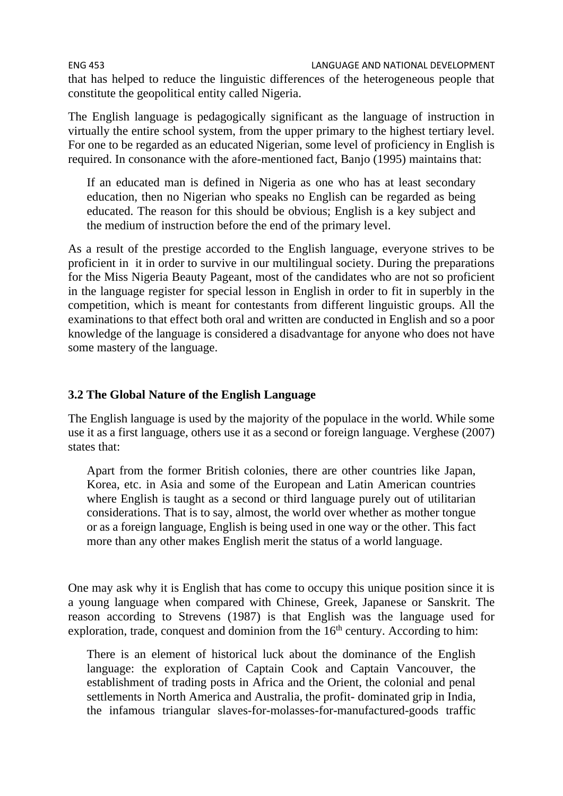ENG 453 LANGUAGE AND NATIONAL DEVELOPMENT that has helped to reduce the linguistic differences of the heterogeneous people that constitute the geopolitical entity called Nigeria.

The English language is pedagogically significant as the language of instruction in virtually the entire school system, from the upper primary to the highest tertiary level. For one to be regarded as an educated Nigerian, some level of proficiency in English is required. In consonance with the afore-mentioned fact, Banjo (1995) maintains that:

If an educated man is defined in Nigeria as one who has at least secondary education, then no Nigerian who speaks no English can be regarded as being educated. The reason for this should be obvious; English is a key subject and the medium of instruction before the end of the primary level.

As a result of the prestige accorded to the English language, everyone strives to be proficient in it in order to survive in our multilingual society. During the preparations for the Miss Nigeria Beauty Pageant, most of the candidates who are not so proficient in the language register for special lesson in English in order to fit in superbly in the competition, which is meant for contestants from different linguistic groups. All the examinations to that effect both oral and written are conducted in English and so a poor knowledge of the language is considered a disadvantage for anyone who does not have some mastery of the language.

# **3.2 The Global Nature of the English Language**

The English language is used by the majority of the populace in the world. While some use it as a first language, others use it as a second or foreign language. Verghese (2007) states that:

Apart from the former British colonies, there are other countries like Japan, Korea, etc. in Asia and some of the European and Latin American countries where English is taught as a second or third language purely out of utilitarian considerations. That is to say, almost, the world over whether as mother tongue or as a foreign language, English is being used in one way or the other. This fact more than any other makes English merit the status of a world language.

One may ask why it is English that has come to occupy this unique position since it is a young language when compared with Chinese, Greek, Japanese or Sanskrit. The reason according to Strevens (1987) is that English was the language used for exploration, trade, conquest and dominion from the  $16<sup>th</sup>$  century. According to him:

There is an element of historical luck about the dominance of the English language: the exploration of Captain Cook and Captain Vancouver, the establishment of trading posts in Africa and the Orient, the colonial and penal settlements in North America and Australia, the profit- dominated grip in India, the infamous triangular slaves-for-molasses-for-manufactured-goods traffic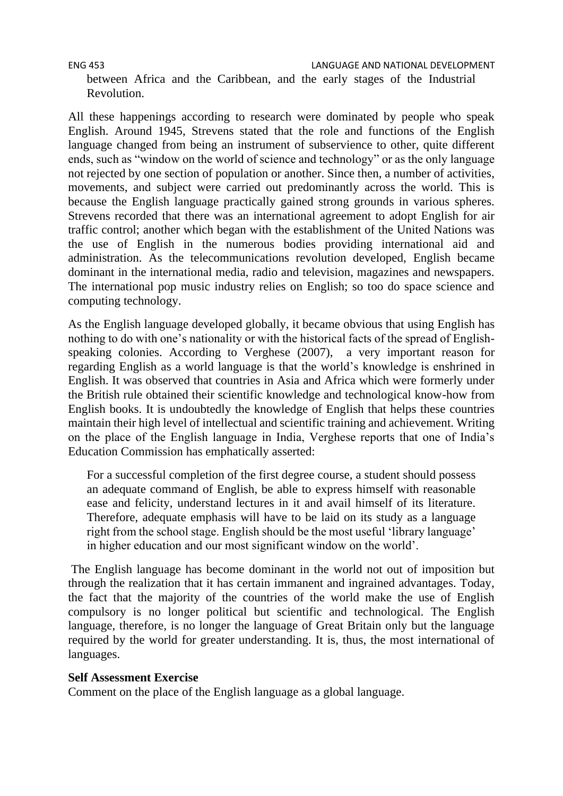between Africa and the Caribbean, and the early stages of the Industrial Revolution.

All these happenings according to research were dominated by people who speak English. Around 1945, Strevens stated that the role and functions of the English language changed from being an instrument of subservience to other, quite different ends, such as "window on the world of science and technology" or as the only language not rejected by one section of population or another. Since then, a number of activities, movements, and subject were carried out predominantly across the world. This is because the English language practically gained strong grounds in various spheres. Strevens recorded that there was an international agreement to adopt English for air traffic control; another which began with the establishment of the United Nations was the use of English in the numerous bodies providing international aid and administration. As the telecommunications revolution developed, English became dominant in the international media, radio and television, magazines and newspapers. The international pop music industry relies on English; so too do space science and computing technology.

As the English language developed globally, it became obvious that using English has nothing to do with one's nationality or with the historical facts of the spread of Englishspeaking colonies. According to Verghese (2007), a very important reason for regarding English as a world language is that the world's knowledge is enshrined in English. It was observed that countries in Asia and Africa which were formerly under the British rule obtained their scientific knowledge and technological know-how from English books. It is undoubtedly the knowledge of English that helps these countries maintain their high level of intellectual and scientific training and achievement. Writing on the place of the English language in India, Verghese reports that one of India's Education Commission has emphatically asserted:

For a successful completion of the first degree course, a student should possess an adequate command of English, be able to express himself with reasonable ease and felicity, understand lectures in it and avail himself of its literature. Therefore, adequate emphasis will have to be laid on its study as a language right from the school stage. English should be the most useful 'library language' in higher education and our most significant window on the world'.

The English language has become dominant in the world not out of imposition but through the realization that it has certain immanent and ingrained advantages. Today, the fact that the majority of the countries of the world make the use of English compulsory is no longer political but scientific and technological. The English language, therefore, is no longer the language of Great Britain only but the language required by the world for greater understanding. It is, thus, the most international of languages.

## **Self Assessment Exercise**

Comment on the place of the English language as a global language.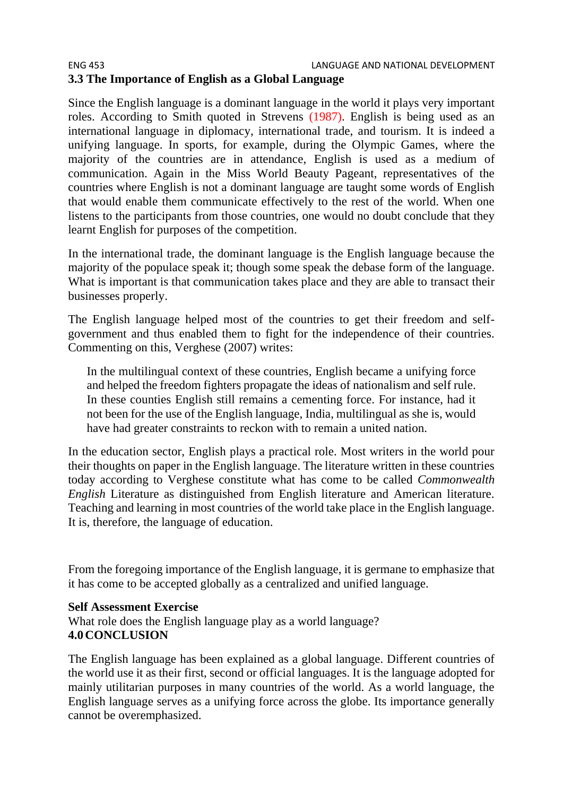## ENG 453 LANGUAGE AND NATIONAL DEVELOPMENT **3.3 The Importance of English as a Global Language**

Since the English language is a dominant language in the world it plays very important roles. According to Smith quoted in Strevens (1987). English is being used as an international language in diplomacy, international trade, and tourism. It is indeed a unifying language. In sports, for example, during the Olympic Games, where the majority of the countries are in attendance, English is used as a medium of communication. Again in the Miss World Beauty Pageant, representatives of the countries where English is not a dominant language are taught some words of English that would enable them communicate effectively to the rest of the world. When one listens to the participants from those countries, one would no doubt conclude that they learnt English for purposes of the competition.

In the international trade, the dominant language is the English language because the majority of the populace speak it; though some speak the debase form of the language. What is important is that communication takes place and they are able to transact their businesses properly.

The English language helped most of the countries to get their freedom and selfgovernment and thus enabled them to fight for the independence of their countries. Commenting on this, Verghese (2007) writes:

In the multilingual context of these countries, English became a unifying force and helped the freedom fighters propagate the ideas of nationalism and self rule. In these counties English still remains a cementing force. For instance, had it not been for the use of the English language, India, multilingual as she is, would have had greater constraints to reckon with to remain a united nation.

In the education sector, English plays a practical role. Most writers in the world pour their thoughts on paper in the English language. The literature written in these countries today according to Verghese constitute what has come to be called *Commonwealth English* Literature as distinguished from English literature and American literature. Teaching and learning in most countries of the world take place in the English language. It is, therefore, the language of education.

From the foregoing importance of the English language, it is germane to emphasize that it has come to be accepted globally as a centralized and unified language.

## **Self Assessment Exercise**

What role does the English language play as a world language? **4.0CONCLUSION**

The English language has been explained as a global language. Different countries of the world use it as their first, second or official languages. It is the language adopted for mainly utilitarian purposes in many countries of the world. As a world language, the English language serves as a unifying force across the globe. Its importance generally cannot be overemphasized.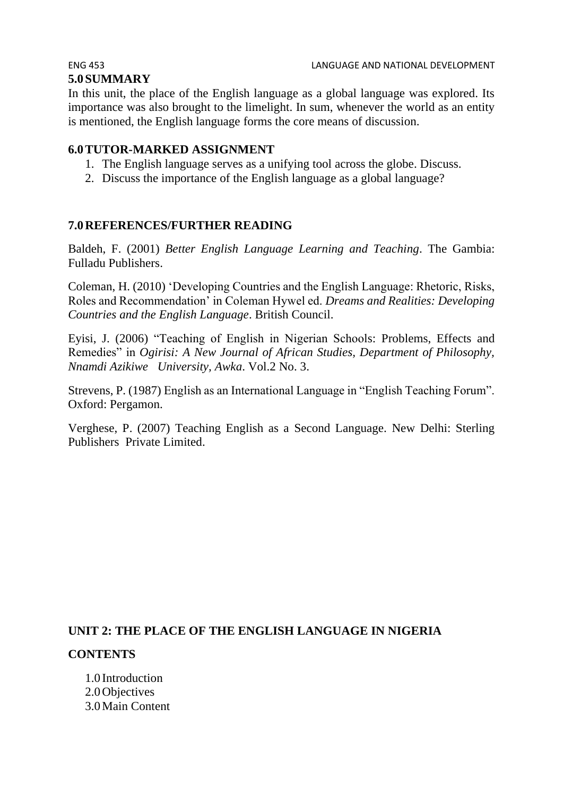# **5.0SUMMARY**

In this unit, the place of the English language as a global language was explored. Its importance was also brought to the limelight. In sum, whenever the world as an entity is mentioned, the English language forms the core means of discussion.

# **6.0TUTOR-MARKED ASSIGNMENT**

- 1. The English language serves as a unifying tool across the globe. Discuss.
- 2. Discuss the importance of the English language as a global language?

# **7.0REFERENCES/FURTHER READING**

Baldeh, F. (2001) *Better English Language Learning and Teaching*. The Gambia: Fulladu Publishers.

Coleman, H. (2010) 'Developing Countries and the English Language: Rhetoric, Risks, Roles and Recommendation' in Coleman Hywel ed. *Dreams and Realities: Developing Countries and the English Language*. British Council.

Eyisi, J. (2006) "Teaching of English in Nigerian Schools: Problems, Effects and Remedies" in *Ogirisi: A New Journal of African Studies, Department of Philosophy, Nnamdi Azikiwe University, Awka*. Vol.2 No. 3.

Strevens, P. (1987) English as an International Language in "English Teaching Forum". Oxford: Pergamon.

Verghese, P. (2007) Teaching English as a Second Language. New Delhi: Sterling Publishers Private Limited.

# **UNIT 2: THE PLACE OF THE ENGLISH LANGUAGE IN NIGERIA**

# **CONTENTS**

1.0 Introduction 2.0Objectives 3.0Main Content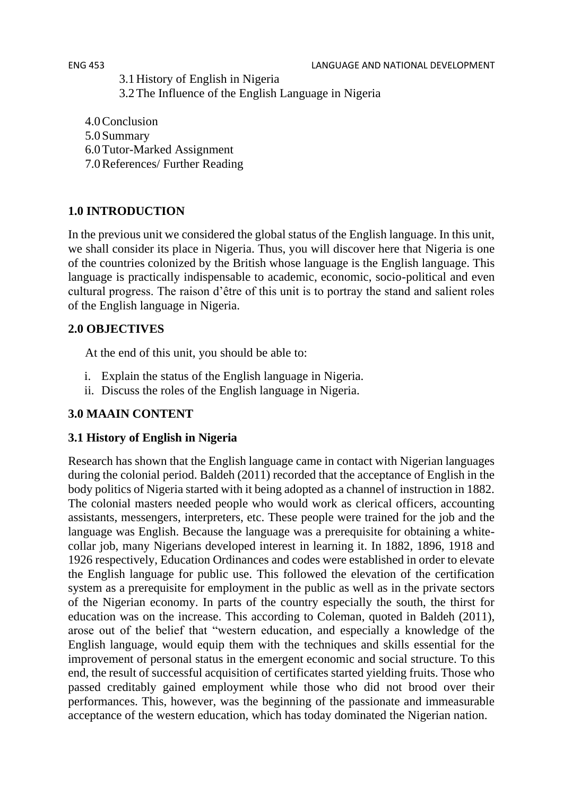3.1History of English in Nigeria

3.2The Influence of the English Language in Nigeria

- 4.0Conclusion 5.0Summary 6.0Tutor-Marked Assignment
- 7.0References/ Further Reading

# **1.0 INTRODUCTION**

In the previous unit we considered the global status of the English language. In this unit, we shall consider its place in Nigeria. Thus, you will discover here that Nigeria is one of the countries colonized by the British whose language is the English language. This language is practically indispensable to academic, economic, socio-political and even cultural progress. The raison d'être of this unit is to portray the stand and salient roles of the English language in Nigeria.

# **2.0 OBJECTIVES**

At the end of this unit, you should be able to:

- i. Explain the status of the English language in Nigeria.
- ii. Discuss the roles of the English language in Nigeria.

# **3.0 MAAIN CONTENT**

# **3.1 History of English in Nigeria**

Research has shown that the English language came in contact with Nigerian languages during the colonial period. Baldeh (2011) recorded that the acceptance of English in the body politics of Nigeria started with it being adopted as a channel of instruction in 1882. The colonial masters needed people who would work as clerical officers, accounting assistants, messengers, interpreters, etc. These people were trained for the job and the language was English. Because the language was a prerequisite for obtaining a whitecollar job, many Nigerians developed interest in learning it. In 1882, 1896, 1918 and 1926 respectively, Education Ordinances and codes were established in order to elevate the English language for public use. This followed the elevation of the certification system as a prerequisite for employment in the public as well as in the private sectors of the Nigerian economy. In parts of the country especially the south, the thirst for education was on the increase. This according to Coleman, quoted in Baldeh (2011), arose out of the belief that "western education, and especially a knowledge of the English language, would equip them with the techniques and skills essential for the improvement of personal status in the emergent economic and social structure. To this end, the result of successful acquisition of certificates started yielding fruits. Those who passed creditably gained employment while those who did not brood over their performances. This, however, was the beginning of the passionate and immeasurable acceptance of the western education, which has today dominated the Nigerian nation.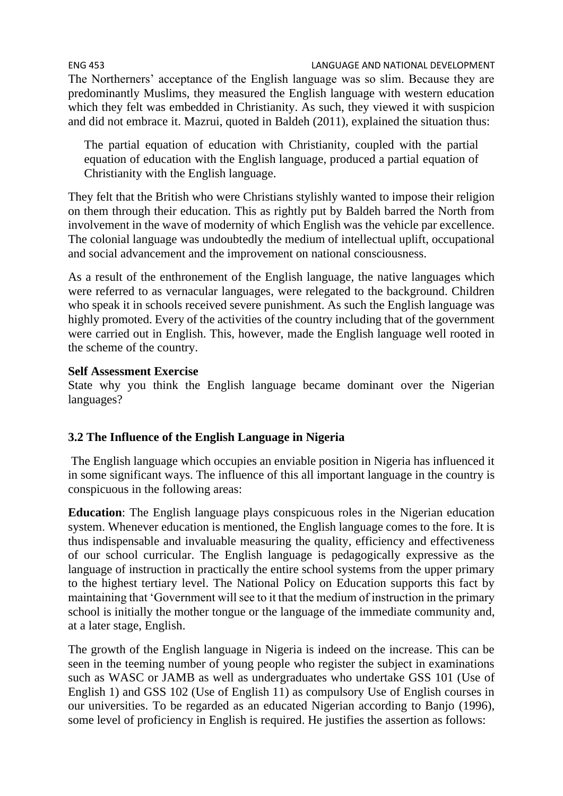The Northerners' acceptance of the English language was so slim. Because they are predominantly Muslims, they measured the English language with western education which they felt was embedded in Christianity. As such, they viewed it with suspicion and did not embrace it. Mazrui, quoted in Baldeh (2011), explained the situation thus:

The partial equation of education with Christianity, coupled with the partial equation of education with the English language, produced a partial equation of Christianity with the English language.

They felt that the British who were Christians stylishly wanted to impose their religion on them through their education. This as rightly put by Baldeh barred the North from involvement in the wave of modernity of which English was the vehicle par excellence. The colonial language was undoubtedly the medium of intellectual uplift, occupational and social advancement and the improvement on national consciousness.

As a result of the enthronement of the English language, the native languages which were referred to as vernacular languages, were relegated to the background. Children who speak it in schools received severe punishment. As such the English language was highly promoted. Every of the activities of the country including that of the government were carried out in English. This, however, made the English language well rooted in the scheme of the country.

# **Self Assessment Exercise**

State why you think the English language became dominant over the Nigerian languages?

# **3.2 The Influence of the English Language in Nigeria**

The English language which occupies an enviable position in Nigeria has influenced it in some significant ways. The influence of this all important language in the country is conspicuous in the following areas:

**Education**: The English language plays conspicuous roles in the Nigerian education system. Whenever education is mentioned, the English language comes to the fore. It is thus indispensable and invaluable measuring the quality, efficiency and effectiveness of our school curricular. The English language is pedagogically expressive as the language of instruction in practically the entire school systems from the upper primary to the highest tertiary level. The National Policy on Education supports this fact by maintaining that 'Government will see to it that the medium of instruction in the primary school is initially the mother tongue or the language of the immediate community and, at a later stage, English.

The growth of the English language in Nigeria is indeed on the increase. This can be seen in the teeming number of young people who register the subject in examinations such as WASC or JAMB as well as undergraduates who undertake GSS 101 (Use of English 1) and GSS 102 (Use of English 11) as compulsory Use of English courses in our universities. To be regarded as an educated Nigerian according to Banjo (1996), some level of proficiency in English is required. He justifies the assertion as follows: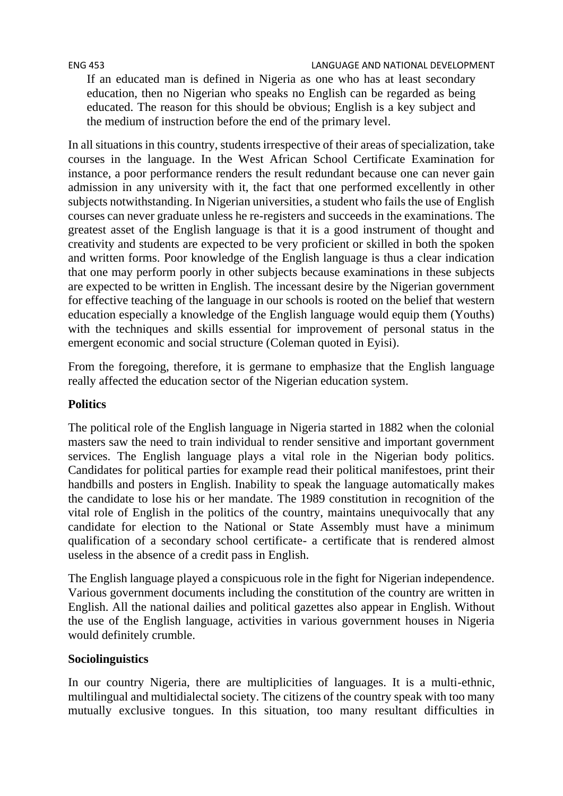If an educated man is defined in Nigeria as one who has at least secondary education, then no Nigerian who speaks no English can be regarded as being educated. The reason for this should be obvious; English is a key subject and the medium of instruction before the end of the primary level.

In all situations in this country, students irrespective of their areas of specialization, take courses in the language. In the West African School Certificate Examination for instance, a poor performance renders the result redundant because one can never gain admission in any university with it, the fact that one performed excellently in other subjects notwithstanding. In Nigerian universities, a student who fails the use of English courses can never graduate unless he re-registers and succeeds in the examinations. The greatest asset of the English language is that it is a good instrument of thought and creativity and students are expected to be very proficient or skilled in both the spoken and written forms. Poor knowledge of the English language is thus a clear indication that one may perform poorly in other subjects because examinations in these subjects are expected to be written in English. The incessant desire by the Nigerian government for effective teaching of the language in our schools is rooted on the belief that western education especially a knowledge of the English language would equip them (Youths) with the techniques and skills essential for improvement of personal status in the emergent economic and social structure (Coleman quoted in Eyisi).

From the foregoing, therefore, it is germane to emphasize that the English language really affected the education sector of the Nigerian education system.

# **Politics**

The political role of the English language in Nigeria started in 1882 when the colonial masters saw the need to train individual to render sensitive and important government services. The English language plays a vital role in the Nigerian body politics. Candidates for political parties for example read their political manifestoes, print their handbills and posters in English. Inability to speak the language automatically makes the candidate to lose his or her mandate. The 1989 constitution in recognition of the vital role of English in the politics of the country, maintains unequivocally that any candidate for election to the National or State Assembly must have a minimum qualification of a secondary school certificate- a certificate that is rendered almost useless in the absence of a credit pass in English.

The English language played a conspicuous role in the fight for Nigerian independence. Various government documents including the constitution of the country are written in English. All the national dailies and political gazettes also appear in English. Without the use of the English language, activities in various government houses in Nigeria would definitely crumble.

# **Sociolinguistics**

In our country Nigeria, there are multiplicities of languages. It is a multi-ethnic, multilingual and multidialectal society. The citizens of the country speak with too many mutually exclusive tongues. In this situation, too many resultant difficulties in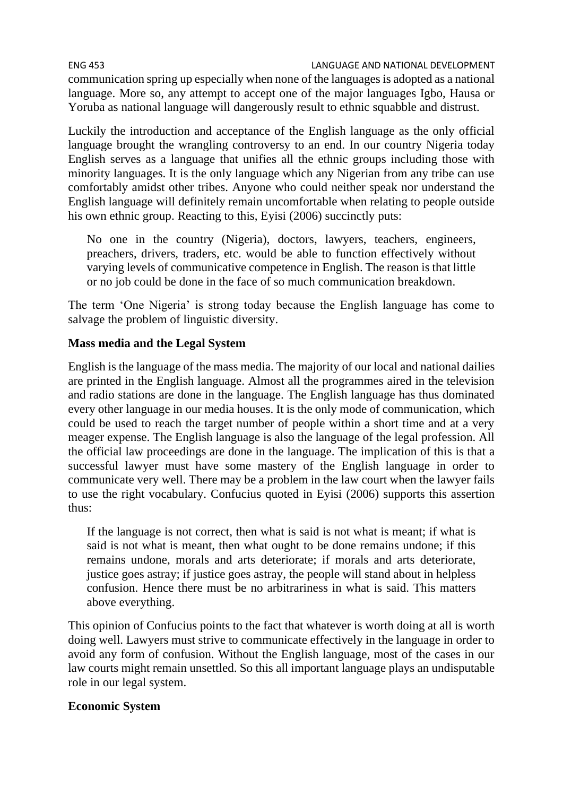ENG 453 LANGUAGE AND NATIONAL DEVELOPMENT communication spring up especially when none of the languages is adopted as a national language. More so, any attempt to accept one of the major languages Igbo, Hausa or Yoruba as national language will dangerously result to ethnic squabble and distrust.

Luckily the introduction and acceptance of the English language as the only official language brought the wrangling controversy to an end. In our country Nigeria today English serves as a language that unifies all the ethnic groups including those with minority languages. It is the only language which any Nigerian from any tribe can use comfortably amidst other tribes. Anyone who could neither speak nor understand the English language will definitely remain uncomfortable when relating to people outside his own ethnic group. Reacting to this, Eyisi (2006) succinctly puts:

No one in the country (Nigeria), doctors, lawyers, teachers, engineers, preachers, drivers, traders, etc. would be able to function effectively without varying levels of communicative competence in English. The reason is that little or no job could be done in the face of so much communication breakdown.

The term 'One Nigeria' is strong today because the English language has come to salvage the problem of linguistic diversity.

# **Mass media and the Legal System**

English is the language of the mass media. The majority of our local and national dailies are printed in the English language. Almost all the programmes aired in the television and radio stations are done in the language. The English language has thus dominated every other language in our media houses. It is the only mode of communication, which could be used to reach the target number of people within a short time and at a very meager expense. The English language is also the language of the legal profession. All the official law proceedings are done in the language. The implication of this is that a successful lawyer must have some mastery of the English language in order to communicate very well. There may be a problem in the law court when the lawyer fails to use the right vocabulary. Confucius quoted in Eyisi (2006) supports this assertion thus:

If the language is not correct, then what is said is not what is meant; if what is said is not what is meant, then what ought to be done remains undone; if this remains undone, morals and arts deteriorate; if morals and arts deteriorate, justice goes astray; if justice goes astray, the people will stand about in helpless confusion. Hence there must be no arbitrariness in what is said. This matters above everything.

This opinion of Confucius points to the fact that whatever is worth doing at all is worth doing well. Lawyers must strive to communicate effectively in the language in order to avoid any form of confusion. Without the English language, most of the cases in our law courts might remain unsettled. So this all important language plays an undisputable role in our legal system.

# **Economic System**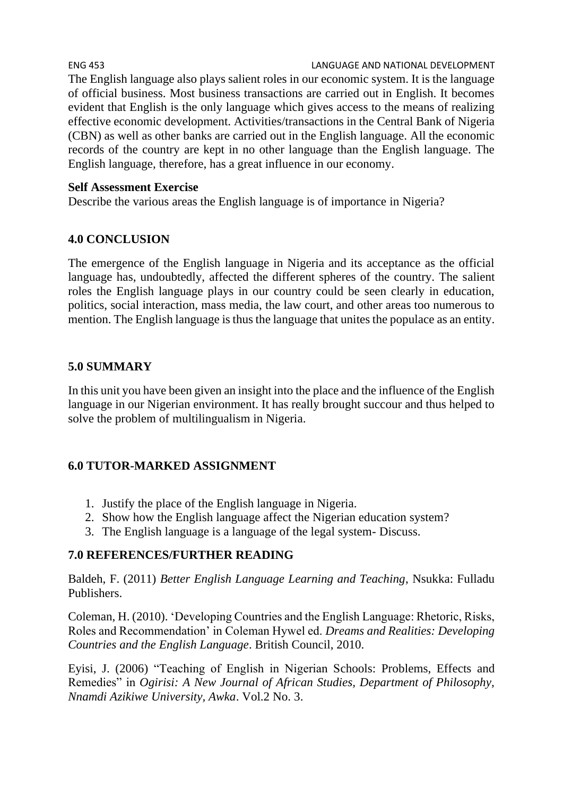ENG 453 LANGUAGE AND NATIONAL DEVELOPMENT The English language also plays salient roles in our economic system. It is the language of official business. Most business transactions are carried out in English. It becomes evident that English is the only language which gives access to the means of realizing effective economic development. Activities/transactions in the Central Bank of Nigeria (CBN) as well as other banks are carried out in the English language. All the economic records of the country are kept in no other language than the English language. The English language, therefore, has a great influence in our economy.

# **Self Assessment Exercise**

Describe the various areas the English language is of importance in Nigeria?

# **4.0 CONCLUSION**

The emergence of the English language in Nigeria and its acceptance as the official language has, undoubtedly, affected the different spheres of the country. The salient roles the English language plays in our country could be seen clearly in education, politics, social interaction, mass media, the law court, and other areas too numerous to mention. The English language is thus the language that unites the populace as an entity.

# **5.0 SUMMARY**

In this unit you have been given an insight into the place and the influence of the English language in our Nigerian environment. It has really brought succour and thus helped to solve the problem of multilingualism in Nigeria.

# **6.0 TUTOR-MARKED ASSIGNMENT**

- 1. Justify the place of the English language in Nigeria.
- 2. Show how the English language affect the Nigerian education system?
- 3. The English language is a language of the legal system- Discuss.

# **7.0 REFERENCES/FURTHER READING**

Baldeh, F. (2011) *Better English Language Learning and Teaching*, Nsukka: Fulladu Publishers.

Coleman, H. (2010). 'Developing Countries and the English Language: Rhetoric, Risks, Roles and Recommendation' in Coleman Hywel ed. *Dreams and Realities: Developing Countries and the English Language*. British Council, 2010.

Eyisi, J. (2006) "Teaching of English in Nigerian Schools: Problems, Effects and Remedies" in *Ogirisi: A New Journal of African Studies, Department of Philosophy, Nnamdi Azikiwe University, Awka*. Vol.2 No. 3.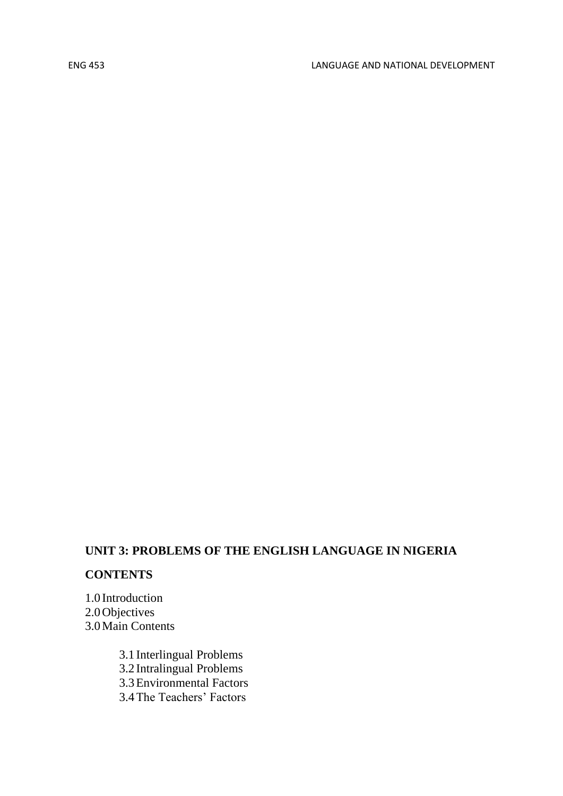# **UNIT 3: PROBLEMS OF THE ENGLISH LANGUAGE IN NIGERIA**

# **CONTENTS**

1.0 Introduction 2.0Objectives 3.0Main Contents

> 3.1 Interlingual Problems 3.2 Intralingual Problems 3.3Environmental Factors 3.4The Teachers' Factors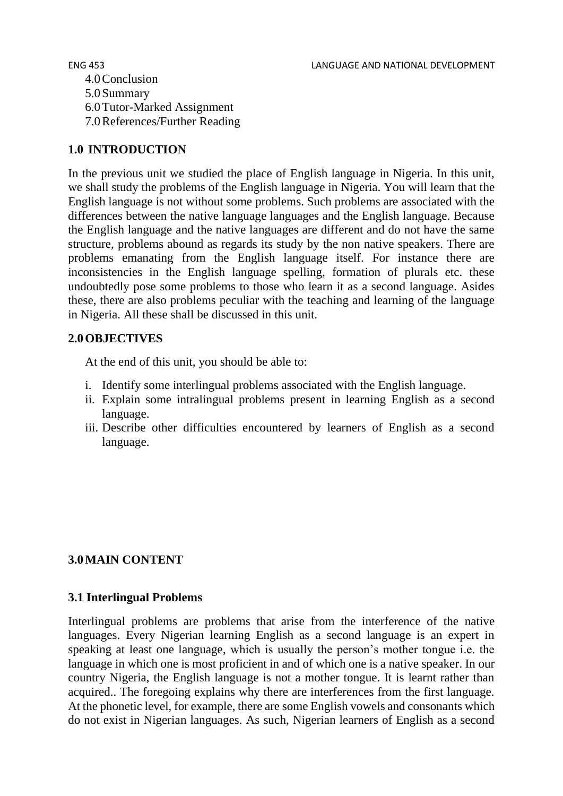4.0Conclusion 5.0Summary 6.0Tutor-Marked Assignment 7.0References/Further Reading

# **1.0 INTRODUCTION**

In the previous unit we studied the place of English language in Nigeria. In this unit, we shall study the problems of the English language in Nigeria. You will learn that the English language is not without some problems. Such problems are associated with the differences between the native language languages and the English language. Because the English language and the native languages are different and do not have the same structure, problems abound as regards its study by the non native speakers. There are problems emanating from the English language itself. For instance there are inconsistencies in the English language spelling, formation of plurals etc. these undoubtedly pose some problems to those who learn it as a second language. Asides these, there are also problems peculiar with the teaching and learning of the language in Nigeria. All these shall be discussed in this unit.

## **2.0OBJECTIVES**

At the end of this unit, you should be able to:

- i. Identify some interlingual problems associated with the English language.
- ii. Explain some intralingual problems present in learning English as a second language.
- iii. Describe other difficulties encountered by learners of English as a second language.

# **3.0MAIN CONTENT**

## **3.1 Interlingual Problems**

Interlingual problems are problems that arise from the interference of the native languages. Every Nigerian learning English as a second language is an expert in speaking at least one language, which is usually the person's mother tongue i.e. the language in which one is most proficient in and of which one is a native speaker. In our country Nigeria, the English language is not a mother tongue. It is learnt rather than acquired.. The foregoing explains why there are interferences from the first language. At the phonetic level, for example, there are some English vowels and consonants which do not exist in Nigerian languages. As such, Nigerian learners of English as a second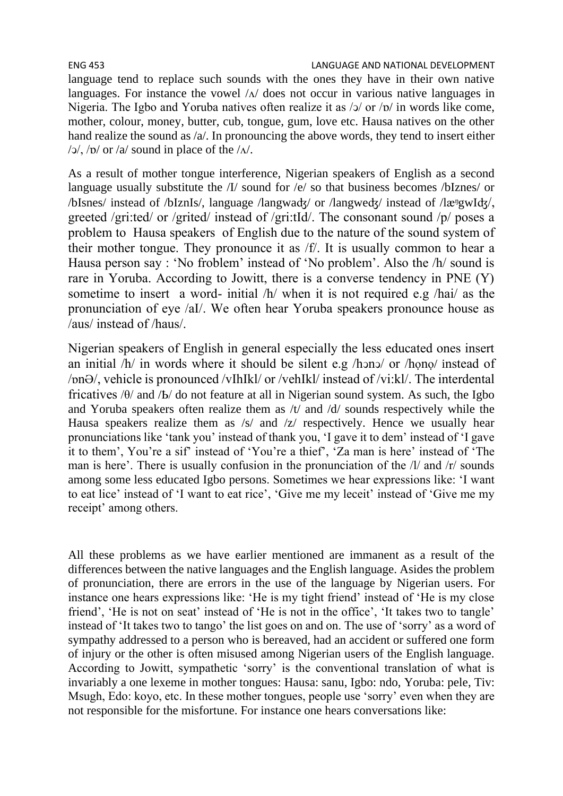#### ENG 453 LANGUAGE AND NATIONAL DEVELOPMENT

language tend to replace such sounds with the ones they have in their own native languages. For instance the vowel  $/\Delta$  does not occur in various native languages in Nigeria. The Igbo and Yoruba natives often realize it as  $/2$  or  $/2$  in words like come, mother, colour, money, butter, cub, tongue, gum, love etc. Hausa natives on the other hand realize the sound as /a/. In pronouncing the above words, they tend to insert either  $/$  $\alpha$ ,  $/$  $\alpha$  or  $/$  $\alpha$  sound in place of the  $/$  $\Lambda/$ .

As a result of mother tongue interference, Nigerian speakers of English as a second language usually substitute the /I/ sound for /e/ so that business becomes /bIznes/ or /bIsnes/ instead of /bIznIs/, language /langwaʤ/ or /langweʤ/ instead of /lӕᵑgwIʤ/, greeted /gri:ted/ or /grited/ instead of /gri:tId/. The consonant sound /p/ poses a problem to Hausa speakers of English due to the nature of the sound system of their mother tongue. They pronounce it as /f/. It is usually common to hear a Hausa person say : 'No froblem' instead of 'No problem'. Also the /h/ sound is rare in Yoruba. According to Jowitt, there is a converse tendency in PNE (Y) sometime to insert a word- initial /h/ when it is not required e.g /hai/ as the pronunciation of eye /aI/. We often hear Yoruba speakers pronounce house as /aus/ instead of /haus/.

Nigerian speakers of English in general especially the less educated ones insert an initial /h/ in words where it should be silent e.g /hͻnͻ/ or /họnọ/ instead of /ɒnƏ/, vehicle is pronounced /vIhIkl/ or /vehIkl/ instead of /vi:kl/. The interdental fricatives /θ/ and /Ҍ/ do not feature at all in Nigerian sound system. As such, the Igbo and Yoruba speakers often realize them as /t/ and /d/ sounds respectively while the Hausa speakers realize them as /s/ and /z/ respectively. Hence we usually hear pronunciations like 'tank you' instead of thank you, 'I gave it to dem' instead of 'I gave it to them', You're a sif' instead of 'You're a thief', 'Za man is here' instead of 'The man is here'. There is usually confusion in the pronunciation of the /l/ and /r/ sounds among some less educated Igbo persons. Sometimes we hear expressions like: 'I want to eat lice' instead of 'I want to eat rice', 'Give me my leceit' instead of 'Give me my receipt' among others.

All these problems as we have earlier mentioned are immanent as a result of the differences between the native languages and the English language. Asides the problem of pronunciation, there are errors in the use of the language by Nigerian users. For instance one hears expressions like: 'He is my tight friend' instead of 'He is my close friend', 'He is not on seat' instead of 'He is not in the office', 'It takes two to tangle' instead of 'It takes two to tango' the list goes on and on. The use of 'sorry' as a word of sympathy addressed to a person who is bereaved, had an accident or suffered one form of injury or the other is often misused among Nigerian users of the English language. According to Jowitt, sympathetic 'sorry' is the conventional translation of what is invariably a one lexeme in mother tongues: Hausa: sanu, Igbo: ndo, Yoruba: pele, Tiv: Msugh, Edo: koyo, etc. In these mother tongues, people use 'sorry' even when they are not responsible for the misfortune. For instance one hears conversations like: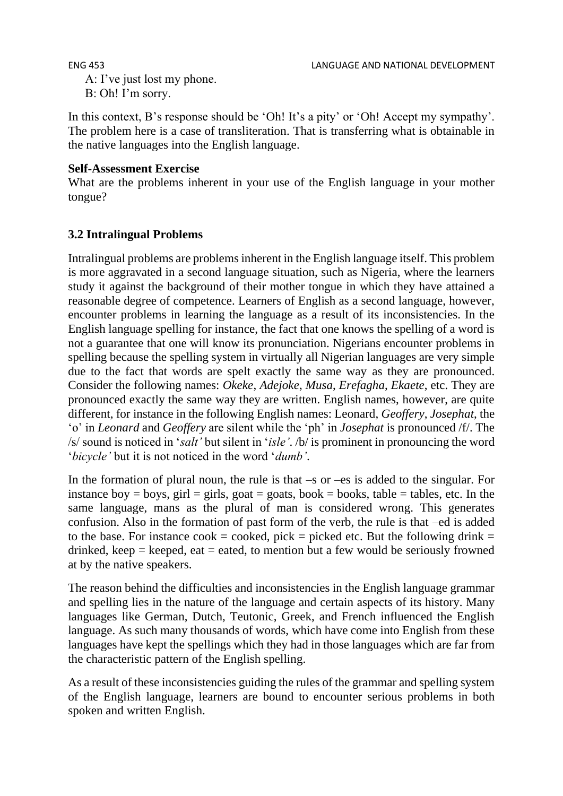A: I've just lost my phone. B: Oh! I'm sorry.

In this context, B's response should be 'Oh! It's a pity' or 'Oh! Accept my sympathy'. The problem here is a case of transliteration. That is transferring what is obtainable in the native languages into the English language.

# **Self-Assessment Exercise**

What are the problems inherent in your use of the English language in your mother tongue?

# **3.2 Intralingual Problems**

Intralingual problems are problems inherent in the English language itself. This problem is more aggravated in a second language situation, such as Nigeria, where the learners study it against the background of their mother tongue in which they have attained a reasonable degree of competence. Learners of English as a second language, however, encounter problems in learning the language as a result of its inconsistencies. In the English language spelling for instance, the fact that one knows the spelling of a word is not a guarantee that one will know its pronunciation. Nigerians encounter problems in spelling because the spelling system in virtually all Nigerian languages are very simple due to the fact that words are spelt exactly the same way as they are pronounced. Consider the following names: *Okeke*, *Adejoke*, *Musa*, *Erefagha*, *Ekaete*, etc. They are pronounced exactly the same way they are written. English names, however, are quite different, for instance in the following English names: Leonard, *Geoffery*, *Josephat*, the 'o' in *Leonard* and *Geoffery* are silent while the 'ph' in *Josephat* is pronounced /f/. The /s/ sound is noticed in '*salt'* but silent in '*isle'*. /b/ is prominent in pronouncing the word '*bicycle'* but it is not noticed in the word '*dumb'*.

In the formation of plural noun, the rule is that  $-s$  or  $-es$  is added to the singular. For instance boy = boys, girl = girls, goat = goats, book = books, table = tables, etc. In the same language, mans as the plural of man is considered wrong. This generates confusion. Also in the formation of past form of the verb, the rule is that –ed is added to the base. For instance cook = cooked, pick = picked etc. But the following drink = drinked, keep  $=$  keeped, eat  $=$  eated, to mention but a few would be seriously frowned at by the native speakers.

The reason behind the difficulties and inconsistencies in the English language grammar and spelling lies in the nature of the language and certain aspects of its history. Many languages like German, Dutch, Teutonic, Greek, and French influenced the English language. As such many thousands of words, which have come into English from these languages have kept the spellings which they had in those languages which are far from the characteristic pattern of the English spelling.

As a result of these inconsistencies guiding the rules of the grammar and spelling system of the English language, learners are bound to encounter serious problems in both spoken and written English.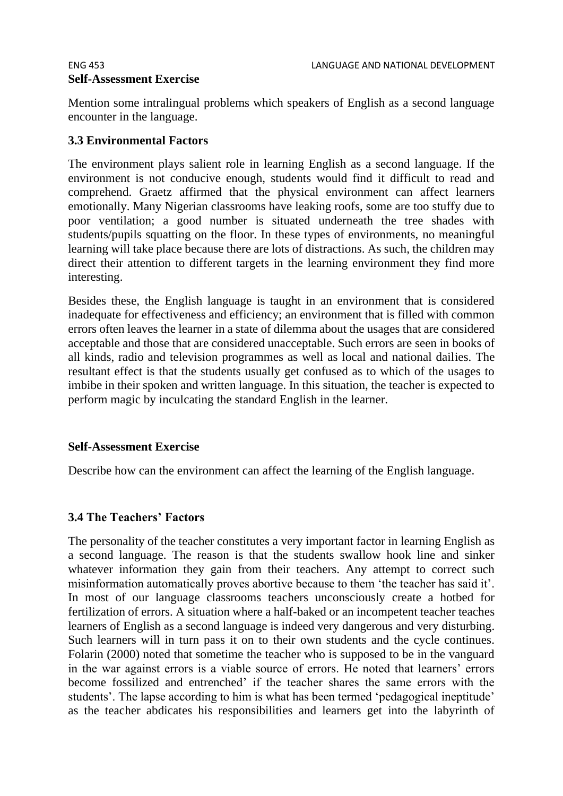# **Self-Assessment Exercise**

Mention some intralingual problems which speakers of English as a second language encounter in the language.

# **3.3 Environmental Factors**

The environment plays salient role in learning English as a second language. If the environment is not conducive enough, students would find it difficult to read and comprehend. Graetz affirmed that the physical environment can affect learners emotionally. Many Nigerian classrooms have leaking roofs, some are too stuffy due to poor ventilation; a good number is situated underneath the tree shades with students/pupils squatting on the floor. In these types of environments, no meaningful learning will take place because there are lots of distractions. As such, the children may direct their attention to different targets in the learning environment they find more interesting.

Besides these, the English language is taught in an environment that is considered inadequate for effectiveness and efficiency; an environment that is filled with common errors often leaves the learner in a state of dilemma about the usages that are considered acceptable and those that are considered unacceptable. Such errors are seen in books of all kinds, radio and television programmes as well as local and national dailies. The resultant effect is that the students usually get confused as to which of the usages to imbibe in their spoken and written language. In this situation, the teacher is expected to perform magic by inculcating the standard English in the learner.

# **Self-Assessment Exercise**

Describe how can the environment can affect the learning of the English language.

# **3.4 The Teachers' Factors**

The personality of the teacher constitutes a very important factor in learning English as a second language. The reason is that the students swallow hook line and sinker whatever information they gain from their teachers. Any attempt to correct such misinformation automatically proves abortive because to them 'the teacher has said it'. In most of our language classrooms teachers unconsciously create a hotbed for fertilization of errors. A situation where a half-baked or an incompetent teacher teaches learners of English as a second language is indeed very dangerous and very disturbing. Such learners will in turn pass it on to their own students and the cycle continues. Folarin (2000) noted that sometime the teacher who is supposed to be in the vanguard in the war against errors is a viable source of errors. He noted that learners' errors become fossilized and entrenched' if the teacher shares the same errors with the students'. The lapse according to him is what has been termed 'pedagogical ineptitude' as the teacher abdicates his responsibilities and learners get into the labyrinth of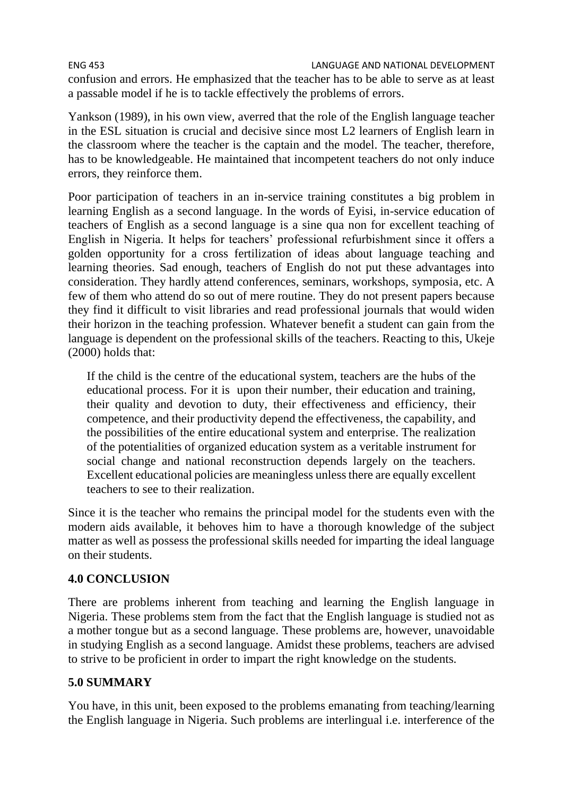confusion and errors. He emphasized that the teacher has to be able to serve as at least a passable model if he is to tackle effectively the problems of errors.

Yankson (1989), in his own view, averred that the role of the English language teacher in the ESL situation is crucial and decisive since most L2 learners of English learn in the classroom where the teacher is the captain and the model. The teacher, therefore, has to be knowledgeable. He maintained that incompetent teachers do not only induce errors, they reinforce them.

Poor participation of teachers in an in-service training constitutes a big problem in learning English as a second language. In the words of Eyisi, in-service education of teachers of English as a second language is a sine qua non for excellent teaching of English in Nigeria. It helps for teachers' professional refurbishment since it offers a golden opportunity for a cross fertilization of ideas about language teaching and learning theories. Sad enough, teachers of English do not put these advantages into consideration. They hardly attend conferences, seminars, workshops, symposia, etc. A few of them who attend do so out of mere routine. They do not present papers because they find it difficult to visit libraries and read professional journals that would widen their horizon in the teaching profession. Whatever benefit a student can gain from the language is dependent on the professional skills of the teachers. Reacting to this, Ukeje (2000) holds that:

If the child is the centre of the educational system, teachers are the hubs of the educational process. For it is upon their number, their education and training, their quality and devotion to duty, their effectiveness and efficiency, their competence, and their productivity depend the effectiveness, the capability, and the possibilities of the entire educational system and enterprise. The realization of the potentialities of organized education system as a veritable instrument for social change and national reconstruction depends largely on the teachers. Excellent educational policies are meaningless unless there are equally excellent teachers to see to their realization.

Since it is the teacher who remains the principal model for the students even with the modern aids available, it behoves him to have a thorough knowledge of the subject matter as well as possess the professional skills needed for imparting the ideal language on their students.

# **4.0 CONCLUSION**

There are problems inherent from teaching and learning the English language in Nigeria. These problems stem from the fact that the English language is studied not as a mother tongue but as a second language. These problems are, however, unavoidable in studying English as a second language. Amidst these problems, teachers are advised to strive to be proficient in order to impart the right knowledge on the students.

# **5.0 SUMMARY**

You have, in this unit, been exposed to the problems emanating from teaching/learning the English language in Nigeria. Such problems are interlingual i.e. interference of the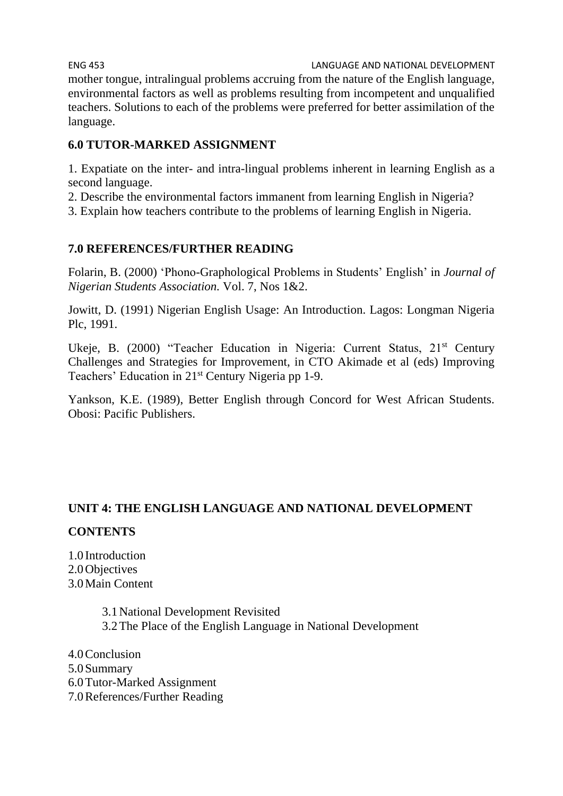ENG 453 LANGUAGE AND NATIONAL DEVELOPMENT mother tongue, intralingual problems accruing from the nature of the English language, environmental factors as well as problems resulting from incompetent and unqualified teachers. Solutions to each of the problems were preferred for better assimilation of the language.

# **6.0 TUTOR-MARKED ASSIGNMENT**

1. Expatiate on the inter- and intra-lingual problems inherent in learning English as a second language.

2. Describe the environmental factors immanent from learning English in Nigeria?

3. Explain how teachers contribute to the problems of learning English in Nigeria.

# **7.0 REFERENCES/FURTHER READING**

Folarin, B. (2000) 'Phono-Graphological Problems in Students' English' in *Journal of Nigerian Students Association.* Vol. 7, Nos 1&2.

Jowitt, D. (1991) Nigerian English Usage: An Introduction. Lagos: Longman Nigeria Plc, 1991.

Ukeje, B. (2000) "Teacher Education in Nigeria: Current Status, 21<sup>st</sup> Century Challenges and Strategies for Improvement, in CTO Akimade et al (eds) Improving Teachers' Education in 21<sup>st</sup> Century Nigeria pp 1-9.

Yankson, K.E. (1989), Better English through Concord for West African Students. Obosi: Pacific Publishers.

# **UNIT 4: THE ENGLISH LANGUAGE AND NATIONAL DEVELOPMENT**

# **CONTENTS**

1.0 Introduction 2.0Objectives 3.0Main Content

> 3.1National Development Revisited 3.2The Place of the English Language in National Development

4.0Conclusion 5.0Summary 6.0Tutor-Marked Assignment 7.0References/Further Reading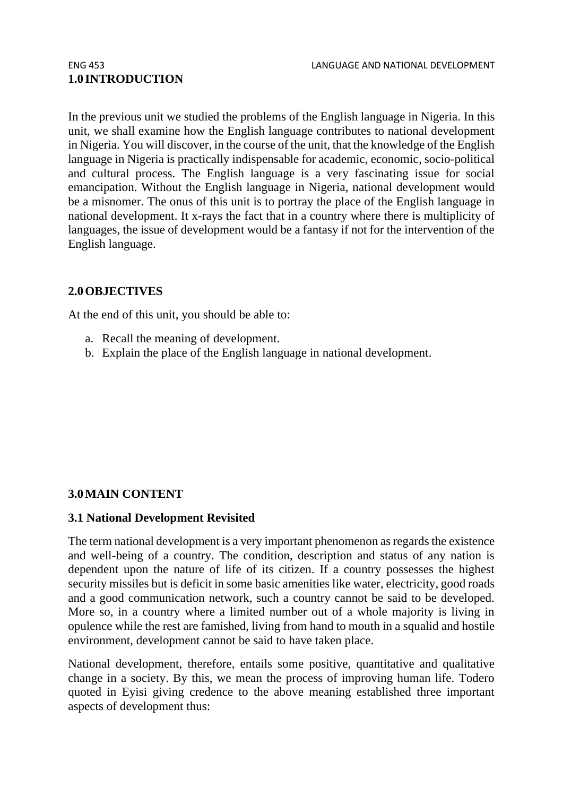# **1.0 INTRODUCTION**

In the previous unit we studied the problems of the English language in Nigeria. In this unit, we shall examine how the English language contributes to national development in Nigeria. You will discover, in the course of the unit, that the knowledge of the English language in Nigeria is practically indispensable for academic, economic, socio-political and cultural process. The English language is a very fascinating issue for social emancipation. Without the English language in Nigeria, national development would be a misnomer. The onus of this unit is to portray the place of the English language in national development. It x-rays the fact that in a country where there is multiplicity of languages, the issue of development would be a fantasy if not for the intervention of the English language.

## **2.0OBJECTIVES**

At the end of this unit, you should be able to:

- a. Recall the meaning of development.
- b. Explain the place of the English language in national development.

# **3.0MAIN CONTENT**

## **3.1 National Development Revisited**

The term national development is a very important phenomenon as regards the existence and well-being of a country. The condition, description and status of any nation is dependent upon the nature of life of its citizen. If a country possesses the highest security missiles but is deficit in some basic amenities like water, electricity, good roads and a good communication network, such a country cannot be said to be developed. More so, in a country where a limited number out of a whole majority is living in opulence while the rest are famished, living from hand to mouth in a squalid and hostile environment, development cannot be said to have taken place.

National development, therefore, entails some positive, quantitative and qualitative change in a society. By this, we mean the process of improving human life. Todero quoted in Eyisi giving credence to the above meaning established three important aspects of development thus: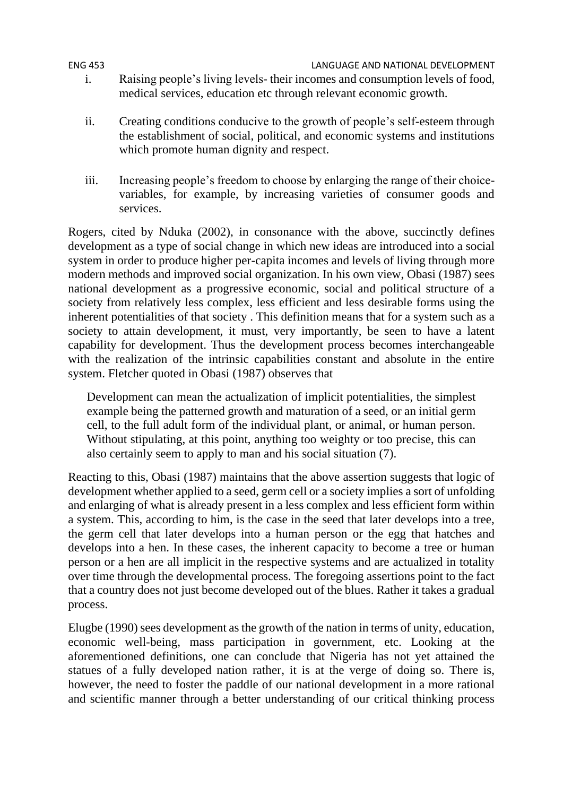## ENG 453 LANGUAGE AND NATIONAL DEVELOPMENT i. Raising people's living levels- their incomes and consumption levels of food, medical services, education etc through relevant economic growth.

- ii. Creating conditions conducive to the growth of people's self-esteem through the establishment of social, political, and economic systems and institutions which promote human dignity and respect.
- iii. Increasing people's freedom to choose by enlarging the range of their choicevariables, for example, by increasing varieties of consumer goods and services.

Rogers, cited by Nduka (2002), in consonance with the above, succinctly defines development as a type of social change in which new ideas are introduced into a social system in order to produce higher per-capita incomes and levels of living through more modern methods and improved social organization. In his own view, Obasi (1987) sees national development as a progressive economic, social and political structure of a society from relatively less complex, less efficient and less desirable forms using the inherent potentialities of that society . This definition means that for a system such as a society to attain development, it must, very importantly, be seen to have a latent capability for development. Thus the development process becomes interchangeable with the realization of the intrinsic capabilities constant and absolute in the entire system. Fletcher quoted in Obasi (1987) observes that

Development can mean the actualization of implicit potentialities, the simplest example being the patterned growth and maturation of a seed, or an initial germ cell, to the full adult form of the individual plant, or animal, or human person. Without stipulating, at this point, anything too weighty or too precise, this can also certainly seem to apply to man and his social situation (7).

Reacting to this, Obasi (1987) maintains that the above assertion suggests that logic of development whether applied to a seed, germ cell or a society implies a sort of unfolding and enlarging of what is already present in a less complex and less efficient form within a system. This, according to him, is the case in the seed that later develops into a tree, the germ cell that later develops into a human person or the egg that hatches and develops into a hen. In these cases, the inherent capacity to become a tree or human person or a hen are all implicit in the respective systems and are actualized in totality over time through the developmental process. The foregoing assertions point to the fact that a country does not just become developed out of the blues. Rather it takes a gradual process.

Elugbe (1990) sees development as the growth of the nation in terms of unity, education, economic well-being, mass participation in government, etc. Looking at the aforementioned definitions, one can conclude that Nigeria has not yet attained the statues of a fully developed nation rather, it is at the verge of doing so. There is, however, the need to foster the paddle of our national development in a more rational and scientific manner through a better understanding of our critical thinking process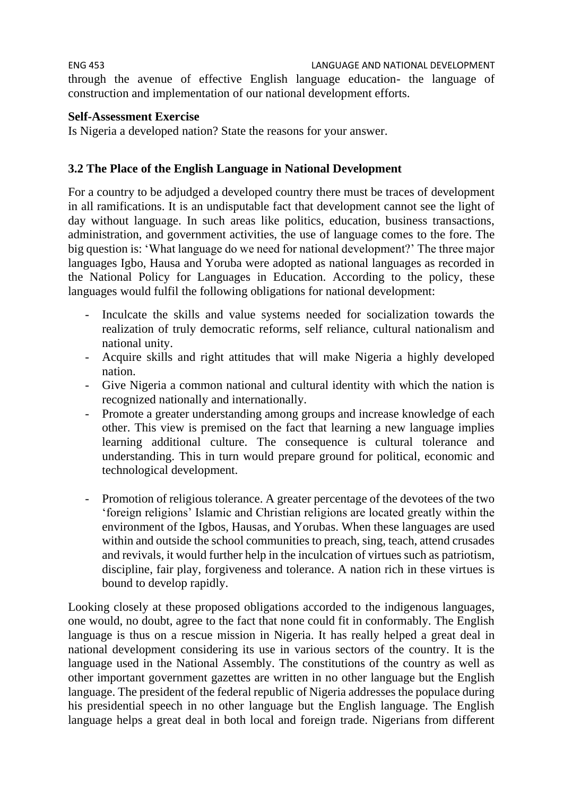ENG 453 LANGUAGE AND NATIONAL DEVELOPMENT through the avenue of effective English language education- the language of construction and implementation of our national development efforts.

# **Self-Assessment Exercise**

Is Nigeria a developed nation? State the reasons for your answer.

# **3.2 The Place of the English Language in National Development**

For a country to be adjudged a developed country there must be traces of development in all ramifications. It is an undisputable fact that development cannot see the light of day without language. In such areas like politics, education, business transactions, administration, and government activities, the use of language comes to the fore. The big question is: 'What language do we need for national development?' The three major languages Igbo, Hausa and Yoruba were adopted as national languages as recorded in the National Policy for Languages in Education. According to the policy, these languages would fulfil the following obligations for national development:

- Inculcate the skills and value systems needed for socialization towards the realization of truly democratic reforms, self reliance, cultural nationalism and national unity.
- Acquire skills and right attitudes that will make Nigeria a highly developed nation.
- Give Nigeria a common national and cultural identity with which the nation is recognized nationally and internationally.
- Promote a greater understanding among groups and increase knowledge of each other. This view is premised on the fact that learning a new language implies learning additional culture. The consequence is cultural tolerance and understanding. This in turn would prepare ground for political, economic and technological development.
- Promotion of religious tolerance. A greater percentage of the devotees of the two 'foreign religions' Islamic and Christian religions are located greatly within the environment of the Igbos, Hausas, and Yorubas. When these languages are used within and outside the school communities to preach, sing, teach, attend crusades and revivals, it would further help in the inculcation of virtues such as patriotism, discipline, fair play, forgiveness and tolerance. A nation rich in these virtues is bound to develop rapidly.

Looking closely at these proposed obligations accorded to the indigenous languages, one would, no doubt, agree to the fact that none could fit in conformably. The English language is thus on a rescue mission in Nigeria. It has really helped a great deal in national development considering its use in various sectors of the country. It is the language used in the National Assembly. The constitutions of the country as well as other important government gazettes are written in no other language but the English language. The president of the federal republic of Nigeria addresses the populace during his presidential speech in no other language but the English language. The English language helps a great deal in both local and foreign trade. Nigerians from different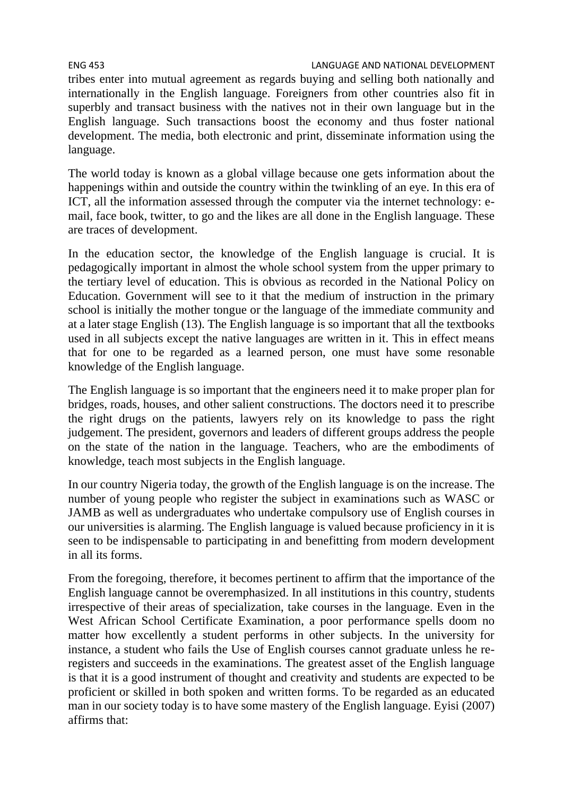tribes enter into mutual agreement as regards buying and selling both nationally and internationally in the English language. Foreigners from other countries also fit in superbly and transact business with the natives not in their own language but in the English language. Such transactions boost the economy and thus foster national development. The media, both electronic and print, disseminate information using the language.

The world today is known as a global village because one gets information about the happenings within and outside the country within the twinkling of an eye. In this era of ICT, all the information assessed through the computer via the internet technology: email, face book, twitter, to go and the likes are all done in the English language. These are traces of development.

In the education sector, the knowledge of the English language is crucial. It is pedagogically important in almost the whole school system from the upper primary to the tertiary level of education. This is obvious as recorded in the National Policy on Education. Government will see to it that the medium of instruction in the primary school is initially the mother tongue or the language of the immediate community and at a later stage English (13). The English language is so important that all the textbooks used in all subjects except the native languages are written in it. This in effect means that for one to be regarded as a learned person, one must have some resonable knowledge of the English language.

The English language is so important that the engineers need it to make proper plan for bridges, roads, houses, and other salient constructions. The doctors need it to prescribe the right drugs on the patients, lawyers rely on its knowledge to pass the right judgement. The president, governors and leaders of different groups address the people on the state of the nation in the language. Teachers, who are the embodiments of knowledge, teach most subjects in the English language.

In our country Nigeria today, the growth of the English language is on the increase. The number of young people who register the subject in examinations such as WASC or JAMB as well as undergraduates who undertake compulsory use of English courses in our universities is alarming. The English language is valued because proficiency in it is seen to be indispensable to participating in and benefitting from modern development in all its forms.

From the foregoing, therefore, it becomes pertinent to affirm that the importance of the English language cannot be overemphasized. In all institutions in this country, students irrespective of their areas of specialization, take courses in the language. Even in the West African School Certificate Examination, a poor performance spells doom no matter how excellently a student performs in other subjects. In the university for instance, a student who fails the Use of English courses cannot graduate unless he reregisters and succeeds in the examinations. The greatest asset of the English language is that it is a good instrument of thought and creativity and students are expected to be proficient or skilled in both spoken and written forms. To be regarded as an educated man in our society today is to have some mastery of the English language. Eyisi (2007) affirms that: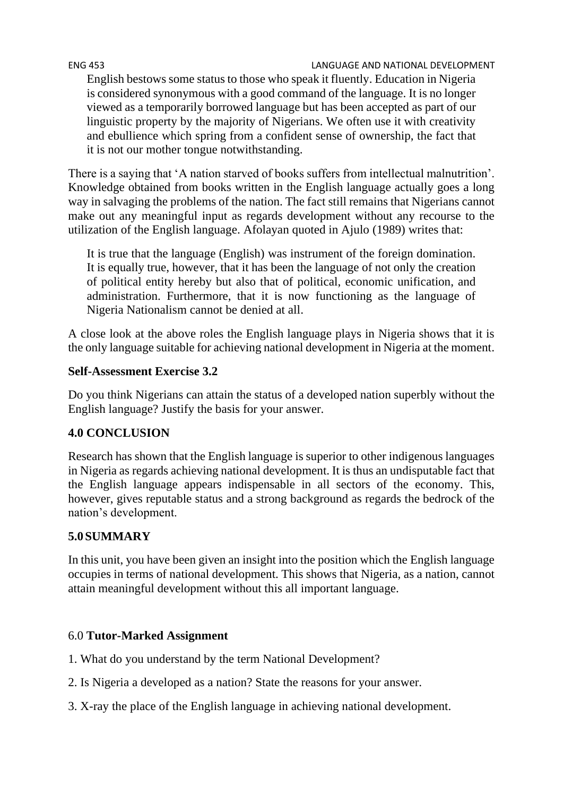#### ENG 453 LANGUAGE AND NATIONAL DEVELOPMENT

English bestows some status to those who speak it fluently. Education in Nigeria is considered synonymous with a good command of the language. It is no longer viewed as a temporarily borrowed language but has been accepted as part of our linguistic property by the majority of Nigerians. We often use it with creativity and ebullience which spring from a confident sense of ownership, the fact that it is not our mother tongue notwithstanding.

There is a saying that 'A nation starved of books suffers from intellectual malnutrition'. Knowledge obtained from books written in the English language actually goes a long way in salvaging the problems of the nation. The fact still remains that Nigerians cannot make out any meaningful input as regards development without any recourse to the utilization of the English language. Afolayan quoted in Ajulo (1989) writes that:

It is true that the language (English) was instrument of the foreign domination. It is equally true, however, that it has been the language of not only the creation of political entity hereby but also that of political, economic unification, and administration. Furthermore, that it is now functioning as the language of Nigeria Nationalism cannot be denied at all.

A close look at the above roles the English language plays in Nigeria shows that it is the only language suitable for achieving national development in Nigeria at the moment.

## **Self-Assessment Exercise 3.2**

Do you think Nigerians can attain the status of a developed nation superbly without the English language? Justify the basis for your answer.

# **4.0 CONCLUSION**

Research has shown that the English language is superior to other indigenous languages in Nigeria as regards achieving national development. It is thus an undisputable fact that the English language appears indispensable in all sectors of the economy. This, however, gives reputable status and a strong background as regards the bedrock of the nation's development.

# **5.0SUMMARY**

In this unit, you have been given an insight into the position which the English language occupies in terms of national development. This shows that Nigeria, as a nation, cannot attain meaningful development without this all important language.

# 6.0 **Tutor-Marked Assignment**

- 1. What do you understand by the term National Development?
- 2. Is Nigeria a developed as a nation? State the reasons for your answer.
- 3. X-ray the place of the English language in achieving national development.